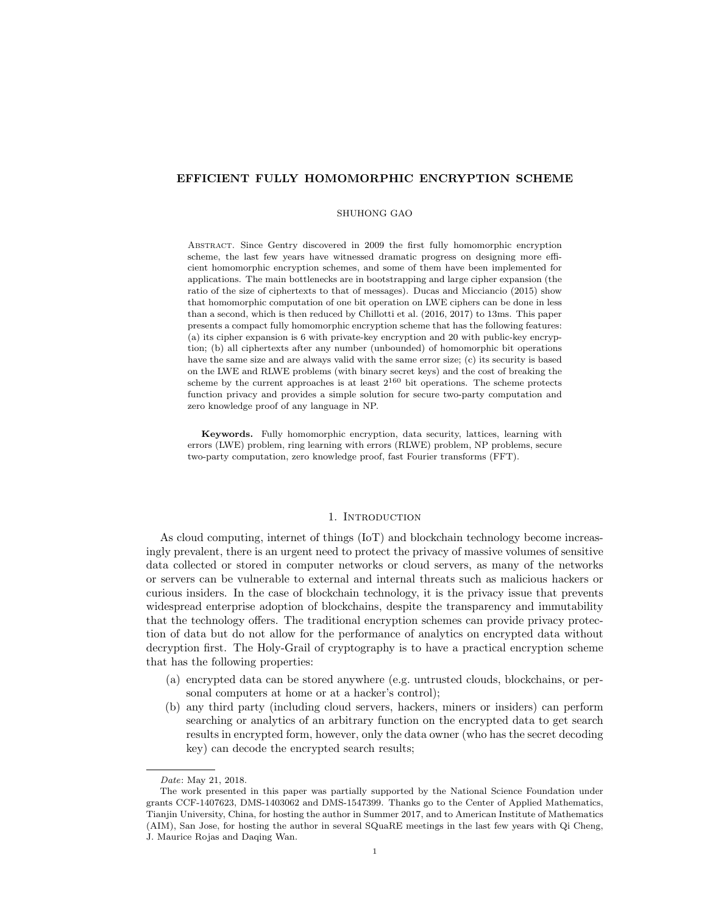# EFFICIENT FULLY HOMOMORPHIC ENCRYPTION SCHEME

## SHUHONG GAO

Abstract. Since Gentry discovered in 2009 the first fully homomorphic encryption scheme, the last few years have witnessed dramatic progress on designing more efficient homomorphic encryption schemes, and some of them have been implemented for applications. The main bottlenecks are in bootstrapping and large cipher expansion (the ratio of the size of ciphertexts to that of messages). Ducas and Micciancio (2015) show that homomorphic computation of one bit operation on LWE ciphers can be done in less than a second, which is then reduced by Chillotti et al. (2016, 2017) to 13ms. This paper presents a compact fully homomorphic encryption scheme that has the following features: (a) its cipher expansion is 6 with private-key encryption and 20 with public-key encryption; (b) all ciphertexts after any number (unbounded) of homomorphic bit operations have the same size and are always valid with the same error size; (c) its security is based on the LWE and RLWE problems (with binary secret keys) and the cost of breaking the scheme by the current approaches is at least  $2^{160}$  bit operations. The scheme protects function privacy and provides a simple solution for secure two-party computation and zero knowledge proof of any language in NP.

Keywords. Fully homomorphic encryption, data security, lattices, learning with errors (LWE) problem, ring learning with errors (RLWE) problem, NP problems, secure two-party computation, zero knowledge proof, fast Fourier transforms (FFT).

# 1. INTRODUCTION

As cloud computing, internet of things (IoT) and blockchain technology become increasingly prevalent, there is an urgent need to protect the privacy of massive volumes of sensitive data collected or stored in computer networks or cloud servers, as many of the networks or servers can be vulnerable to external and internal threats such as malicious hackers or curious insiders. In the case of blockchain technology, it is the privacy issue that prevents widespread enterprise adoption of blockchains, despite the transparency and immutability that the technology offers. The traditional encryption schemes can provide privacy protection of data but do not allow for the performance of analytics on encrypted data without decryption first. The Holy-Grail of cryptography is to have a practical encryption scheme that has the following properties:

- (a) encrypted data can be stored anywhere (e.g. untrusted clouds, blockchains, or personal computers at home or at a hacker's control);
- (b) any third party (including cloud servers, hackers, miners or insiders) can perform searching or analytics of an arbitrary function on the encrypted data to get search results in encrypted form, however, only the data owner (who has the secret decoding key) can decode the encrypted search results;

Date: May 21, 2018.

The work presented in this paper was partially supported by the National Science Foundation under grants CCF-1407623, DMS-1403062 and DMS-1547399. Thanks go to the Center of Applied Mathematics, Tianjin University, China, for hosting the author in Summer 2017, and to American Institute of Mathematics (AIM), San Jose, for hosting the author in several SQuaRE meetings in the last few years with Qi Cheng, J. Maurice Rojas and Daqing Wan.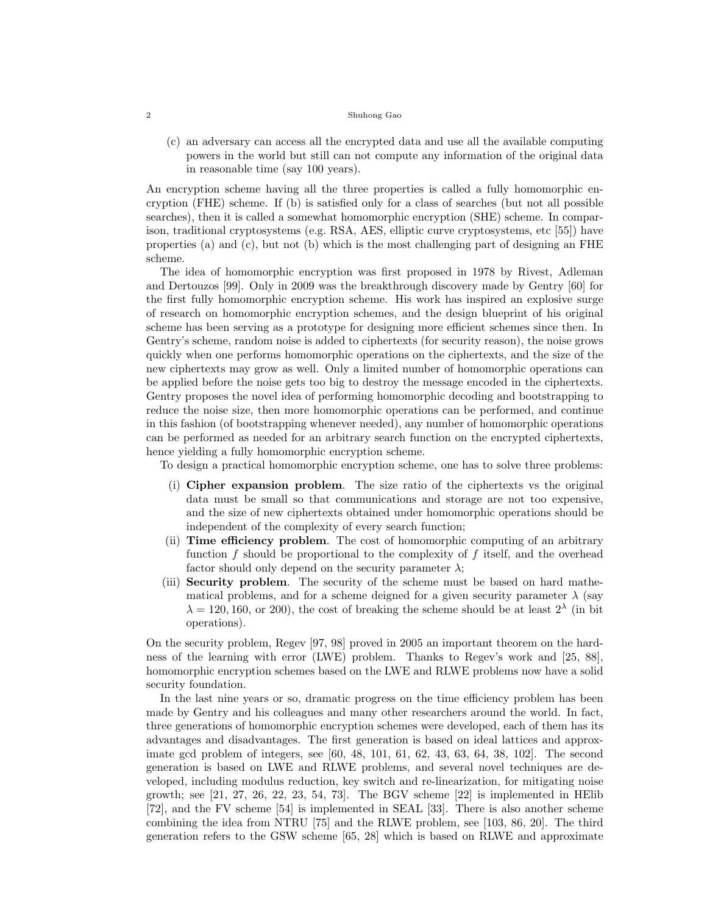(c) an adversary can access all the encrypted data and use all the available computing powers in the world but still can not compute any information of the original data in reasonable time (say 100 years).

An encryption scheme having all the three properties is called a fully homomorphic encryption (FHE) scheme. If (b) is satisfied only for a class of searches (but not all possible searches), then it is called a somewhat homomorphic encryption (SHE) scheme. In comparison, traditional cryptosystems (e.g. RSA, AES, elliptic curve cryptosystems, etc [55]) have properties (a) and (c), but not (b) which is the most challenging part of designing an FHE scheme.

The idea of homomorphic encryption was first proposed in 1978 by Rivest, Adleman and Dertouzos [99]. Only in 2009 was the breakthrough discovery made by Gentry [60] for the first fully homomorphic encryption scheme. His work has inspired an explosive surge of research on homomorphic encryption schemes, and the design blueprint of his original scheme has been serving as a prototype for designing more efficient schemes since then. In Gentry's scheme, random noise is added to ciphertexts (for security reason), the noise grows quickly when one performs homomorphic operations on the ciphertexts, and the size of the new ciphertexts may grow as well. Only a limited number of homomorphic operations can be applied before the noise gets too big to destroy the message encoded in the ciphertexts. Gentry proposes the novel idea of performing homomorphic decoding and bootstrapping to reduce the noise size, then more homomorphic operations can be performed, and continue in this fashion (of bootstrapping whenever needed), any number of homomorphic operations can be performed as needed for an arbitrary search function on the encrypted ciphertexts, hence yielding a fully homomorphic encryption scheme.

To design a practical homomorphic encryption scheme, one has to solve three problems:

- (i) Cipher expansion problem. The size ratio of the ciphertexts vs the original data must be small so that communications and storage are not too expensive, and the size of new ciphertexts obtained under homomorphic operations should be independent of the complexity of every search function;
- (ii) Time efficiency problem. The cost of homomorphic computing of an arbitrary function f should be proportional to the complexity of f itself, and the overhead factor should only depend on the security parameter  $\lambda$ ;
- (iii) Security problem. The security of the scheme must be based on hard mathematical problems, and for a scheme deigned for a given security parameter  $\lambda$  (say  $\lambda = 120, 160, \text{ or } 200$ , the cost of breaking the scheme should be at least  $2^{\lambda}$  (in bit operations).

On the security problem, Regev [97, 98] proved in 2005 an important theorem on the hardness of the learning with error (LWE) problem. Thanks to Regev's work and [25, 88], homomorphic encryption schemes based on the LWE and RLWE problems now have a solid security foundation.

In the last nine years or so, dramatic progress on the time efficiency problem has been made by Gentry and his colleagues and many other researchers around the world. In fact, three generations of homomorphic encryption schemes were developed, each of them has its advantages and disadvantages. The first generation is based on ideal lattices and approximate gcd problem of integers, see [60, 48, 101, 61, 62, 43, 63, 64, 38, 102]. The second generation is based on LWE and RLWE problems, and several novel techniques are developed, including modulus reduction, key switch and re-linearization, for mitigating noise growth; see  $[21, 27, 26, 22, 23, 54, 73]$ . The BGV scheme  $[22]$  is implemented in HElib [72], and the FV scheme [54] is implemented in SEAL [33]. There is also another scheme combining the idea from NTRU [75] and the RLWE problem, see [103, 86, 20]. The third generation refers to the GSW scheme [65, 28] which is based on RLWE and approximate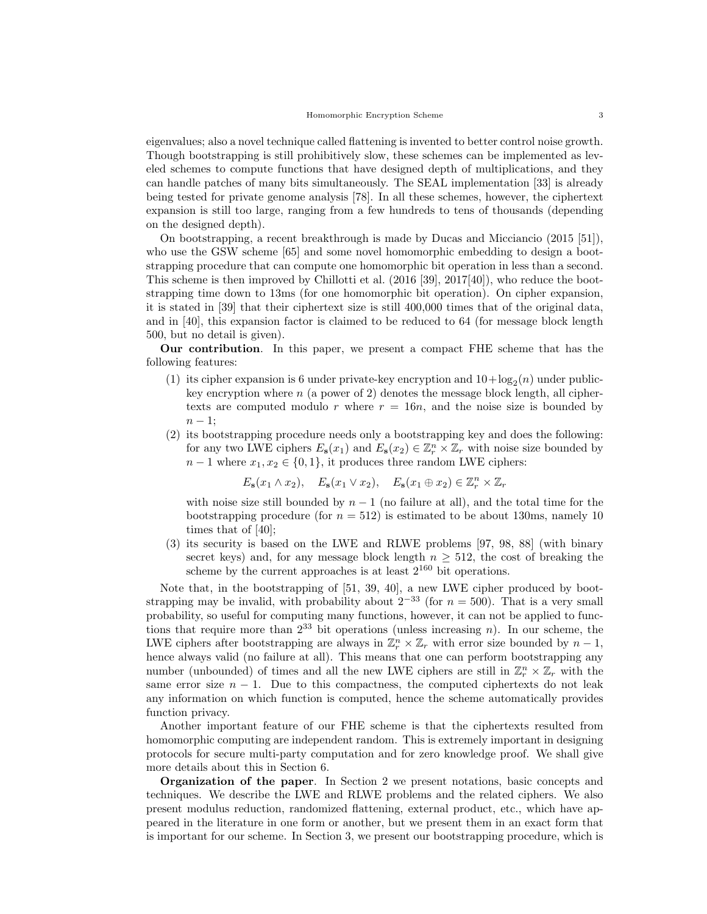eigenvalues; also a novel technique called flattening is invented to better control noise growth. Though bootstrapping is still prohibitively slow, these schemes can be implemented as leveled schemes to compute functions that have designed depth of multiplications, and they can handle patches of many bits simultaneously. The SEAL implementation [33] is already being tested for private genome analysis [78]. In all these schemes, however, the ciphertext expansion is still too large, ranging from a few hundreds to tens of thousands (depending on the designed depth).

On bootstrapping, a recent breakthrough is made by Ducas and Micciancio (2015 [51]), who use the GSW scheme [65] and some novel homomorphic embedding to design a bootstrapping procedure that can compute one homomorphic bit operation in less than a second. This scheme is then improved by Chillotti et al. (2016 [39], 2017[40]), who reduce the bootstrapping time down to 13ms (for one homomorphic bit operation). On cipher expansion, it is stated in [39] that their ciphertext size is still 400,000 times that of the original data, and in [40], this expansion factor is claimed to be reduced to 64 (for message block length 500, but no detail is given).

Our contribution. In this paper, we present a compact FHE scheme that has the following features:

- (1) its cipher expansion is 6 under private-key encryption and  $10 + \log_2(n)$  under publickey encryption where  $n$  (a power of 2) denotes the message block length, all ciphertexts are computed modulo r where  $r = 16n$ , and the noise size is bounded by  $n-1$ ;
- (2) its bootstrapping procedure needs only a bootstrapping key and does the following: for any two LWE ciphers  $E_{s}(x_1)$  and  $E_{s}(x_2) \in \mathbb{Z}_r^n \times \mathbb{Z}_r$  with noise size bounded by  $n-1$  where  $x_1, x_2 \in \{0, 1\}$ , it produces three random LWE ciphers:

 $E_{\mathbf{s}}(x_1 \wedge x_2), \quad E_{\mathbf{s}}(x_1 \vee x_2), \quad E_{\mathbf{s}}(x_1 \oplus x_2) \in \mathbb{Z}_r^n \times \mathbb{Z}_r$ 

with noise size still bounded by  $n-1$  (no failure at all), and the total time for the bootstrapping procedure (for  $n = 512$ ) is estimated to be about 130ms, namely 10 times that of [40];

(3) its security is based on the LWE and RLWE problems [97, 98, 88] (with binary secret keys) and, for any message block length  $n \geq 512$ , the cost of breaking the scheme by the current approaches is at least  $2^{160}$  bit operations.

Note that, in the bootstrapping of [51, 39, 40], a new LWE cipher produced by bootstrapping may be invalid, with probability about  $2^{-33}$  (for  $n = 500$ ). That is a very small probability, so useful for computing many functions, however, it can not be applied to functions that require more than  $2^{33}$  bit operations (unless increasing n). In our scheme, the LWE ciphers after bootstrapping are always in  $\mathbb{Z}_r^n \times \mathbb{Z}_r$  with error size bounded by  $n-1$ , hence always valid (no failure at all). This means that one can perform bootstrapping any number (unbounded) of times and all the new LWE ciphers are still in  $\mathbb{Z}_r^n \times \mathbb{Z}_r$  with the same error size  $n - 1$ . Due to this compactness, the computed ciphertexts do not leak any information on which function is computed, hence the scheme automatically provides function privacy.

Another important feature of our FHE scheme is that the ciphertexts resulted from homomorphic computing are independent random. This is extremely important in designing protocols for secure multi-party computation and for zero knowledge proof. We shall give more details about this in Section 6.

Organization of the paper. In Section 2 we present notations, basic concepts and techniques. We describe the LWE and RLWE problems and the related ciphers. We also present modulus reduction, randomized flattening, external product, etc., which have appeared in the literature in one form or another, but we present them in an exact form that is important for our scheme. In Section 3, we present our bootstrapping procedure, which is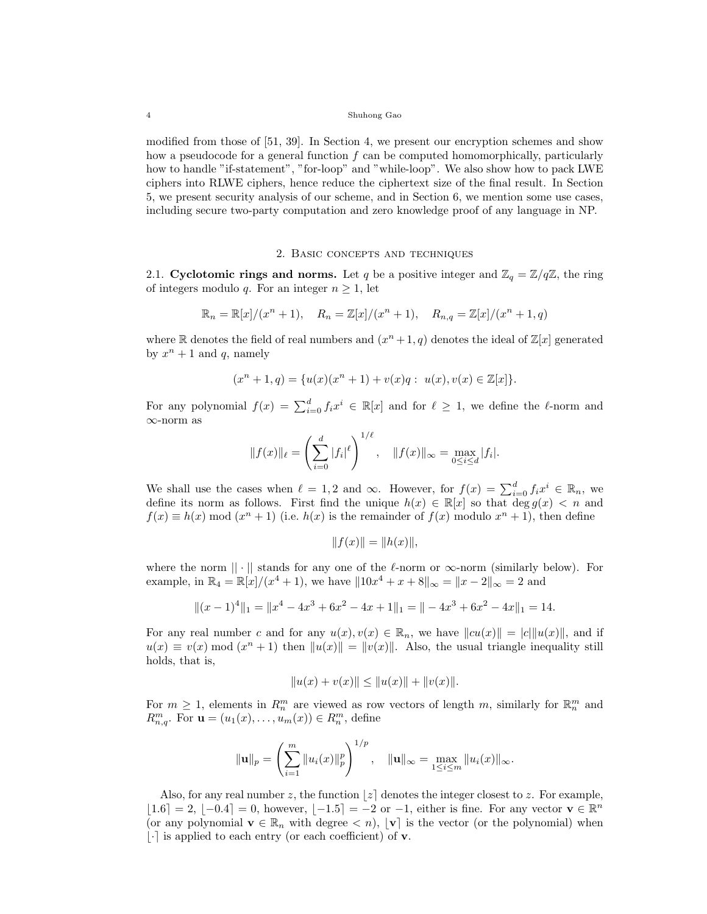modified from those of [51, 39]. In Section 4, we present our encryption schemes and show how a pseudocode for a general function  $f$  can be computed homomorphically, particularly how to handle "if-statement", "for-loop" and "while-loop". We also show how to pack LWE ciphers into RLWE ciphers, hence reduce the ciphertext size of the final result. In Section 5, we present security analysis of our scheme, and in Section 6, we mention some use cases, including secure two-party computation and zero knowledge proof of any language in NP.

# 2. Basic concepts and techniques

2.1. Cyclotomic rings and norms. Let q be a positive integer and  $\mathbb{Z}_q = \mathbb{Z}/q\mathbb{Z}$ , the ring of integers modulo q. For an integer  $n \geq 1$ , let

$$
\mathbb{R}_n = \mathbb{R}[x]/(x^n + 1), \quad R_n = \mathbb{Z}[x]/(x^n + 1), \quad R_{n,q} = \mathbb{Z}[x]/(x^n + 1, q)
$$

where R denotes the field of real numbers and  $(x^{n}+1, q)$  denotes the ideal of  $\mathbb{Z}[x]$  generated by  $x^n + 1$  and q, namely

$$
(xn + 1, q) = \{u(x)(xn + 1) + v(x)q : u(x), v(x) \in \mathbb{Z}[x]\}.
$$

For any polynomial  $f(x) = \sum_{i=0}^{d} f_i x^i \in \mathbb{R}[x]$  and for  $\ell \geq 1$ , we define the  $\ell$ -norm and ∞-norm as

$$
||f(x)||_{\ell} = \left(\sum_{i=0}^{d} |f_i|^{\ell}\right)^{1/\ell}, \quad ||f(x)||_{\infty} = \max_{0 \le i \le d} |f_i|.
$$

We shall use the cases when  $\ell = 1, 2$  and  $\infty$ . However, for  $f(x) = \sum_{i=0}^{d} f_i x^i \in \mathbb{R}_n$ , we define its norm as follows. First find the unique  $h(x) \in \mathbb{R}[x]$  so that  $\deg g(x) < n$  and  $f(x) \equiv h(x) \mod (x^{n} + 1)$  (i.e.  $h(x)$  is the remainder of  $f(x)$  modulo  $x^{n} + 1$ ), then define

$$
||f(x)|| = ||h(x)||,
$$

where the norm  $|| \cdot ||$  stands for any one of the  $\ell$ -norm or  $\infty$ -norm (similarly below). For example, in  $\mathbb{R}_4 = \mathbb{R}[x]/(x^4 + 1)$ , we have  $||10x^4 + x + 8||_{\infty} = ||x - 2||_{\infty} = 2$  and

$$
||(x-1)^4||_1 = ||x^4 - 4x^3 + 6x^2 - 4x + 1||_1 = || -4x^3 + 6x^2 - 4x||_1 = 14.
$$

For any real number c and for any  $u(x), v(x) \in \mathbb{R}_n$ , we have  $||cu(x)|| = |c||u(x)||$ , and if  $u(x) \equiv v(x) \mod (x^{n} + 1)$  then  $||u(x)|| = ||v(x)||$ . Also, the usual triangle inequality still holds, that is,

$$
||u(x) + v(x)|| \le ||u(x)|| + ||v(x)||.
$$

For  $m \geq 1$ , elements in  $R_n^m$  are viewed as row vectors of length m, similarly for  $\mathbb{R}_n^m$  and  $R_{n,q}^m$ . For  $\mathbf{u} = (u_1(x), \dots, u_m(x)) \in R_n^m$ , define

$$
\|\mathbf{u}\|_{p} = \left(\sum_{i=1}^{m} \|u_i(x)\|_{p}^{p}\right)^{1/p}, \quad \|\mathbf{u}\|_{\infty} = \max_{1 \leq i \leq m} \|u_i(x)\|_{\infty}.
$$

Also, for any real number z, the function  $|z|$  denotes the integer closest to z. For example,  $|1.6| = 2, |-0.4| = 0$ , however,  $|-1.5| = -2$  or  $-1$ , either is fine. For any vector  $\mathbf{v} \in \mathbb{R}^n$ (or any polynomial  $\mathbf{v} \in \mathbb{R}_n$  with degree  $\langle n \rangle$ ,  $[\mathbf{v}]$  is the vector (or the polynomial) when  $|\cdot|$  is applied to each entry (or each coefficient) of **v**.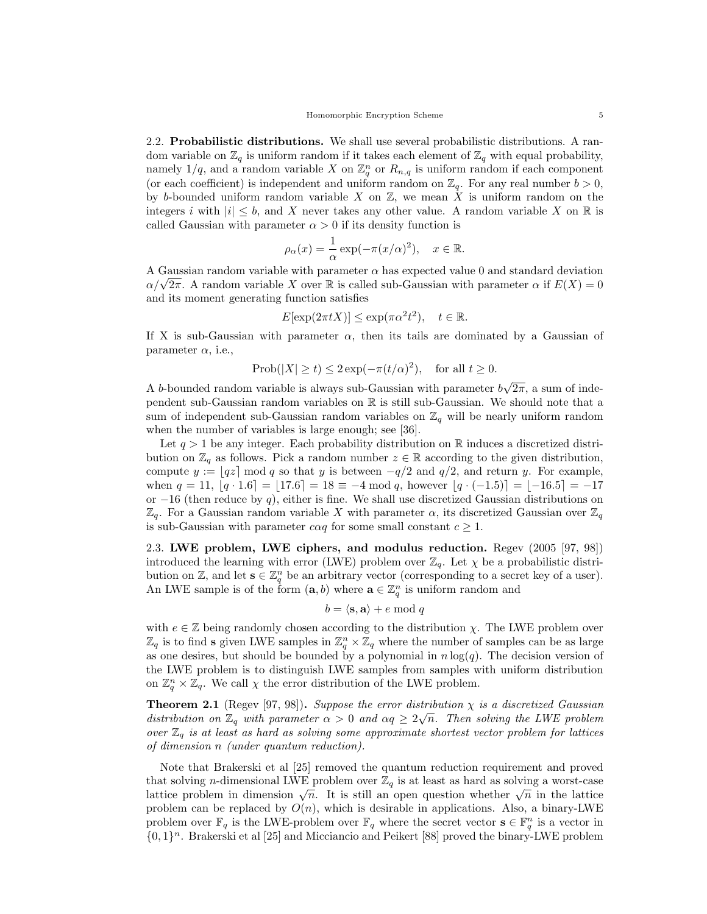2.2. Probabilistic distributions. We shall use several probabilistic distributions. A random variable on  $\mathbb{Z}_q$  is uniform random if it takes each element of  $\mathbb{Z}_q$  with equal probability, namely  $1/q$ , and a random variable X on  $\mathbb{Z}_q^n$  or  $R_{n,q}$  is uniform random if each component (or each coefficient) is independent and uniform random on  $\mathbb{Z}_q$ . For any real number  $b > 0$ , by b-bounded uniform random variable  $X$  on  $\mathbb{Z}$ , we mean  $X$  is uniform random on the integers i with  $|i| \leq b$ , and X never takes any other value. A random variable X on R is called Gaussian with parameter  $\alpha > 0$  if its density function is

$$
\rho_{\alpha}(x) = \frac{1}{\alpha} \exp(-\pi (x/\alpha)^2), \quad x \in \mathbb{R}.
$$

A Gaussian random variable with parameter  $\alpha$  has expected value 0 and standard deviation A Gaussian random variable with parameter  $\alpha$  has expected value 0 and standard deviation  $\alpha/\sqrt{2\pi}$ . A random variable X over R is called sub-Gaussian with parameter  $\alpha$  if  $E(X) = 0$ and its moment generating function satisfies

$$
E[\exp(2\pi t X)] \le \exp(\pi \alpha^2 t^2), \quad t \in \mathbb{R}.
$$

If X is sub-Gaussian with parameter  $\alpha$ , then its tails are dominated by a Gaussian of parameter  $\alpha$ , i.e.,

$$
Prob(|X| \ge t) \le 2 \exp(-\pi (t/\alpha)^2), \text{ for all } t \ge 0.
$$

A b-bounded random variable is always sub-Gaussian with parameter b √  $2\pi$ , a sum of independent sub-Gaussian random variables on R is still sub-Gaussian. We should note that a sum of independent sub-Gaussian random variables on  $\mathbb{Z}_q$  will be nearly uniform random when the number of variables is large enough; see [36].

Let  $q > 1$  be any integer. Each probability distribution on R induces a discretized distribution on  $\mathbb{Z}_q$  as follows. Pick a random number  $z \in \mathbb{R}$  according to the given distribution, compute  $y := |qz| \mod q$  so that y is between  $-q/2$  and  $q/2$ , and return y. For example, when  $q = 11, |q \cdot 1.6| = |17.6| = 18 \equiv -4 \mod q$ , however  $|q \cdot (-1.5)| = |-16.5| = -17$ or  $-16$  (then reduce by q), either is fine. We shall use discretized Gaussian distributions on  $\mathbb{Z}_q$ . For a Gaussian random variable X with parameter  $\alpha$ , its discretized Gaussian over  $\mathbb{Z}_q$ is sub-Gaussian with parameter  $c \alpha q$  for some small constant  $c \geq 1$ .

2.3. LWE problem, LWE ciphers, and modulus reduction. Regev (2005 [97, 98]) introduced the learning with error (LWE) problem over  $\mathbb{Z}_q$ . Let  $\chi$  be a probabilistic distribution on Z, and let  $\mathbf{s} \in \mathbb{Z}_q^n$  be an arbitrary vector (corresponding to a secret key of a user). An LWE sample is of the form  $(a, b)$  where  $a \in \mathbb{Z}_q^n$  is uniform random and

# $b = \langle \mathbf{s}, \mathbf{a} \rangle + e \bmod q$

with  $e \in \mathbb{Z}$  being randomly chosen according to the distribution  $\chi$ . The LWE problem over  $\mathbb{Z}_q$  is to find s given LWE samples in  $\mathbb{Z}_q^n \times \mathbb{Z}_q$  where the number of samples can be as large as one desires, but should be bounded by a polynomial in  $n \log(q)$ . The decision version of the LWE problem is to distinguish LWE samples from samples with uniform distribution on  $\mathbb{Z}_q^n \times \mathbb{Z}_q$ . We call  $\chi$  the error distribution of the LWE problem.

**Theorem 2.1** (Regev [97, 98]). Suppose the error distribution  $\chi$  is a discretized Gaussian distribution on  $\mathbb{Z}_q$  with parameter  $\alpha > 0$  and  $\alpha q \geq 2\sqrt{n}$ . Then solving the LWE problem over  $\mathbb{Z}_q$  is at least as hard as solving some approximate shortest vector problem for lattices of dimension n (under quantum reduction).

Note that Brakerski et al [25] removed the quantum reduction requirement and proved that solving n-dimensional LWE problem over  $\mathbb{Z}_q$  is at least as hard as solving a worst-case lattice problem in dimension  $\sqrt{n}$ . It is still an open question whether  $\sqrt{n}$  in the lattice problem in dimension  $\sqrt{n}$ . It is still an open question whether  $\sqrt{n}$  in the lattice problem can be replaced by  $O(n)$ , which is desirable in applications. Also, a binary-LWE problem over  $\mathbb{F}_q$  is the LWE-problem over  $\mathbb{F}_q$  where the secret vector  $\mathbf{s} \in \mathbb{F}_q^n$  is a vector in  $\{0,1\}$ <sup>n</sup>. Brakerski et al [25] and Micciancio and Peikert [88] proved the binary-LWE problem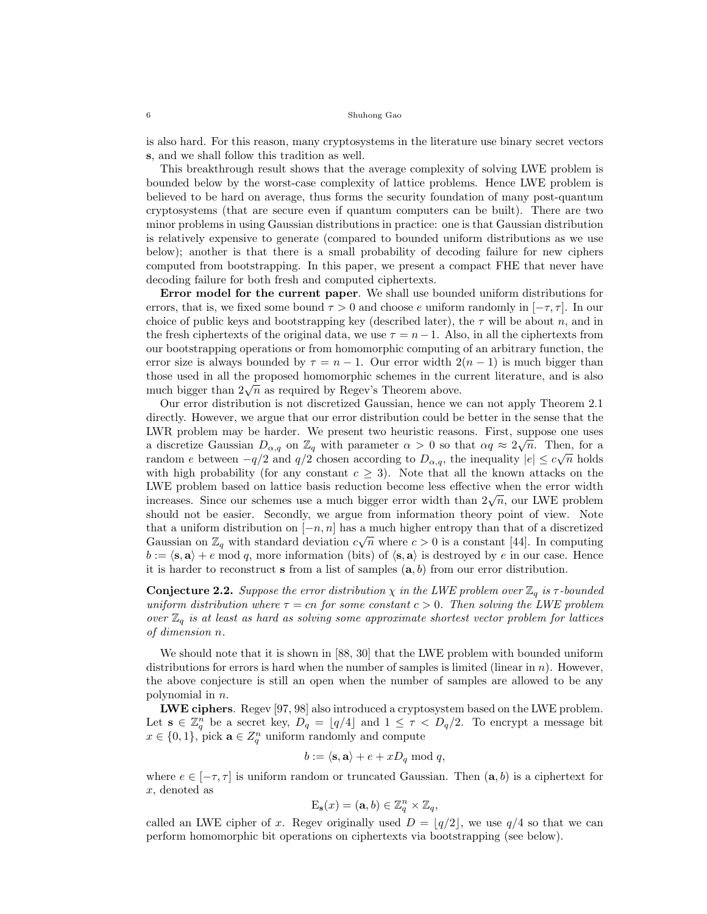is also hard. For this reason, many cryptosystems in the literature use binary secret vectors s, and we shall follow this tradition as well.

This breakthrough result shows that the average complexity of solving LWE problem is bounded below by the worst-case complexity of lattice problems. Hence LWE problem is believed to be hard on average, thus forms the security foundation of many post-quantum cryptosystems (that are secure even if quantum computers can be built). There are two minor problems in using Gaussian distributions in practice: one is that Gaussian distribution is relatively expensive to generate (compared to bounded uniform distributions as we use below); another is that there is a small probability of decoding failure for new ciphers computed from bootstrapping. In this paper, we present a compact FHE that never have decoding failure for both fresh and computed ciphertexts.

Error model for the current paper. We shall use bounded uniform distributions for errors, that is, we fixed some bound  $\tau > 0$  and choose e uniform randomly in  $[-\tau, \tau]$ . In our choice of public keys and bootstrapping key (described later), the  $\tau$  will be about n, and in the fresh ciphertexts of the original data, we use  $\tau = n-1$ . Also, in all the ciphertexts from our bootstrapping operations or from homomorphic computing of an arbitrary function, the error size is always bounded by  $\tau = n - 1$ . Our error width  $2(n - 1)$  is much bigger than those used in all the proposed homomorphic schemes in the current literature, and is also those used in an the proposed nonlomorphic schemes in the computation bigger than  $2\sqrt{n}$  as required by Regev's Theorem above.

Our error distribution is not discretized Gaussian, hence we can not apply Theorem 2.1 directly. However, we argue that our error distribution could be better in the sense that the LWR problem may be harder. We present two heuristic reasons. First, suppose one uses a discretize Gaussian  $D_{\alpha,q}$  on  $\mathbb{Z}_q$  with parameter  $\alpha > 0$  so that  $\alpha q \approx 2\sqrt{n}$ . Then, for a random e between  $-q/2$  and  $q/2$  chosen according to  $D_{\alpha,q}$ , the inequality  $|e| \leq c\sqrt{n}$  holds with high probability (for any constant  $c \geq 3$ ). Note that all the known attacks on the LWE problem based on lattice basis reduction become less effective when the error width  $\mu$  problem based on lattice basis reduction become less enective when the error width increases. Since our schemes use a much bigger error width than  $2\sqrt{n}$ , our LWE problem should not be easier. Secondly, we argue from information theory point of view. Note that a uniform distribution on  $[-n, n]$  has a much higher entropy than that of a discretized Gaussian on  $\mathbb{Z}_q$  with standard deviation  $c\sqrt{n}$  where  $c > 0$  is a constant [44]. In computing  $b := \langle s, a \rangle + e \text{ mod } q$ , more information (bits) of  $\langle s, a \rangle$  is destroyed by e in our case. Hence it is harder to reconstruct s from a list of samples  $(a, b)$  from our error distribution.

**Conjecture 2.2.** Suppose the error distribution  $\chi$  in the LWE problem over  $\mathbb{Z}_q$  is  $\tau$ -bounded uniform distribution where  $\tau = cn$  for some constant  $c > 0$ . Then solving the LWE problem over  $\mathbb{Z}_q$  is at least as hard as solving some approximate shortest vector problem for lattices of dimension n.

We should note that it is shown in [88, 30] that the LWE problem with bounded uniform distributions for errors is hard when the number of samples is limited (linear in  $n$ ). However, the above conjecture is still an open when the number of samples are allowed to be any polynomial in n.

LWE ciphers. Regev [97, 98] also introduced a cryptosystem based on the LWE problem. Let  $\mathbf{s} \in \mathbb{Z}_q^n$  be a secret key,  $D_q = \lfloor q/4 \rfloor$  and  $1 \leq \tau \langle D_q/2 \rangle$ . To encrypt a message bit  $x \in \{0,1\}$ , pick  $\mathbf{a} \in \mathbb{Z}_q^n$  uniform randomly and compute

$$
b := \langle \mathbf{s}, \mathbf{a} \rangle + e + x D_q \bmod q,
$$

where  $e \in [-\tau, \tau]$  is uniform random or truncated Gaussian. Then  $(a, b)$  is a ciphertext for x, denoted as

$$
\mathcal{E}_{\mathbf{s}}(x) = (\mathbf{a}, b) \in \mathbb{Z}_q^n \times \mathbb{Z}_q,
$$

called an LWE cipher of x. Regev originally used  $D = \lfloor q/2 \rfloor$ , we use  $q/4$  so that we can perform homomorphic bit operations on ciphertexts via bootstrapping (see below).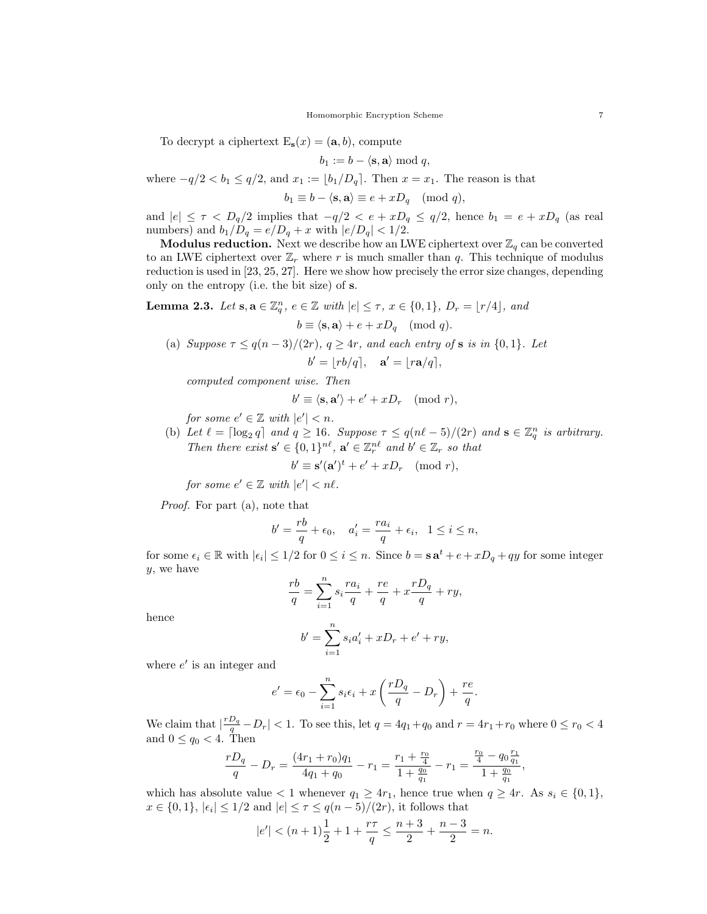To decrypt a ciphertext  $E_s(x) = (a, b)$ , compute

$$
b_1 := b - \langle \mathbf{s}, \mathbf{a} \rangle \bmod q,
$$

where  $-q/2 < b_1 \le q/2$ , and  $x_1 := |b_1/D_q|$ . Then  $x = x_1$ . The reason is that

 $b_1 \equiv b - \langle \mathbf{s}, \mathbf{a} \rangle \equiv e + xD_q \pmod{q},$ 

and  $|e| \leq \tau \langle D_q/2 \rangle$  implies that  $-q/2 \langle e + xD_q \rangle \leq q/2$ , hence  $b_1 = e + xD_q$  (as real numbers) and  $b_1/D_q = e/D_q + x$  with  $|e/D_q| < 1/2$ .

**Modulus reduction.** Next we describe how an LWE ciphertext over  $\mathbb{Z}_q$  can be converted to an LWE ciphertext over  $\mathbb{Z}_r$  where r is much smaller than q. This technique of modulus reduction is used in [23, 25, 27]. Here we show how precisely the error size changes, depending only on the entropy (i.e. the bit size) of s.

**Lemma 2.3.** Let  $s, a \in \mathbb{Z}_q^n$ ,  $e \in \mathbb{Z}$  with  $|e| \leq \tau$ ,  $x \in \{0, 1\}$ ,  $D_r = \lfloor r/4 \rfloor$ , and  $b \equiv \langle \mathbf{s}, \mathbf{a} \rangle + e + xD_a \pmod{q}.$ 

(a) Suppose  $\tau \leq q(n-3)/(2r)$ ,  $q \geq 4r$ , and each entry of **s** is in  $\{0,1\}$ . Let  $b' = |rb/q|, \quad \mathbf{a}' = |ra/q|,$ 

computed component wise. Then

$$
b' \equiv \langle \mathbf{s}, \mathbf{a}' \rangle + e' + x D_r \pmod{r},
$$

for some  $e' \in \mathbb{Z}$  with  $|e'| < n$ .

(b) Let  $\ell = \lceil \log_2 q \rceil$  and  $q \ge 16$ . Suppose  $\tau \le q(n\ell - 5)/(2r)$  and  $\mathbf{s} \in \mathbb{Z}_q^n$  is arbitrary. Then there exist  $\mathbf{s}' \in \{0,1\}^{n\ell}$ ,  $\mathbf{a}' \in \mathbb{Z}_r^{n\ell}$  and  $b' \in \mathbb{Z}_r$  so that

$$
b' \equiv \mathbf{s}'(\mathbf{a}')^t + e' + xD_r \pmod{r},
$$

for some  $e' \in \mathbb{Z}$  with  $|e'| < n\ell$ .

Proof. For part (a), note that

$$
b' = \frac{rb}{q} + \epsilon_0, \quad a'_i = \frac{ra_i}{q} + \epsilon_i, \quad 1 \le i \le n,
$$

for some  $\epsilon_i \in \mathbb{R}$  with  $|\epsilon_i| \leq 1/2$  for  $0 \leq i \leq n$ . Since  $b = \mathbf{s} \mathbf{a}^t + e + xD_q + qy$  for some integer y, we have

$$
\frac{rb}{q} = \sum_{i=1}^n s_i \frac{ra_i}{q} + \frac{re}{q} + x \frac{rD_q}{q} + ry,
$$

hence

$$
b' = \sum_{i=1}^{n} s_i a'_i + x D_r + e' + r y,
$$

where  $e'$  is an integer and

$$
e' = \epsilon_0 - \sum_{i=1}^n s_i \epsilon_i + x \left( \frac{rD_q}{q} - D_r \right) + \frac{re}{q}.
$$

We claim that  $\left|\frac{rD_q}{q}-D_r\right| < 1$ . To see this, let  $q = 4q_1+q_0$  and  $r = 4r_1+r_0$  where  $0 \le r_0 < 4$ and  $0 \leq q_0 < 4$ . Then

$$
\frac{rD_q}{q} - D_r = \frac{(4r_1 + r_0)q_1}{4q_1 + q_0} - r_1 = \frac{r_1 + \frac{r_0}{4}}{1 + \frac{q_0}{q_1}} - r_1 = \frac{\frac{r_0}{4} - q_0 \frac{r_1}{q_1}}{1 + \frac{q_0}{q_1}}
$$

,

which has absolute value < 1 whenever  $q_1 \geq 4r_1$ , hence true when  $q \geq 4r$ . As  $s_i \in \{0, 1\}$ ,  $x \in \{0, 1\}, |\epsilon_i| \leq 1/2$  and  $|e| \leq \tau \leq q(n-5)/(2r)$ , it follows that

$$
|e'| < (n+1)\frac{1}{2} + 1 + \frac{r\tau}{q} \le \frac{n+3}{2} + \frac{n-3}{2} = n.
$$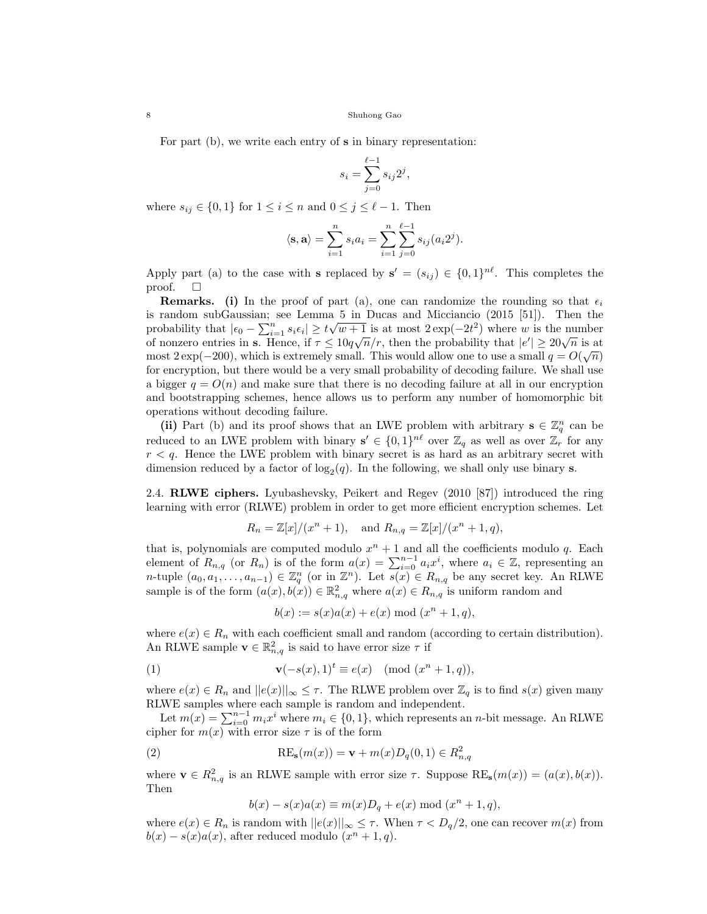For part (b), we write each entry of s in binary representation:

$$
s_i = \sum_{j=0}^{\ell-1} s_{ij} 2^j,
$$

where  $s_{ij} \in \{0,1\}$  for  $1 \leq i \leq n$  and  $0 \leq j \leq \ell - 1$ . Then

$$
\langle \mathbf{s}, \mathbf{a} \rangle = \sum_{i=1}^{n} s_i a_i = \sum_{i=1}^{n} \sum_{j=0}^{\ell-1} s_{ij} (a_i 2^j).
$$

Apply part (a) to the case with **s** replaced by  $s' = (s_{ij}) \in \{0,1\}^{n\ell}$ . This completes the proof.  $\square$ 

**Remarks.** (i) In the proof of part (a), one can randomize the rounding so that  $\epsilon_i$ is random subGaussian; see Lemma 5 in Ducas and Micciancio (2015 [51]). Then the probability that  $|\epsilon_0 - \sum_{i=1}^n s_i \epsilon_i| \ge t\sqrt{w+1}$  is at most  $2 \exp(-2t^2)$  where w is the number probability that  $|\epsilon_0 - \sum_{i=1} s_i \epsilon_i| \leq \ell \sqrt{w+1}$  is at most  $2 \exp(-2\ell)$  where w is the number<br>of nonzero entries in **s**. Hence, if  $\tau \leq 10q\sqrt{n}/r$ , then the probability that  $|e'| \geq 20\sqrt{n}$  is at most 2 exp(-200), which is extremely small. This would allow one to use a small  $q = O(\sqrt{n})$ for encryption, but there would be a very small probability of decoding failure. We shall use a bigger  $q = O(n)$  and make sure that there is no decoding failure at all in our encryption and bootstrapping schemes, hence allows us to perform any number of homomorphic bit operations without decoding failure.

(ii) Part (b) and its proof shows that an LWE problem with arbitrary  $\mathbf{s} \in \mathbb{Z}_q^n$  can be reduced to an LWE problem with binary  $s' \in \{0,1\}^{n\ell}$  over  $\mathbb{Z}_q$  as well as over  $\mathbb{Z}_r$  for any  $r < q$ . Hence the LWE problem with binary secret is as hard as an arbitrary secret with dimension reduced by a factor of  $\log_2(q)$ . In the following, we shall only use binary **s**.

2.4. RLWE ciphers. Lyubashevsky, Peikert and Regev (2010 [87]) introduced the ring learning with error (RLWE) problem in order to get more efficient encryption schemes. Let

$$
R_n = \mathbb{Z}[x]/(x^n + 1)
$$
, and  $R_{n,q} = \mathbb{Z}[x]/(x^n + 1, q)$ ,

that is, polynomials are computed modulo  $x^n + 1$  and all the coefficients modulo q. Each element of  $R_{n,q}$  (or  $R_n$ ) is of the form  $a(x) = \sum_{i=0}^{n-1} a_i x^i$ , where  $a_i \in \mathbb{Z}$ , representing an *n*-tuple  $(a_0, a_1, \ldots, a_{n-1}) \in \mathbb{Z}_q^n$  (or in  $\mathbb{Z}^n$ ). Let  $\overline{s(x)} \in R_{n,q}$  be any secret key. An RLWE sample is of the form  $(a(x), b(x)) \in \mathbb{R}^2_{n,q}$  where  $a(x) \in R_{n,q}$  is uniform random and

$$
b(x) := s(x)a(x) + e(x) \bmod (x^n + 1, q),
$$

where  $e(x) \in R_n$  with each coefficient small and random (according to certain distribution). An RLWE sample  $\mathbf{v} \in \mathbb{R}^2_{n,q}$  is said to have error size  $\tau$  if

(1) 
$$
\mathbf{v}(-s(x),1)^t \equiv e(x) \pmod{(x^n+1,q)},
$$

where  $e(x) \in R_n$  and  $||e(x)||_{\infty} \leq \tau$ . The RLWE problem over  $\mathbb{Z}_q$  is to find  $s(x)$  given many RLWE samples where each sample is random and independent.

Let  $m(x) = \sum_{i=0}^{n-1} m_i x^i$  where  $m_i \in \{0, 1\}$ , which represents an *n*-bit message. An RLWE cipher for  $m(x)$  with error size  $\tau$  is of the form

(2) 
$$
RE_{s}(m(x)) = \mathbf{v} + m(x)D_q(0,1) \in R_{n,q}^2
$$

where  $\mathbf{v} \in R_{n,q}^2$  is an RLWE sample with error size  $\tau$ . Suppose  $\text{RE}_{\mathbf{s}}(m(x)) = (a(x), b(x)).$ Then

$$
b(x) - s(x)a(x) \equiv m(x)D_q + e(x) \bmod (x^n + 1, q),
$$

where  $e(x) \in R_n$  is random with  $||e(x)||_{\infty} \leq \tau$ . When  $\tau < D_q/2$ , one can recover  $m(x)$  from  $b(x) - s(x)a(x)$ , after reduced modulo  $(x<sup>n</sup> + 1, q)$ .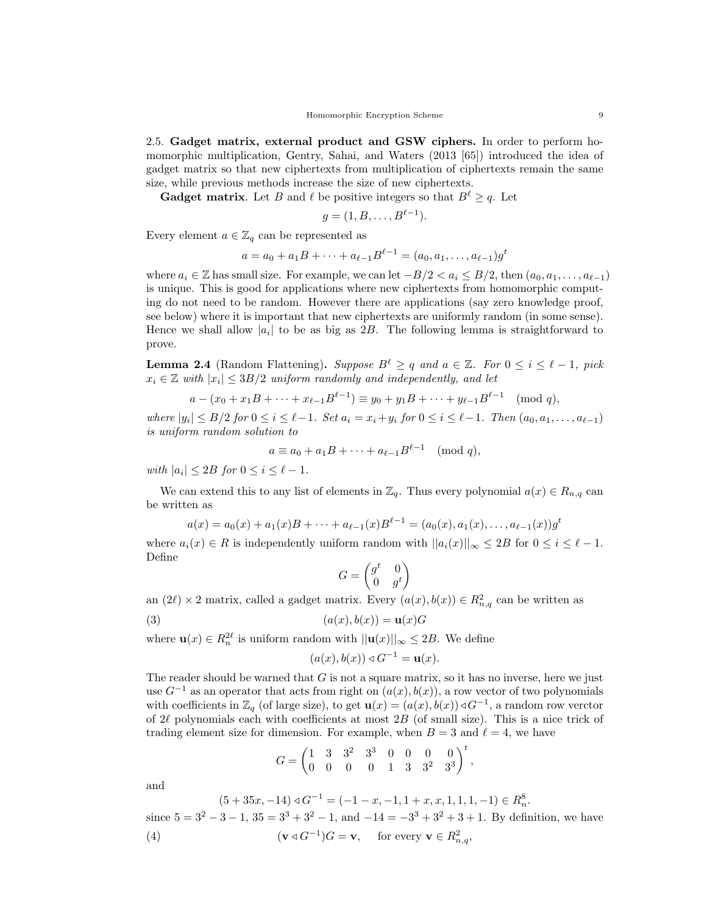2.5. Gadget matrix, external product and GSW ciphers. In order to perform homomorphic multiplication, Gentry, Sahai, and Waters (2013 [65]) introduced the idea of gadget matrix so that new ciphertexts from multiplication of ciphertexts remain the same size, while previous methods increase the size of new ciphertexts.

**Gadget matrix.** Let B and  $\ell$  be positive integers so that  $B^{\ell} \geq q$ . Let

$$
g=(1,B,\ldots,B^{\ell-1}).
$$

Every element  $a \in \mathbb{Z}_q$  can be represented as

$$
a = a_0 + a_1B + \dots + a_{\ell-1}B^{\ell-1} = (a_0, a_1, \dots, a_{\ell-1})g^t
$$

where  $a_i \in \mathbb{Z}$  has small size. For example, we can let  $-B/2 < a_i \leq B/2$ , then  $(a_0, a_1, \ldots, a_{\ell-1})$ is unique. This is good for applications where new ciphertexts from homomorphic computing do not need to be random. However there are applications (say zero knowledge proof, see below) where it is important that new ciphertexts are uniformly random (in some sense). Hence we shall allow  $|a_i|$  to be as big as 2B. The following lemma is straightforward to prove.

**Lemma 2.4** (Random Flattening). Suppose  $B^{\ell} \geq q$  and  $a \in \mathbb{Z}$ . For  $0 \leq i \leq \ell - 1$ , pick  $x_i \in \mathbb{Z}$  with  $|x_i| \leq 3B/2$  uniform randomly and independently, and let

$$
a - (x_0 + x_1B + \dots + x_{\ell-1}B^{\ell-1}) \equiv y_0 + y_1B + \dots + y_{\ell-1}B^{\ell-1} \pmod{q},
$$

where  $|y_i|$  ≤ B/2 for  $0 \le i \le \ell - 1$ . Set  $a_i = x_i + y_i$  for  $0 \le i \le \ell - 1$ . Then  $(a_0, a_1, \ldots, a_{\ell-1})$ is uniform random solution to

$$
a \equiv a_0 + a_1 B + \dots + a_{\ell-1} B^{\ell-1} \pmod{q},
$$

with  $|a_i| \leq 2B$  for  $0 \leq i \leq \ell - 1$ .

We can extend this to any list of elements in  $\mathbb{Z}_q$ . Thus every polynomial  $a(x) \in R_{n,q}$  can be written as

$$
a(x) = a_0(x) + a_1(x)B + \cdots + a_{\ell-1}(x)B^{\ell-1} = (a_0(x), a_1(x), \ldots, a_{\ell-1}(x))g^t
$$

where  $a_i(x) \in R$  is independently uniform random with  $||a_i(x)||_{\infty} \leq 2B$  for  $0 \leq i \leq \ell - 1$ . Define

$$
G = \begin{pmatrix} g^t & 0 \\ 0 & g^t \end{pmatrix}
$$

an  $(2\ell) \times 2$  matrix, called a gadget matrix. Every  $(a(x), b(x)) \in R^2_{n,q}$  can be written as

$$
(3) \qquad (a(x), b(x)) = \mathbf{u}(x)G
$$

where  $\mathbf{u}(x) \in R_n^{2\ell}$  is uniform random with  $||\mathbf{u}(x)||_{\infty} \leq 2B$ . We define

$$
(a(x), b(x)) \triangleleft G^{-1} = \mathbf{u}(x).
$$

The reader should be warned that  $G$  is not a square matrix, so it has no inverse, here we just use  $G^{-1}$  as an operator that acts from right on  $(a(x), b(x))$ , a row vector of two polynomials with coefficients in  $\mathbb{Z}_q$  (of large size), to get  $\mathbf{u}(x) = (a(x), b(x)) \triangleleft G^{-1}$ , a random row verctor of 2 $\ell$  polynomials each with coefficients at most 2B (of small size). This is a nice trick of trading element size for dimension. For example, when  $B = 3$  and  $\ell = 4$ , we have

$$
G = \begin{pmatrix} 1 & 3 & 3^2 & 3^3 & 0 & 0 & 0 & 0 \\ 0 & 0 & 0 & 0 & 1 & 3 & 3^2 & 3^3 \end{pmatrix}^t,
$$

and

$$
(5+35x, -14) \triangleleft G^{-1} = (-1-x, -1, 1+x, x, 1, 1, 1, -1) \in R_n^8.
$$
  
since  $5 = 3^2 - 3 - 1$ ,  $35 = 3^3 + 3^2 - 1$ , and  $-14 = -3^3 + 3^2 + 3 + 1$ . By definition, we have  
(4)  $(\mathbf{v} \triangleleft G^{-1})G = \mathbf{v}$ , for every  $\mathbf{v} \in R_{n,q}^2$ ,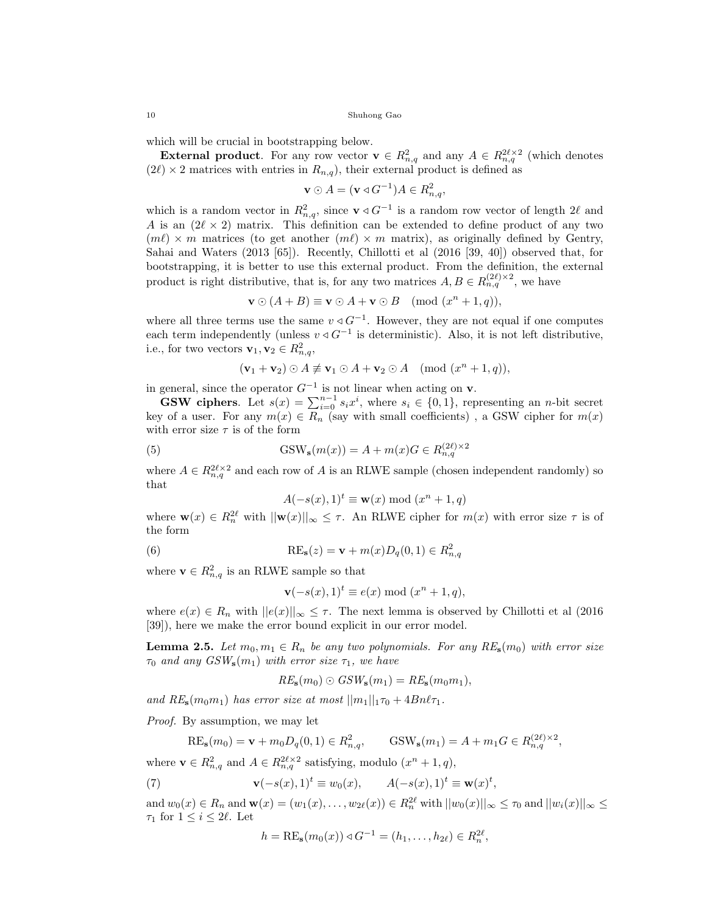which will be crucial in bootstrapping below.

**External product**. For any row vector  $\mathbf{v} \in R_{n,q}^2$  and any  $A \in R_{n,q}^{2\ell \times 2}$  (which denotes  $(2\ell) \times 2$  matrices with entries in  $R_{n,q}$ , their external product is defined as

$$
\mathbf{v}\odot A = (\mathbf{v}\triangleleft G^{-1})A \in R_{n,q}^2,
$$

which is a random vector in  $R^2_{n,q}$ , since  $\mathbf{v} \triangleleft G^{-1}$  is a random row vector of length 2 $\ell$  and A is an  $(2\ell \times 2)$  matrix. This definition can be extended to define product of any two  $(m\ell) \times m$  matrices (to get another  $(m\ell) \times m$  matrix), as originally defined by Gentry, Sahai and Waters (2013 [65]). Recently, Chillotti et al (2016 [39, 40]) observed that, for bootstrapping, it is better to use this external product. From the definition, the external product is right distributive, that is, for any two matrices  $A, B \in R_{n,q}^{(2\ell)\times 2}$ , we have

$$
\mathbf{v}\odot (A+B)\equiv \mathbf{v}\odot A+\mathbf{v}\odot B\pmod{(x^n+1,q)},
$$

where all three terms use the same  $v \triangleleft G^{-1}$ . However, they are not equal if one computes each term independently (unless  $v \triangleleft G^{-1}$  is deterministic). Also, it is not left distributive, i.e., for two vectors  $\mathbf{v}_1, \mathbf{v}_2 \in R^2_{n,q}$ ,

$$
(\mathbf{v}_1 + \mathbf{v}_2) \odot A \not\equiv \mathbf{v}_1 \odot A + \mathbf{v}_2 \odot A \pmod{(x^n + 1, q)},
$$

in general, since the operator  $G^{-1}$  is not linear when acting on **v**.

**GSW ciphers.** Let  $s(x) = \sum_{i=0}^{n-1} s_i x^i$ , where  $s_i \in \{0, 1\}$ , representing an *n*-bit secret key of a user. For any  $m(x) \in R_n$  (say with small coefficients), a GSW cipher for  $m(x)$ with error size  $\tau$  is of the form

(5) 
$$
GSW_s(m(x)) = A + m(x)G \in R_{n,q}^{(2\ell)\times 2}
$$

where  $A \in R_{n,q}^{2\ell \times 2}$  and each row of A is an RLWE sample (chosen independent randomly) so that

$$
A(-s(x),1)^t \equiv \mathbf{w}(x) \bmod (x^n+1,q)
$$

where  $\mathbf{w}(x) \in R_n^{2\ell}$  with  $||\mathbf{w}(x)||_{\infty} \leq \tau$ . An RLWE cipher for  $m(x)$  with error size  $\tau$  is of the form

(6) 
$$
RE_{s}(z) = \mathbf{v} + m(x)D_q(0,1) \in R^2_{n,q}
$$

where  $\mathbf{v} \in R_{n,q}^2$  is an RLWE sample so that

$$
\mathbf{v}(-s(x),1)^t \equiv e(x) \bmod (x^n+1,q),
$$

where  $e(x) \in R_n$  with  $||e(x)||_{\infty} \leq \tau$ . The next lemma is observed by Chillotti et al (2016) [39]), here we make the error bound explicit in our error model.

**Lemma 2.5.** Let  $m_0, m_1 \in R_n$  be any two polynomials. For any  $RE_s(m_0)$  with error size  $\tau_0$  and any  $GSW_s(m_1)$  with error size  $\tau_1$ , we have

$$
RE_{\mathbf{s}}(m_0) \odot GSW_{\mathbf{s}}(m_1) = RE_{\mathbf{s}}(m_0m_1),
$$

and  $RE_s(m_0m_1)$  has error size at most  $||m_1||_1\tau_0 + 4Bn\ell\tau_1$ .

Proof. By assumption, we may let

$$
RE_{s}(m_0) = \mathbf{v} + m_0 D_q(0, 1) \in R_{n,q}^2, \qquad \text{GSW}_{s}(m_1) = A + m_1 G \in R_{n,q}^{(2\ell) \times 2},
$$

where  $\mathbf{v} \in R_{n,q}^2$  and  $A \in R_{n,q}^{2\ell \times 2}$  satisfying, modulo  $(x^n + 1, q)$ ,

(7) 
$$
\mathbf{v}(-s(x), 1)^t \equiv w_0(x), \qquad A(-s(x), 1)^t \equiv \mathbf{w}(x)^t,
$$

and  $w_0(x) \in R_n$  and  $\mathbf{w}(x) = (w_1(x), \dots, w_{2\ell}(x)) \in R_n^{2\ell}$  with  $||w_0(x)||_{\infty} \le \tau_0$  and  $||w_i(x)||_{\infty} \le$  $\tau_1$  for  $1 \leq i \leq 2\ell$ . Let

$$
h = \text{RE}_{s}(m_0(x)) \triangleleft G^{-1} = (h_1, \dots, h_{2\ell}) \in R_n^{2\ell},
$$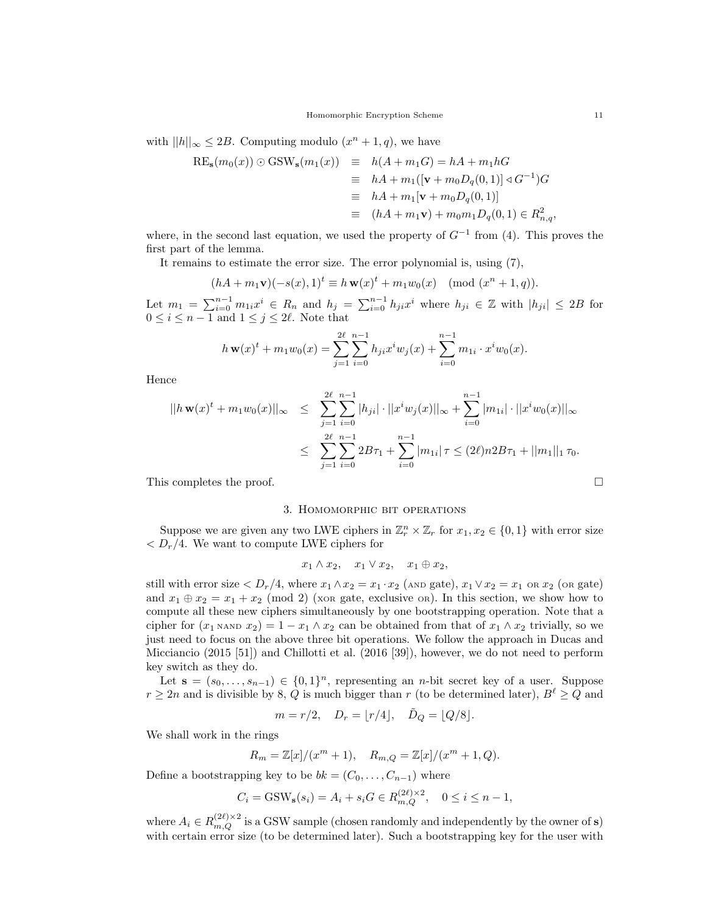with  $||h||_{\infty} \leq 2B$ . Computing modulo  $(x^{n} + 1, q)$ , we have

$$
RE_s(m_0(x)) \odot GSW_s(m_1(x)) \equiv h(A + m_1G) = hA + m_1hG
$$
  
\n
$$
\equiv hA + m_1([v + m_0D_q(0, 1)] \triangleleft G^{-1})G
$$
  
\n
$$
\equiv hA + m_1[v + m_0D_q(0, 1)]
$$
  
\n
$$
\equiv (hA + m_1v) + m_0m_1D_q(0, 1) \in R^2_{n,q},
$$

where, in the second last equation, we used the property of  $G^{-1}$  from (4). This proves the first part of the lemma.

It remains to estimate the error size. The error polynomial is, using (7),

$$
(hA + m_1 \mathbf{v})(-s(x), 1)^t \equiv h \mathbf{w}(x)^t + m_1 w_0(x) \pmod{(x^n + 1, q)}.
$$

Let  $m_1 = \sum_{i=0}^{n-1} m_{1i} x^i \in R_n$  and  $h_j = \sum_{i=0}^{n-1} h_{ji} x^i$  where  $h_{ji} \in \mathbb{Z}$  with  $|h_{ji}| \leq 2B$  for  $0 \leq i \leq n-1$  and  $1 \leq j \leq 2\ell$ . Note that

$$
h \mathbf{w}(x)^{t} + m_{1}w_{0}(x) = \sum_{j=1}^{2\ell} \sum_{i=0}^{n-1} h_{ji}x^{i}w_{j}(x) + \sum_{i=0}^{n-1} m_{1i} \cdot x^{i}w_{0}(x).
$$

Hence

$$
||h \mathbf{w}(x)^{t} + m_{1}w_{0}(x)||_{\infty} \leq \sum_{j=1}^{2\ell} \sum_{i=0}^{n-1} |h_{ji}| \cdot ||x^{i}w_{j}(x)||_{\infty} + \sum_{i=0}^{n-1} |m_{1i}| \cdot ||x^{i}w_{0}(x)||_{\infty}
$$
  

$$
\leq \sum_{j=1}^{2\ell} \sum_{i=0}^{n-1} 2B\tau_{1} + \sum_{i=0}^{n-1} |m_{1i}| \tau \leq (2\ell)n2B\tau_{1} + ||m_{1}||_{1} \tau_{0}.
$$
  
This completes the proof.

## 3. Homomorphic bit operations

Suppose we are given any two LWE ciphers in  $\mathbb{Z}_r^n \times \mathbb{Z}_r$  for  $x_1, x_2 \in \{0, 1\}$  with error size  $\langle D_r/4.$  We want to compute LWE ciphers for

$$
x_1 \wedge x_2, \quad x_1 \vee x_2, \quad x_1 \oplus x_2,
$$

still with error size  $\langle D_r/4$ , where  $x_1 \wedge x_2 = x_1 \cdot x_2$  (AND gate),  $x_1 \vee x_2 = x_1$  or  $x_2$  (or gate) and  $x_1 \oplus x_2 = x_1 + x_2 \pmod{2}$  (xore gate, exclusive or). In this section, we show how to compute all these new ciphers simultaneously by one bootstrapping operation. Note that a cipher for  $(x_1 \text{ NAND } x_2) = 1 - x_1 \wedge x_2$  can be obtained from that of  $x_1 \wedge x_2$  trivially, so we just need to focus on the above three bit operations. We follow the approach in Ducas and Micciancio (2015 [51]) and Chillotti et al. (2016 [39]), however, we do not need to perform key switch as they do.

Let  $\mathbf{s} = (s_0, \ldots, s_{n-1}) \in \{0,1\}^n$ , representing an *n*-bit secret key of a user. Suppose  $r \geq 2n$  and is divisible by 8, Q is much bigger than r (to be determined later),  $B^{\ell} \geq Q$  and

$$
m = r/2, \quad D_r = \lfloor r/4 \rfloor, \quad \tilde{D}_Q = \lfloor Q/8 \rfloor.
$$

We shall work in the rings

$$
R_m = \mathbb{Z}[x]/(x^m + 1), \quad R_{m,Q} = \mathbb{Z}[x]/(x^m + 1, Q).
$$

Define a bootstrapping key to be  $bk = (C_0, \ldots, C_{n-1})$  where

$$
C_i = \text{GSW}_s(s_i) = A_i + s_i G \in R_{m,Q}^{(2\ell)\times 2}, \quad 0 \le i \le n-1,
$$

where  $A_i \in R_{m,Q}^{(2\ell)\times 2}$  is a GSW sample (chosen randomly and independently by the owner of s) with certain error size (to be determined later). Such a bootstrapping key for the user with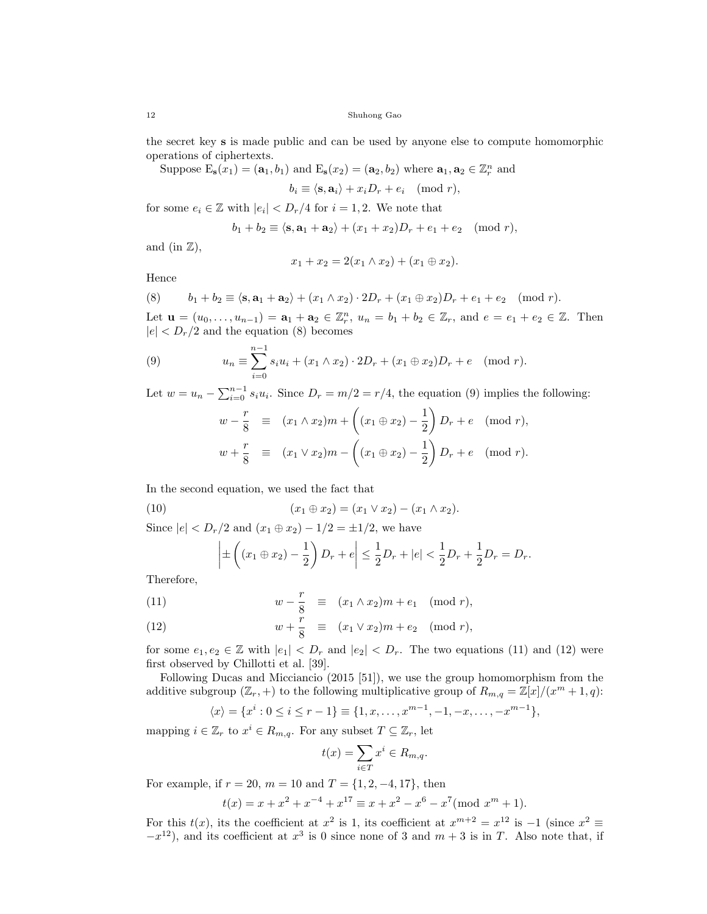the secret key s is made public and can be used by anyone else to compute homomorphic operations of ciphertexts.

Suppose  $E_s(x_1) = (a_1, b_1)$  and  $E_s(x_2) = (a_2, b_2)$  where  $a_1, a_2 \in \mathbb{Z}_r^n$  and

 $b_i \equiv \langle \mathbf{s}, \mathbf{a}_i \rangle + x_i D_r + e_i \pmod{r},$ 

for some  $e_i \in \mathbb{Z}$  with  $|e_i| < D_r/4$  for  $i = 1, 2$ . We note that

$$
b_1 + b_2 \equiv \langle \mathbf{s}, \mathbf{a}_1 + \mathbf{a}_2 \rangle + (x_1 + x_2)D_r + e_1 + e_2 \pmod{r},
$$

and (in  $\mathbb{Z}$ ),

$$
x_1 + x_2 = 2(x_1 \wedge x_2) + (x_1 \oplus x_2).
$$

Hence

(8) 
$$
b_1 + b_2 \equiv \langle \mathbf{s}, \mathbf{a}_1 + \mathbf{a}_2 \rangle + (x_1 \wedge x_2) \cdot 2D_r + (x_1 \oplus x_2)D_r + e_1 + e_2 \pmod{r}.
$$

Let  $\mathbf{u} = (u_0, \dots, u_{n-1}) = \mathbf{a}_1 + \mathbf{a}_2 \in \mathbb{Z}_r^n$ ,  $u_n = b_1 + b_2 \in \mathbb{Z}_r$ , and  $e = e_1 + e_2 \in \mathbb{Z}$ . Then  $|e| < D_r/2$  and the equation (8) becomes

(9) 
$$
u_n \equiv \sum_{i=0}^{n-1} s_i u_i + (x_1 \wedge x_2) \cdot 2D_r + (x_1 \oplus x_2)D_r + e \pmod{r}.
$$

Let  $w = u_n - \sum_{i=0}^{n-1} s_i u_i$ . Since  $D_r = m/2 = r/4$ , the equation (9) implies the following:

$$
w - \frac{r}{8} \equiv (x_1 \wedge x_2)m + ((x_1 \oplus x_2) - \frac{1}{2})D_r + e \pmod{r},
$$
  

$$
w + \frac{r}{8} \equiv (x_1 \vee x_2)m - ((x_1 \oplus x_2) - \frac{1}{2})D_r + e \pmod{r}.
$$

In the second equation, we used the fact that

(10) 
$$
(x_1 \oplus x_2) = (x_1 \vee x_2) - (x_1 \wedge x_2).
$$

Since  $|e| < D_r/2$  and  $(x_1 \oplus x_2) - 1/2 = \pm 1/2$ , we have

$$
\left| \pm \left( (x_1 \oplus x_2) - \frac{1}{2} \right) D_r + e \right| \le \frac{1}{2} D_r + |e| < \frac{1}{2} D_r + \frac{1}{2} D_r = D_r.
$$

Therefore,

(11) 
$$
w - \frac{r}{8} \equiv (x_1 \wedge x_2)m + e_1 \pmod{r},
$$

(12) 
$$
w + \frac{r}{8} \equiv (x_1 \vee x_2)m + e_2 \pmod{r},
$$

for some  $e_1, e_2 \in \mathbb{Z}$  with  $|e_1| < D_r$  and  $|e_2| < D_r$ . The two equations (11) and (12) were first observed by Chillotti et al. [39].

Following Ducas and Micciancio (2015 [51]), we use the group homomorphism from the additive subgroup  $(\mathbb{Z}_r, +)$  to the following multiplicative group of  $R_{m,q} = \mathbb{Z}[x]/(x^m + 1, q)$ :

$$
\langle x \rangle = \{x^i : 0 \le i \le r-1\} \equiv \{1, x, \dots, x^{m-1}, -1, -x, \dots, -x^{m-1}\},
$$

mapping  $i \in \mathbb{Z}_r$  to  $x^i \in R_{m,q}$ . For any subset  $T \subseteq \mathbb{Z}_r$ , let

$$
t(x) = \sum_{i \in T} x^i \in R_{m,q}.
$$

For example, if  $r = 20$ ,  $m = 10$  and  $T = \{1, 2, -4, 17\}$ , then

$$
t(x) = x + x2 + x-4 + x17 \equiv x + x2 - x6 - x7 \pmod{xm + 1}.
$$

For this  $t(x)$ , its the coefficient at  $x^2$  is 1, its coefficient at  $x^{m+2} = x^{12}$  is  $-1$  (since  $x^2 \equiv$  $-x^{12}$ ), and its coefficient at  $x^3$  is 0 since none of 3 and  $m+3$  is in T. Also note that, if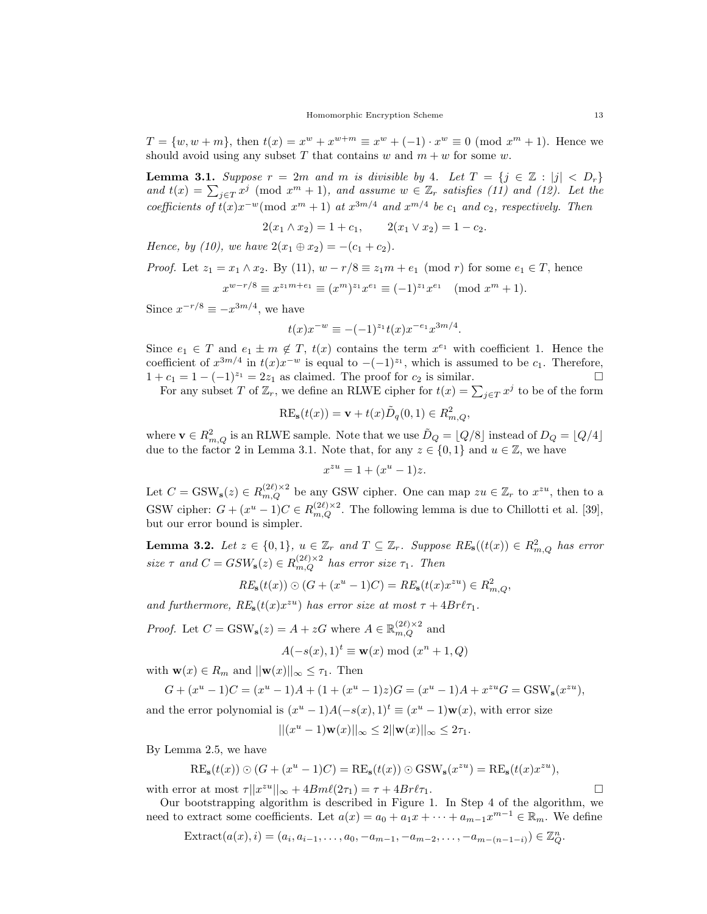$T = \{w, w + m\}$ , then  $t(x) = x^w + x^{w+m} \equiv x^w + (-1) \cdot x^w \equiv 0 \pmod{x^m + 1}$ . Hence we should avoid using any subset T that contains w and  $m + w$  for some w.

**Lemma 3.1.** Suppose  $r = 2m$  and m is divisible by 4. Let  $T = \{j \in \mathbb{Z} : |j| < D_r\}$ and  $t(x) = \sum_{j \in T} x^j \pmod{x^m + 1}$ , and assume  $w \in \mathbb{Z}_r$  satisfies (11) and (12). Let the coefficients of  $t(x)x^{-w} \pmod{x^m+1}$  at  $x^{3m/4}$  and  $x^{m/4}$  be  $c_1$  and  $c_2$ , respectively. Then

$$
2(x_1 \wedge x_2) = 1 + c_1, \qquad 2(x_1 \vee x_2) = 1 - c_2.
$$

Hence, by (10), we have  $2(x_1 \oplus x_2) = -(c_1 + c_2)$ .

*Proof.* Let  $z_1 = x_1 \wedge x_2$ . By (11),  $w - r/8 \equiv z_1 m + e_1 \pmod{r}$  for some  $e_1 \in T$ , hence

$$
x^{w-r/8} \equiv x^{z_1 m + e_1} \equiv (x^m)^{z_1} x^{e_1} \equiv (-1)^{z_1} x^{e_1} \pmod{x^m + 1}.
$$

Since  $x^{-r/8} \equiv -x^{3m/4}$ , we have

$$
t(x)x^{-w} \equiv -(-1)^{z_1}t(x)x^{-e_1}x^{3m/4}.
$$

Since  $e_1 \in T$  and  $e_1 \pm m \notin T$ ,  $t(x)$  contains the term  $x^{e_1}$  with coefficient 1. Hence the coefficient of  $x^{3m/4}$  in  $t(x)x^{-w}$  is equal to  $-(-1)^{z_1}$ , which is assumed to be  $c_1$ . Therefore,  $1 + c_1 = 1 - (-1)^{z_1} = 2z_1$  as claimed. The proof for  $c_2$  is similar.

For any subset T of  $\mathbb{Z}_r$ , we define an RLWE cipher for  $t(x) = \sum_{j \in T} x^j$  to be of the form

$$
RE_s(t(x)) = \mathbf{v} + t(x)\tilde{D}_q(0,1) \in R_{m,Q}^2,
$$

where  $\mathbf{v} \in R^2_{m,Q}$  is an RLWE sample. Note that we use  $\tilde{D}_Q = [Q/8]$  instead of  $D_Q = [Q/4]$ due to the factor 2 in Lemma 3.1. Note that, for any  $z \in \{0, 1\}$  and  $u \in \mathbb{Z}$ , we have

$$
x^{zu} = 1 + (x^u - 1)z.
$$

Let  $C = \text{GSW}_s(z) \in R_{m,Q}^{(2\ell)\times 2}$  be any GSW cipher. One can map  $zu \in \mathbb{Z}_r$  to  $x^{zu}$ , then to a GSW cipher:  $G + (x^u - 1)C \in R_{m,Q}^{(2\ell)\times 2}$ . The following lemma is due to Chillotti et al. [39], but our error bound is simpler.

**Lemma 3.2.** Let  $z \in \{0,1\}$ ,  $u \in \mathbb{Z}_r$  and  $T \subseteq \mathbb{Z}_r$ . Suppose  $RE_s((t(x)) \in R_{m,Q}^2$  has error size  $\tau$  and  $C = GSW_s(z) \in R_{m,Q}^{(2\ell)\times 2}$  has error size  $\tau_1$ . Then

$$
RE_{\mathbf{s}}(t(x)) \odot (G + (x^u - 1)C) = RE_{\mathbf{s}}(t(x)x^{zu}) \in R_{m,Q}^2
$$

and furthermore,  $RE_s(t(x)x^{zu})$  has error size at most  $\tau + 4Br\ell\tau_1$ .

*Proof.* Let  $C = \text{GSW}_s(z) = A + zG$  where  $A \in \mathbb{R}_{m,Q}^{(2\ell) \times 2}$  and  $A(-s(x), 1)^t \equiv \mathbf{w}(x) \bmod (x^n + 1, Q)$ 

with  $\mathbf{w}(x) \in R_m$  and  $||\mathbf{w}(x)||_{\infty} \leq \tau_1$ . Then

$$
G + (xu - 1)C = (xu - 1)A + (1 + (xu - 1)z)G = (xu - 1)A + xzuG = \text{GSW}_s(xzu),
$$

and the error polynomial is  $(x^u - 1)A(-s(x), 1)^t \equiv (x^u - 1)\mathbf{w}(x)$ , with error size

$$
||(x^u - 1)\mathbf{w}(x)||_{\infty} \le 2||\mathbf{w}(x)||_{\infty} \le 2\tau_1.
$$

By Lemma 2.5, we have

$$
RE_{\mathbf{s}}(t(x)) \odot (G + (x^u - 1)C) = RE_{\mathbf{s}}(t(x)) \odot \text{GSW}_{\mathbf{s}}(x^{zu}) = RE_{\mathbf{s}}(t(x)x^{zu}),
$$

with error at most  $\tau ||x^{zu}||_{\infty} + 4Bm\ell(2\tau_1) = \tau + 4Br\ell\tau_1.$ 

Our bootstrapping algorithm is described in Figure 1. In Step 4 of the algorithm, we need to extract some coefficients. Let  $a(x) = a_0 + a_1x + \cdots + a_{m-1}x^{m-1} \in \mathbb{R}_m$ . We define

$$
Extract(a(x), i)=(a_{i}, a_{i-1},...,a_0,-a_{m-1},-a_{m-2},...,-a_{m-(n-1-i)})\in\mathbb{Z}_{Q}^{n}.
$$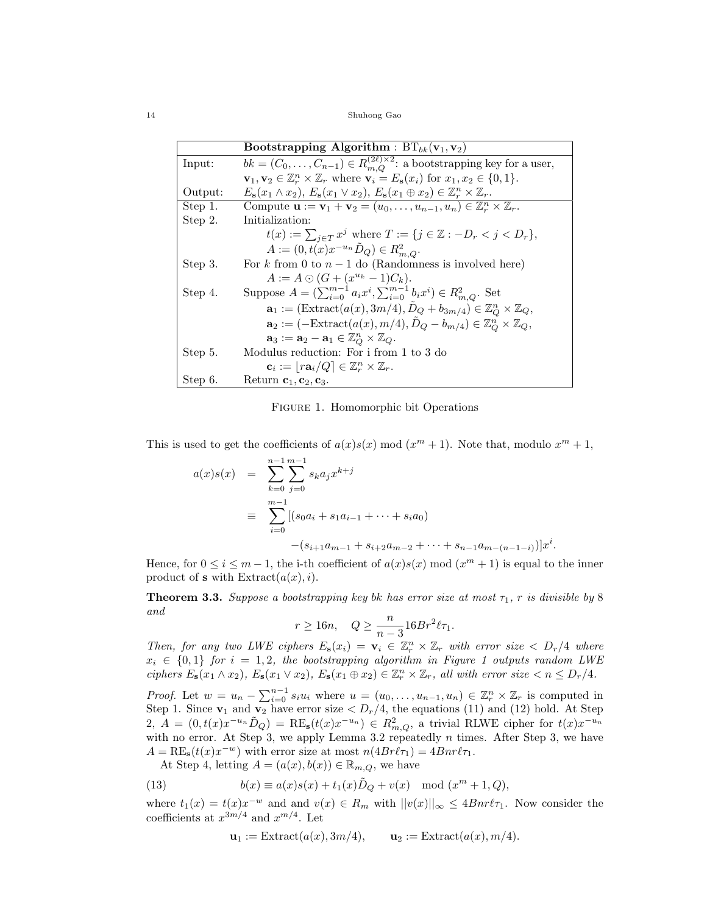14 Shuhong Gao

|         | <b>Bootstrapping Algorithm</b> : $BT_{bk}(\mathbf{v}_1, \mathbf{v}_2)$                                                                      |
|---------|---------------------------------------------------------------------------------------------------------------------------------------------|
| lnput:  | $bk = (C_0, \ldots, C_{n-1}) \in R_{m,O}^{(2\ell)\times 2}$ : a bootstrapping key for a user,                                               |
|         | $\mathbf{v}_1, \mathbf{v}_2 \in \mathbb{Z}_r^n \times \mathbb{Z}_r$ where $\mathbf{v}_i = E_{\mathbf{s}}(x_i)$ for $x_1, x_2 \in \{0, 1\}.$ |
| Output: | $E_{\mathbf{s}}(x_1 \wedge x_2), E_{\mathbf{s}}(x_1 \vee x_2), E_{\mathbf{s}}(x_1 \oplus x_2) \in \mathbb{Z}_r^n \times \mathbb{Z}_r.$      |
| Step 1. | Compute $\mathbf{u} := \mathbf{v}_1 + \mathbf{v}_2 = (u_0, \dots, u_{n-1}, u_n) \in \mathbb{Z}_r^n \times \mathbb{Z}_r$ .                   |
| Step 2. | Initialization:                                                                                                                             |
|         | $t(x) := \sum_{i \in T} x^j$ where $T := \{j \in \mathbb{Z} : -D_r < j < D_r\},\$                                                           |
|         | $A := (0, t(x)x^{-u_n}D_Q) \in R^2_{m,Q}.$                                                                                                  |
| Step 3. | For k from 0 to $n-1$ do (Randomness is involved here)                                                                                      |
|         | $A := A \odot (G + (x^{u_k} - 1)C_k).$                                                                                                      |
| Step 4. | Suppose $A = (\sum_{i=0}^{m-1} a_i x^i, \sum_{i=0}^{m-1} b_i x^i) \in R_{m,Q}^2$ . Set                                                      |
|         | $\mathbf{a}_1 := (\text{Extract}(a(x), 3m/4), D_Q + b_{3m/4}) \in \mathbb{Z}_{Q}^{n} \times \mathbb{Z}_{Q},$                                |
|         | $\mathbf{a}_2 := (-\text{Extract}(a(x), m/4), D_Q - b_{m/4}) \in \mathbb{Z}_Q^n \times \mathbb{Z}_Q,$                                       |
|         | $\mathbf{a}_3 := \mathbf{a}_2 - \mathbf{a}_1 \in \mathbb{Z}_{O}^n \times \mathbb{Z}_{Q}.$                                                   |
| Step 5. | Modulus reduction: For i from 1 to 3 do                                                                                                     |
|         | $\mathbf{c}_i := [r \mathbf{a}_i / Q] \in \mathbb{Z}_r^n \times \mathbb{Z}_r.$                                                              |
| Step 6. | Return $c_1, c_2, c_3$ .                                                                                                                    |

Figure 1. Homomorphic bit Operations

This is used to get the coefficients of  $a(x)s(x) \mod (x^m + 1)$ . Note that, modulo  $x^m + 1$ ,

$$
a(x)s(x) = \sum_{k=0}^{n-1} \sum_{j=0}^{m-1} s_k a_j x^{k+j}
$$
  
\n
$$
\equiv \sum_{i=0}^{m-1} [(s_0 a_i + s_1 a_{i-1} + \dots + s_i a_0)
$$
  
\n
$$
-(s_{i+1} a_{m-1} + s_{i+2} a_{m-2} + \dots + s_{n-1} a_{m-(n-1-i)})]x^i.
$$

Hence, for  $0 \le i \le m-1$ , the i-th coefficient of  $a(x)s(x) \mod (x^m + 1)$  is equal to the inner product of **s** with  $\text{Extract}(a(x), i)$ .

**Theorem 3.3.** Suppose a bootstrapping key bk has error size at most  $\tau_1$ , r is divisible by 8 and

$$
r \ge 16n, \quad Q \ge \frac{n}{n-3} 16Br^2 \ell \tau_1.
$$

Then, for any two LWE ciphers  $E_s(x_i) = \mathbf{v}_i \in \mathbb{Z}_r^n \times \mathbb{Z}_r$  with error size  $\langle D_r/4 \rangle$  where  $x_i \in \{0,1\}$  for  $i = 1,2$ , the bootstrapping algorithm in Figure 1 outputs random LWE ciphers  $E_s(x_1 \wedge x_2)$ ,  $E_s(x_1 \vee x_2)$ ,  $E_s(x_1 \oplus x_2) \in \mathbb{Z}_r^n \times \mathbb{Z}_r$ , all with error size  $\langle n \leq D_r/4$ .

*Proof.* Let  $w = u_n - \sum_{i=0}^{n-1} s_i u_i$  where  $u = (u_0, \ldots, u_{n-1}, u_n) \in \mathbb{Z}_r^n \times \mathbb{Z}_r$  is computed in Step 1. Since  $\mathbf{v}_1$  and  $\mathbf{v}_2$  have error size  $\langle D_r/4$ , the equations (11) and (12) hold. At Step 2,  $A = (0, t(x)x^{-u_n}\tilde{D}_Q) = \text{RE}_s(t(x)x^{-u_n}) \in R^2_{m,Q}$ , a trivial RLWE cipher for  $t(x)x^{-u_n}$ with no error. At Step 3, we apply Lemma 3.2 repeatedly  $n$  times. After Step 3, we have  $A = \text{RE}_s(t(x)x^{-w})$  with error size at most  $n(4Br\ell\tau_1) = 4Bnr\ell\tau_1$ .

At Step 4, letting  $A = (a(x), b(x)) \in \mathbb{R}_{m,Q}$ , we have

(13) 
$$
b(x) \equiv a(x)s(x) + t_1(x)\tilde{D}_Q + v(x) \mod (x^m + 1, Q),
$$

where  $t_1(x) = t(x)x^{-w}$  and and  $v(x) \in R_m$  with  $||v(x)||_{\infty} \leq 4Bnr\ell\tau_1$ . Now consider the coefficients at  $x^{3m/4}$  and  $x^{m/4}$ . Let

$$
\mathbf{u}_1 := \text{Extract}(a(x), 3m/4), \qquad \mathbf{u}_2 := \text{Extract}(a(x), m/4).
$$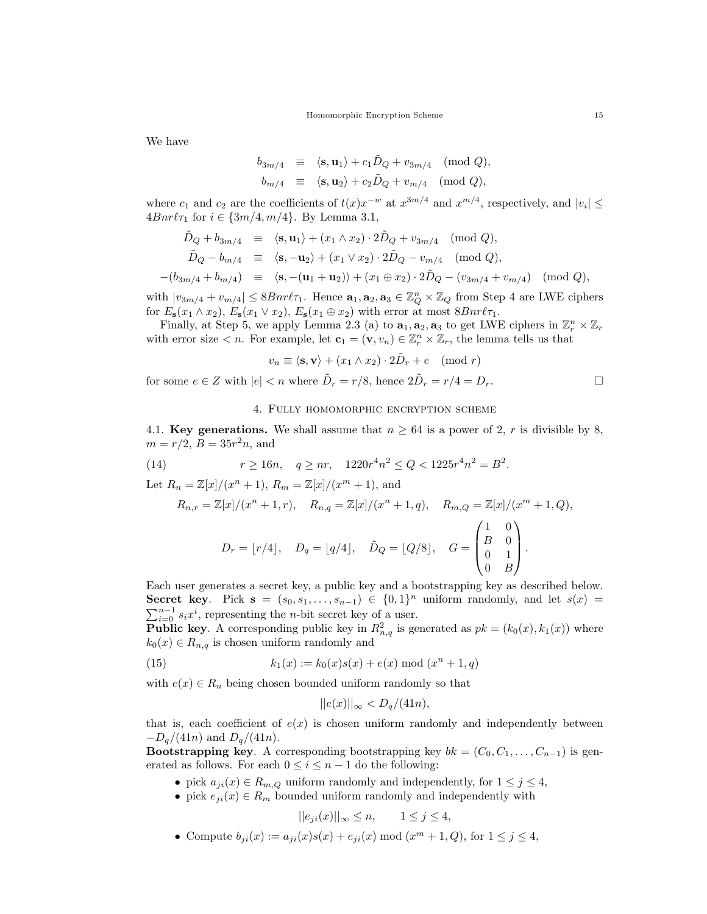We have

$$
b_{3m/4} \equiv \langle \mathbf{s}, \mathbf{u}_1 \rangle + c_1 \tilde{D}_Q + v_{3m/4} \pmod{Q},
$$
  
\n
$$
b_{m/4} \equiv \langle \mathbf{s}, \mathbf{u}_2 \rangle + c_2 \tilde{D}_Q + v_{m/4} \pmod{Q},
$$

where  $c_1$  and  $c_2$  are the coefficients of  $t(x)x^{-w}$  at  $x^{3m/4}$  and  $x^{m/4}$ , respectively, and  $|v_i| \le$  $4Bnr\ell\tau_1$  for  $i \in \{3m/4, m/4\}$ . By Lemma 3.1,

$$
\tilde{D}_Q + b_{3m/4} \equiv \langle \mathbf{s}, \mathbf{u}_1 \rangle + (x_1 \wedge x_2) \cdot 2\tilde{D}_Q + v_{3m/4} \pmod{Q}, \n\tilde{D}_Q - b_{m/4} \equiv \langle \mathbf{s}, -\mathbf{u}_2 \rangle + (x_1 \vee x_2) \cdot 2\tilde{D}_Q - v_{m/4} \pmod{Q}, \n-(b_{3m/4} + b_{m/4}) \equiv \langle \mathbf{s}, -(\mathbf{u}_1 + \mathbf{u}_2) \rangle + (x_1 \oplus x_2) \cdot 2\tilde{D}_Q - (v_{3m/4} + v_{m/4}) \pmod{Q},
$$

with  $|v_{3m/4} + v_{m/4}| \leq 8Bnr\ell\tau_1$ . Hence  $\mathbf{a}_1, \mathbf{a}_2, \mathbf{a}_3 \in \mathbb{Z}_Q^n \times \mathbb{Z}_Q$  from Step 4 are LWE ciphers for  $E_{\mathbf{s}}(x_1 \wedge x_2)$ ,  $E_{\mathbf{s}}(x_1 \vee x_2)$ ,  $E_{\mathbf{s}}(x_1 \oplus x_2)$  with error at most  $8Bnr\ell\tau_1$ .

Finally, at Step 5, we apply Lemma 2.3 (a) to  $a_1, a_2, a_3$  to get LWE ciphers in  $\mathbb{Z}_r^n \times \mathbb{Z}_r$ with error size  $\lt n$ . For example, let  $\mathbf{c}_1 = (\mathbf{v}, v_n) \in \mathbb{Z}_r^n \times \mathbb{Z}_r$ , the lemma tells us that

$$
v_n \equiv \langle \mathbf{s}, \mathbf{v} \rangle + (x_1 \wedge x_2) \cdot 2\tilde{D}_r + e \pmod{r}
$$

for some  $e \in Z$  with  $|e| < n$  where  $\tilde{D}_r = r/8$ , hence  $2\tilde{D}_r = r/4 = D_r$ .

## 4. Fully homomorphic encryption scheme

4.1. Key generations. We shall assume that  $n \geq 64$  is a power of 2, r is divisible by 8,  $m = r/2, B = 35r^2n$ , and

(14) 
$$
r \ge 16n, \quad q \ge nr, \quad 1220r^4n^2 \le Q < 1225r^4n^2 = B^2.
$$

Let  $R_n = \mathbb{Z}[x]/(x^n + 1), R_m = \mathbb{Z}[x]/(x^m + 1)$ , and

$$
R_{n,r} = \mathbb{Z}[x]/(x^n + 1, r), \quad R_{n,q} = \mathbb{Z}[x]/(x^n + 1, q), \quad R_{m,Q} = \mathbb{Z}[x]/(x^m + 1, Q),
$$

$$
D_r = \lfloor r/4 \rfloor, \quad D_q = \lfloor q/4 \rfloor, \quad \tilde{D}_Q = \lfloor Q/8 \rfloor, \quad G = \begin{pmatrix} 1 & 0 \\ B & 0 \\ 0 & 1 \\ 0 & B \end{pmatrix}.
$$

Each user generates a secret key, a public key and a bootstrapping key as described below. Secret key. Pick  $s = (s_0, s_1, \ldots, s_{n-1}) \in \{0,1\}^n$  uniform randomly, and let  $s(x) =$  $\sum_{i=0}^{n-1} s_i x^i$ , representing the *n*-bit secret key of a user.

**Public key**. A corresponding public key in  $R_{n,q}^2$  is generated as  $pk = (k_0(x), k_1(x))$  where  $k_0(x) \in R_{n,q}$  is chosen uniform randomly and

(15) 
$$
k_1(x) := k_0(x)s(x) + e(x) \bmod (x^n + 1, q)
$$

with  $e(x) \in R_n$  being chosen bounded uniform randomly so that

$$
||e(x)||_{\infty} < D_q/(41n),
$$

that is, each coefficient of  $e(x)$  is chosen uniform randomly and independently between  $-D_q/(41n)$  and  $D_q/(41n)$ .

**Bootstrapping key.** A corresponding bootstrapping key  $bk = (C_0, C_1, \ldots, C_{n-1})$  is generated as follows. For each  $0 \leq i \leq n-1$  do the following:

- pick  $a_{ji}(x) \in R_{m,Q}$  uniform randomly and independently, for  $1 \leq j \leq 4$ ,
- pick  $e_{ji}(x) \in R_m$  bounded uniform randomly and independently with

$$
||e_{ji}(x)||_{\infty} \le n, \qquad 1 \le j \le 4,
$$

• Compute  $b_{ji}(x) := a_{ji}(x)s(x) + e_{ji}(x) \bmod (x^m + 1, Q)$ , for  $1 \le j \le 4$ ,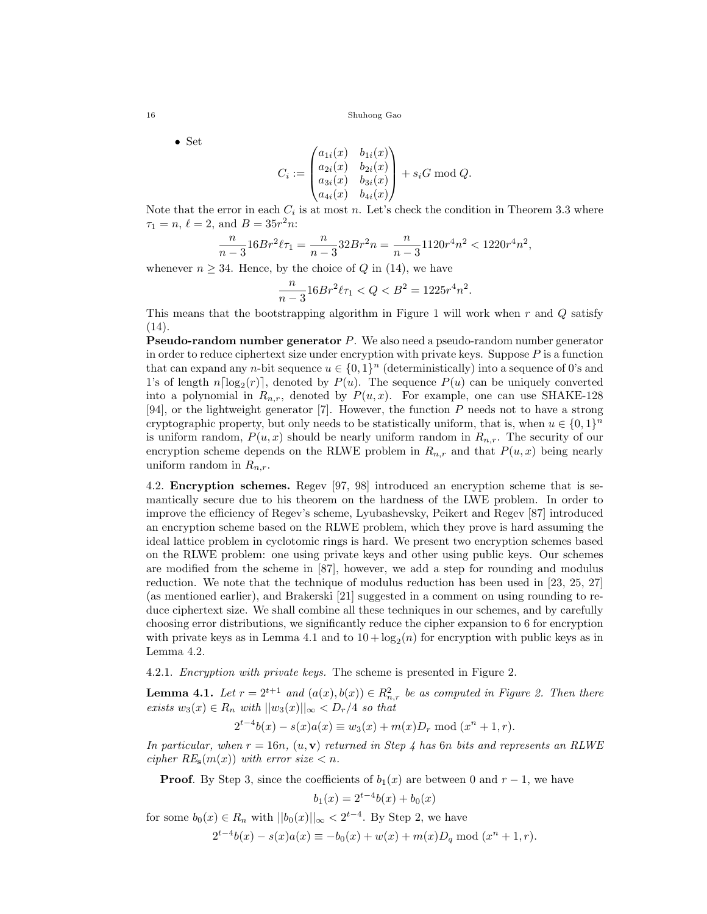• Set

$$
C_i := \begin{pmatrix} a_{1i}(x) & b_{1i}(x) \\ a_{2i}(x) & b_{2i}(x) \\ a_{3i}(x) & b_{3i}(x) \\ a_{4i}(x) & b_{4i}(x) \end{pmatrix} + s_i G \bmod Q.
$$

Note that the error in each  $C_i$  is at most n. Let's check the condition in Theorem 3.3 where  $\tau_1 = n, \, \ell = 2, \, \text{and} \, B = 35r^2n.$ 

$$
\frac{n}{n-3}16Br^2\ell\tau_1 = \frac{n}{n-3}32Br^2n = \frac{n}{n-3}1120r^4n^2 < 1220r^4n^2,
$$

whenever  $n \geq 34$ . Hence, by the choice of Q in (14), we have

$$
\frac{n}{n-3}16Br^2\ell\tau_1 < Q < B^2 = 1225r^4n^2.
$$

This means that the bootstrapping algorithm in Figure 1 will work when  $r$  and  $Q$  satisfy (14).

Pseudo-random number generator P. We also need a pseudo-random number generator in order to reduce ciphertext size under encryption with private keys. Suppose  $P$  is a function that can expand any *n*-bit sequence  $u \in \{0,1\}^n$  (deterministically) into a sequence of 0's and 1's of length  $n\lceil \log_2(r) \rceil$ , denoted by  $P(u)$ . The sequence  $P(u)$  can be uniquely converted into a polynomial in  $R_{n,r}$ , denoted by  $P(u, x)$ . For example, one can use SHAKE-128 [94], or the lightweight generator [7]. However, the function P needs not to have a strong cryptographic property, but only needs to be statistically uniform, that is, when  $u \in \{0,1\}^n$ is uniform random,  $P(u, x)$  should be nearly uniform random in  $R_{n,r}$ . The security of our encryption scheme depends on the RLWE problem in  $R_{n,r}$  and that  $P(u, x)$  being nearly uniform random in  $R_{n,r}$ .

4.2. Encryption schemes. Regev [97, 98] introduced an encryption scheme that is semantically secure due to his theorem on the hardness of the LWE problem. In order to improve the efficiency of Regev's scheme, Lyubashevsky, Peikert and Regev [87] introduced an encryption scheme based on the RLWE problem, which they prove is hard assuming the ideal lattice problem in cyclotomic rings is hard. We present two encryption schemes based on the RLWE problem: one using private keys and other using public keys. Our schemes are modified from the scheme in [87], however, we add a step for rounding and modulus reduction. We note that the technique of modulus reduction has been used in [23, 25, 27] (as mentioned earlier), and Brakerski [21] suggested in a comment on using rounding to reduce ciphertext size. We shall combine all these techniques in our schemes, and by carefully choosing error distributions, we significantly reduce the cipher expansion to 6 for encryption with private keys as in Lemma 4.1 and to  $10 + \log_2(n)$  for encryption with public keys as in Lemma 4.2.

4.2.1. Encryption with private keys. The scheme is presented in Figure 2.

**Lemma 4.1.** Let  $r = 2^{t+1}$  and  $(a(x), b(x)) \in R_n^2$ , be as computed in Figure 2. Then there exists  $w_3(x) \in R_n$  with  $||w_3(x)||_{\infty} < D_r/4$  so that

 $2^{t-4}b(x) - s(x)a(x) \equiv w_3(x) + m(x)D_r \text{ mod } (x^n + 1, r).$ 

In particular, when  $r = 16n$ ,  $(u, v)$  returned in Step 4 has 6n bits and represents an RLWE cipher  $RE_s(m(x))$  with error size  $\lt n$ .

**Proof.** By Step 3, since the coefficients of  $b_1(x)$  are between 0 and  $r-1$ , we have

$$
b_1(x) = 2^{t-4}b(x) + b_0(x)
$$

for some  $b_0(x) \in R_n$  with  $||b_0(x)||_{\infty} < 2^{t-4}$ . By Step 2, we have  $2^{t-4}b(x) - s(x)a(x) \equiv -b_0(x) + w(x) + m(x)D_q \mod (x^n + 1, r).$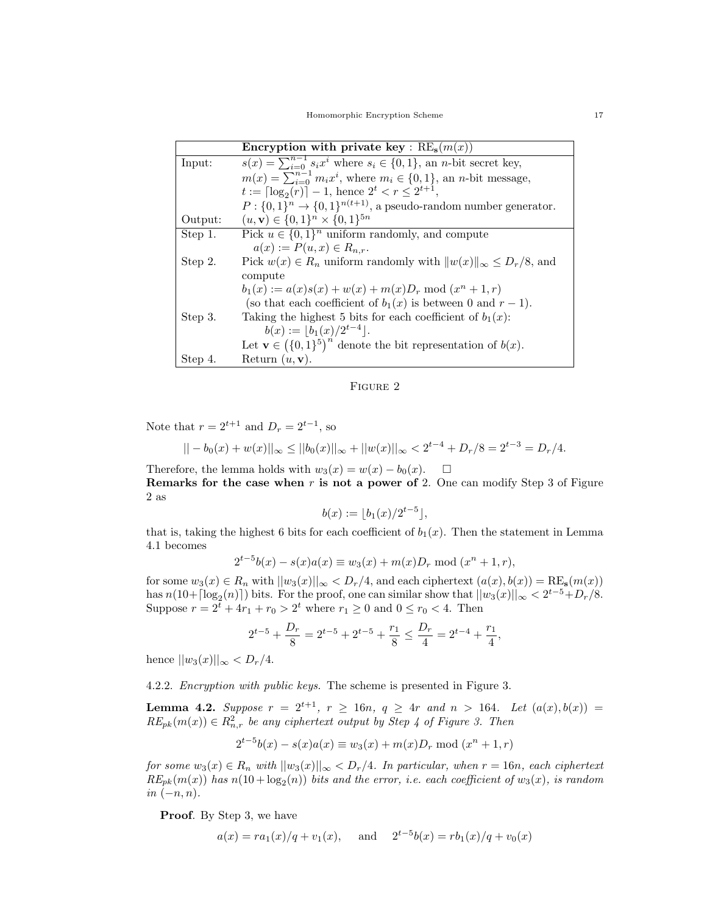|         | Encryption with private key : $RE_s(m(x))$                                               |  |  |  |  |
|---------|------------------------------------------------------------------------------------------|--|--|--|--|
| Input:  | $s(x) = \sum_{i=0}^{n-1} s_i x^i$ where $s_i \in \{0,1\}$ , an <i>n</i> -bit secret key, |  |  |  |  |
|         | $m(x) = \sum_{i=0}^{n-1} m_i x^i$ , where $m_i \in \{0, 1\}$ , an <i>n</i> -bit message, |  |  |  |  |
|         | $t := \lceil \log_2(r) \rceil - 1$ , hence $2^t < r < 2^{t+1}$ ,                         |  |  |  |  |
|         | $P: \{0,1\}^n \rightarrow \{0,1\}^{n(t+1)}$ , a pseudo-random number generator.          |  |  |  |  |
| Output: | $(u, \mathbf{v}) \in \{0, 1\}^n \times \{0, 1\}^{5n}$                                    |  |  |  |  |
| Step 1. | Pick $u \in \{0,1\}^n$ uniform randomly, and compute                                     |  |  |  |  |
|         | $a(x) := P(u, x) \in R_{n,r}.$                                                           |  |  |  |  |
| Step 2. | Pick $w(x) \in R_n$ uniform randomly with $  w(x)  _{\infty} \leq D_r/8$ , and           |  |  |  |  |
|         | compute                                                                                  |  |  |  |  |
|         | $b_1(x) := a(x)s(x) + w(x) + m(x)D_r \text{ mod } (x^n + 1, r)$                          |  |  |  |  |
|         | (so that each coefficient of $b_1(x)$ is between 0 and $r-1$ ).                          |  |  |  |  |
| Step 3. | Taking the highest 5 bits for each coefficient of $b_1(x)$ :                             |  |  |  |  |
|         | $b(x) :=  b_1(x)/2^{t-4} .$                                                              |  |  |  |  |
|         | Let $\mathbf{v} \in (\{0,1\}^5)^n$ denote the bit representation of $b(x)$ .             |  |  |  |  |
| Step 4. | Return $(u, v)$ .                                                                        |  |  |  |  |



Note that  $r = 2^{t+1}$  and  $D_r = 2^{t-1}$ , so

$$
|| - b_0(x) + w(x)||_{\infty} \le ||b_0(x)||_{\infty} + ||w(x)||_{\infty} < 2^{t-4} + D_r/8 = 2^{t-3} = D_r/4.
$$

Therefore, the lemma holds with  $w_3(x) = w(x) - b_0(x)$ .  $\Box$ 

Remarks for the case when  $r$  is not a power of 2. One can modify Step 3 of Figure 2 as

$$
b(x) := \lfloor b_1(x)/2^{t-5} \rfloor,
$$

that is, taking the highest 6 bits for each coefficient of  $b_1(x)$ . Then the statement in Lemma 4.1 becomes

$$
2^{t-5}b(x) - s(x)a(x) \equiv w_3(x) + m(x)D_r \text{ mod } (x^n + 1, r),
$$

for some  $w_3(x) \in R_n$  with  $||w_3(x)||_{\infty} < D_r/4$ , and each ciphertext  $(a(x), b(x)) = RE_s(m(x))$ has  $n(10+[\log_2(n)])$  bits. For the proof, one can similar show that  $||w_3(x)||_{\infty} < 2^{t-5} + D_r/8$ . Suppose  $r = 2^t + 4r_1 + r_0 > 2^t$  where  $r_1 \ge 0$  and  $0 \le r_0 < 4$ . Then

$$
2^{t-5} + \frac{D_r}{8} = 2^{t-5} + 2^{t-5} + \frac{r_1}{8} \le \frac{D_r}{4} = 2^{t-4} + \frac{r_1}{4},
$$

hence  $||w_3(x)||_{\infty} < D_r/4$ .

4.2.2. Encryption with public keys. The scheme is presented in Figure 3.

**Lemma 4.2.** Suppose  $r = 2^{t+1}$ ,  $r \ge 16n$ ,  $q \ge 4r$  and  $n > 164$ . Let  $(a(x), b(x)) =$  $RE_{pk}(m(x)) \in R_{n,r}^2$  be any ciphertext output by Step 4 of Figure 3. Then

$$
2^{t-5}b(x) - s(x)a(x) \equiv w_3(x) + m(x)D_r \mod (x^n + 1, r)
$$

for some  $w_3(x) \in R_n$  with  $||w_3(x)||_{\infty} \langle D_r/4$ . In particular, when  $r = 16n$ , each ciphertext  $RE_{pk}(m(x))$  has  $n(10 + \log_2(n))$  bits and the error, i.e. each coefficient of  $w_3(x)$ , is random in  $(-n, n)$ .

**Proof.** By Step 3, we have

$$
a(x) = ra_1(x)/q + v_1(x)
$$
, and  $2^{t-5}b(x) = rb_1(x)/q + v_0(x)$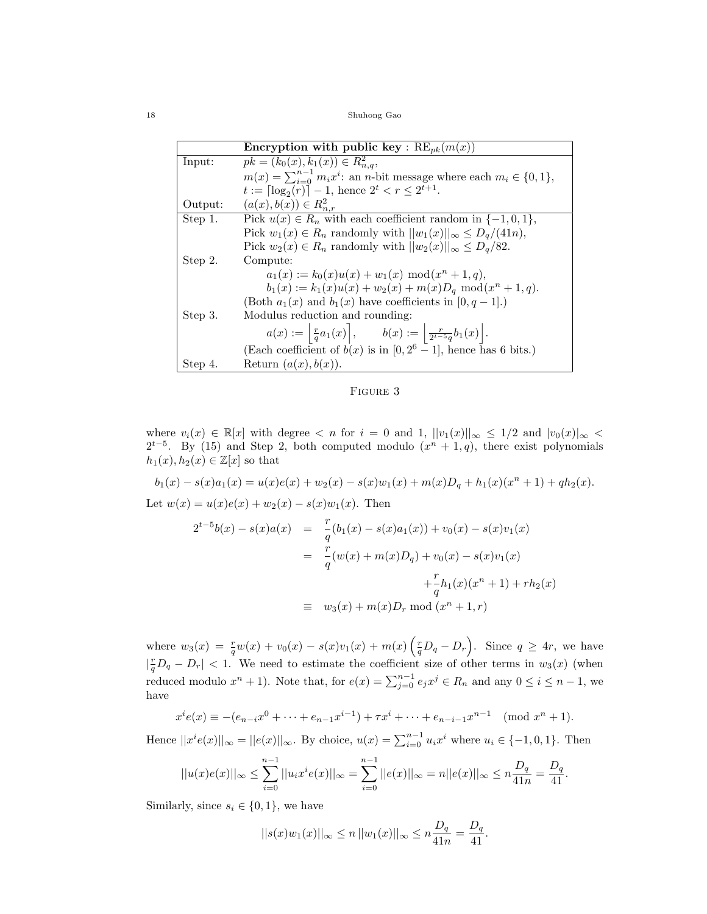|         | Encryption with public key : $RE_{pk}(m(x))$                                                          |  |  |  |  |  |
|---------|-------------------------------------------------------------------------------------------------------|--|--|--|--|--|
| Input:  | $pk = (k_0(x), k_1(x)) \in R^2_{n,q}$                                                                 |  |  |  |  |  |
|         | $m(x) = \sum_{i=0}^{n-1} m_i x^i$ : an <i>n</i> -bit message where each $m_i \in \{0, 1\}$ ,          |  |  |  |  |  |
|         | $t := \lceil \log_2(r) \rceil - 1$ , hence $2^t < r \leq 2^{t+1}$ .                                   |  |  |  |  |  |
| Output: | $(a(x), b(x)) \in R^2_{n,r}$                                                                          |  |  |  |  |  |
| Step 1. | Pick $u(x) \in R_n$ with each coefficient random in $\{-1,0,1\}$ ,                                    |  |  |  |  |  |
|         | Pick $w_1(x) \in R_n$ randomly with $  w_1(x)  _{\infty} \le D_q/(41n)$ ,                             |  |  |  |  |  |
|         | Pick $w_2(x) \in R_n$ randomly with $  w_2(x)  _{\infty} \le D_q/82$ .                                |  |  |  |  |  |
| Step 2. | Compute:                                                                                              |  |  |  |  |  |
|         | $a_1(x) := k_0(x)u(x) + w_1(x) \mod (x^n + 1, q),$                                                    |  |  |  |  |  |
|         | $b_1(x) := k_1(x)u(x) + w_2(x) + m(x)D_q \mod (x^n + 1, q).$                                          |  |  |  |  |  |
|         | (Both $a_1(x)$ and $b_1(x)$ have coefficients in [0, q - 1].)                                         |  |  |  |  |  |
| Step 3. | Modulus reduction and rounding:                                                                       |  |  |  |  |  |
|         | $a(x) := \left  \frac{r}{q} a_1(x) \right , \qquad b(x) := \left  \frac{r}{2^{t-5}q} b_1(x) \right .$ |  |  |  |  |  |
|         | (Each coefficient of $b(x)$ is in [0, 2 <sup>6</sup> – 1], hence has 6 bits.)                         |  |  |  |  |  |
| Step 4. | Return $(a(x), b(x))$ .                                                                               |  |  |  |  |  |

FIGURE 3

where  $v_i(x) \in \mathbb{R}[x]$  with degree  $\lt n$  for  $i = 0$  and  $1, ||v_1(x)||_{\infty} \leq 1/2$  and  $|v_0(x)|_{\infty} \leq$  $2^{t-5}$ . By (15) and Step 2, both computed modulo  $(x^{n} + 1, q)$ , there exist polynomials  $h_1(x), h_2(x) \in \mathbb{Z}[x]$  so that

$$
b_1(x) - s(x)a_1(x) = u(x)e(x) + w_2(x) - s(x)w_1(x) + m(x)D_q + h_1(x)(x^n + 1) + qh_2(x).
$$
  
Let  $w(x) = u(x)e(x) + w_2(x) - s(x)w_1(x)$ . Then

$$
2^{t-5}b(x) - s(x)a(x) = \frac{r}{q}(b_1(x) - s(x)a_1(x)) + v_0(x) - s(x)v_1(x)
$$
  

$$
= \frac{r}{q}(w(x) + m(x)D_q) + v_0(x) - s(x)v_1(x)
$$
  

$$
+ \frac{r}{q}h_1(x)(x^n + 1) + rh_2(x)
$$
  

$$
\equiv w_3(x) + m(x)D_r \mod (x^n + 1, r)
$$

where  $w_3(x) = \frac{r}{q}w(x) + v_0(x) - s(x)v_1(x) + m(x)\left(\frac{r}{q}D_q - D_r\right)$ . Since  $q \ge 4r$ , we have  $\left|\frac{r}{q}D_q - D_r\right| < 1$ . We need to estimate the coefficient size of other terms in  $w_3(x)$  (when reduced modulo  $x^n + 1$ ). Note that, for  $e(x) = \sum_{j=0}^{n-1} e_j x^j \in R_n$  and any  $0 \le i \le n-1$ , we have

$$
x^{i}e(x) \equiv -(e_{n-i}x^{0} + \dots + e_{n-1}x^{i-1}) + \tau x^{i} + \dots + e_{n-i-1}x^{n-1} \pmod{x^{n}+1}.
$$

Hence  $||x^{i}e(x)||_{\infty} = ||e(x)||_{\infty}$ . By choice,  $u(x) = \sum_{i=0}^{n-1} u_{i}x^{i}$  where  $u_{i} \in \{-1,0,1\}$ . Then

$$
||u(x)e(x)||_{\infty} \le \sum_{i=0}^{n-1} ||u_i x^i e(x)||_{\infty} = \sum_{i=0}^{n-1} ||e(x)||_{\infty} = n||e(x)||_{\infty} \le n\frac{D_q}{41n} = \frac{D_q}{41}.
$$

Similarly, since  $s_i \in \{0, 1\}$ , we have

$$
||s(x)w_1(x)||_{\infty} \le n ||w_1(x)||_{\infty} \le n \frac{D_q}{41n} = \frac{D_q}{41}.
$$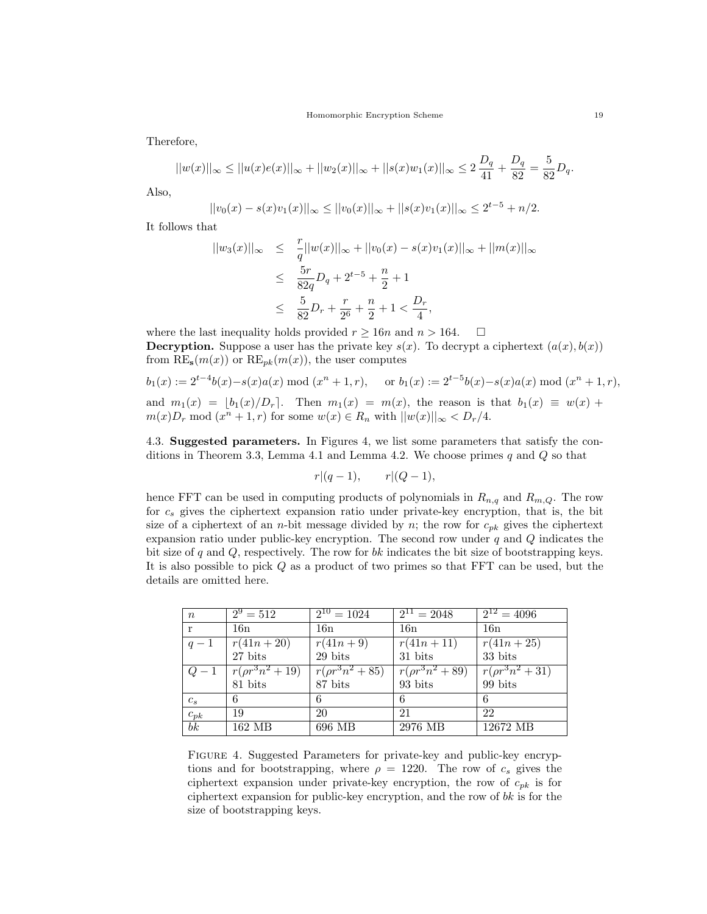Therefore,

$$
||w(x)||_{\infty} \le ||u(x)e(x)||_{\infty} + ||w_2(x)||_{\infty} + ||s(x)w_1(x)||_{\infty} \le 2\frac{D_q}{41} + \frac{D_q}{82} = \frac{5}{82}D_q.
$$

Also,

$$
||v_0(x) - s(x)v_1(x)||_{\infty} \le ||v_0(x)||_{\infty} + ||s(x)v_1(x)||_{\infty} \le 2^{t-5} + n/2.
$$

It follows that

$$
||w_3(x)||_{\infty} \leq \frac{r}{q}||w(x)||_{\infty} + ||v_0(x) - s(x)v_1(x)||_{\infty} + ||m(x)||_{\infty}
$$
  

$$
\leq \frac{5r}{82q}D_q + 2^{t-5} + \frac{n}{2} + 1
$$
  

$$
\leq \frac{5}{82}D_r + \frac{r}{2^6} + \frac{n}{2} + 1 < \frac{D_r}{4},
$$

where the last inequality holds provided  $r \ge 16n$  and  $n > 164$ .  $\Box$ **Decryption.** Suppose a user has the private key  $s(x)$ . To decrypt a ciphertext  $(a(x), b(x))$ from  $RE_s(m(x))$  or  $RE_{pk}(m(x))$ , the user computes

$$
b_1(x) := 2^{t-4}b(x) - s(x)a(x)
$$
 mod  $(x^n + 1, r)$ , or  $b_1(x) := 2^{t-5}b(x) - s(x)a(x)$  mod  $(x^n + 1, r)$ , and  $m_1(x) = \lfloor b_1(x)/D_r \rfloor$ . Then  $m_1(x) = m(x)$ , the reason is that  $b_1(x) \equiv w(x) + m(x)D_r \mod (x^n + 1, r)$  for some  $w(x) \in R_n$  with  $||w(x)||_{\infty} < D_r/4$ .

4.3. Suggested parameters. In Figures 4, we list some parameters that satisfy the conditions in Theorem 3.3, Lemma 4.1 and Lemma 4.2. We choose primes  $q$  and  $Q$  so that

$$
r|(q-1), \qquad r|(Q-1),
$$

hence FFT can be used in computing products of polynomials in  $R_{n,q}$  and  $R_{m,Q}$ . The row for  $c_s$  gives the ciphertext expansion ratio under private-key encryption, that is, the bit size of a ciphertext of an *n*-bit message divided by *n*; the row for  $c_{pk}$  gives the ciphertext expansion ratio under public-key encryption. The second row under  $q$  and  $Q$  indicates the bit size of  $q$  and  $Q$ , respectively. The row for  $bk$  indicates the bit size of bootstrapping keys. It is also possible to pick Q as a product of two primes so that FFT can be used, but the details are omitted here.

| $\boldsymbol{n}$ | $\sqrt{2^9} = 512$          | $\overline{2^{10}} = 1024$    | $\sqrt{2^{11}}$ = 2048        | $\sqrt{2^{12}} = 4096$ |
|------------------|-----------------------------|-------------------------------|-------------------------------|------------------------|
| r                | 16n                         | 16n                           | 16n                           | 16n                    |
| $q-1$            | $r(41n+20)$                 | $r(41n + 9)$                  | $r(41n+11)$                   | $r(41n+25)$            |
|                  | $27~\mathrm{bits}$          | 29 bits                       | 31 bits                       | 33 bits                |
| $Q-1$            | $\sqrt{r(\rho r^3 n^2+19)}$ | $\sqrt{r(\rho r^3 n^2 + 85)}$ | $\sqrt{r(\rho r^3 n^2 + 89)}$ | $r(\rho r^3 n^2 + 31)$ |
|                  | $81$ bits                   | 87 bits                       | 93 bits                       | 99 bits                |
| $c_s$            | 6                           | 6                             | -6                            | -6                     |
| $c_{pk}$         | 19                          | 20                            | 21                            | 22                     |
| $\overline{bk}$  | 162 MB                      | 696 MB                        | 2976 MB                       | 12672 MB               |

Figure 4. Suggested Parameters for private-key and public-key encryptions and for bootstrapping, where  $\rho = 1220$ . The row of  $c_s$  gives the ciphertext expansion under private-key encryption, the row of  $c_{pk}$  is for ciphertext expansion for public-key encryption, and the row of  $bk$  is for the size of bootstrapping keys.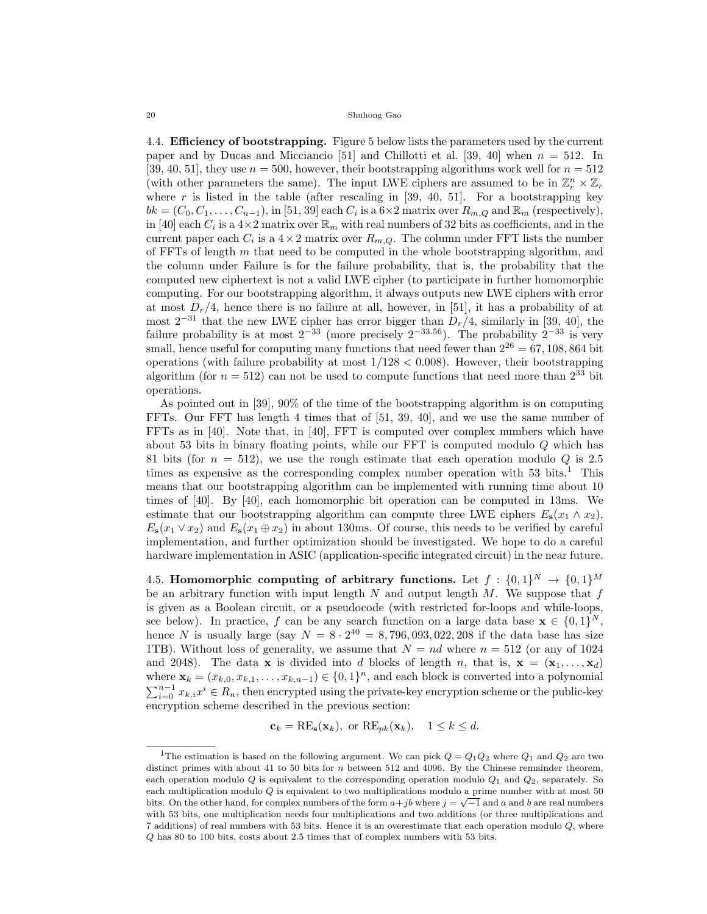4.4. Efficiency of bootstrapping. Figure 5 below lists the parameters used by the current paper and by Ducas and Micciancio [51] and Chillotti et al. [39, 40] when  $n = 512$ . In [39, 40, 51], they use  $n = 500$ , however, their bootstrapping algorithms work well for  $n = 512$ (with other parameters the same). The input LWE ciphers are assumed to be in  $\mathbb{Z}_r^n \times \mathbb{Z}_r$ where r is listed in the table (after rescaling in  $[39, 40, 51]$ . For a bootstrapping key  $bk = (C_0, C_1, \ldots, C_{n-1}),$  in [51, 39] each  $C_i$  is a  $6 \times 2$  matrix over  $R_{m,Q}$  and  $\mathbb{R}_m$  (respectively), in [40] each  $C_i$  is a  $4\times 2$  matrix over  $\mathbb{R}_m$  with real numbers of 32 bits as coefficients, and in the current paper each  $C_i$  is a  $4 \times 2$  matrix over  $R_{m,Q}$ . The column under FFT lists the number of FFTs of length  $m$  that need to be computed in the whole bootstrapping algorithm, and the column under Failure is for the failure probability, that is, the probability that the computed new ciphertext is not a valid LWE cipher (to participate in further homomorphic computing. For our bootstrapping algorithm, it always outputs new LWE ciphers with error at most  $D_r/4$ , hence there is no failure at all, however, in [51], it has a probability of at most  $2^{-31}$  that the new LWE cipher has error bigger than  $D_r/4$ , similarly in [39, 40], the failure probability is at most  $2^{-33}$  (more precisely  $2^{-33.56}$ ). The probability  $2^{-33}$  is very small, hence useful for computing many functions that need fewer than  $2^{26} = 67, 108, 864$  bit operations (with failure probability at most  $1/128 < 0.008$ ). However, their bootstrapping algorithm (for  $n = 512$ ) can not be used to compute functions that need more than  $2^{33}$  bit operations.

As pointed out in [39], 90% of the time of the bootstrapping algorithm is on computing FFTs. Our FFT has length 4 times that of [51, 39, 40], and we use the same number of FFTs as in [40]. Note that, in [40], FFT is computed over complex numbers which have about 53 bits in binary floating points, while our  $FFT$  is computed modulo  $Q$  which has 81 bits (for  $n = 512$ ), we use the rough estimate that each operation modulo Q is 2.5 times as expensive as the corresponding complex number operation with  $53$  bits.<sup>1</sup> This means that our bootstrapping algorithm can be implemented with running time about 10 times of [40]. By [40], each homomorphic bit operation can be computed in 13ms. We estimate that our bootstrapping algorithm can compute three LWE ciphers  $E_s(x_1 \wedge x_2)$ ,  $E_5(x_1 \vee x_2)$  and  $E_5(x_1 \oplus x_2)$  in about 130ms. Of course, this needs to be verified by careful implementation, and further optimization should be investigated. We hope to do a careful hardware implementation in ASIC (application-specific integrated circuit) in the near future.

4.5. Homomorphic computing of arbitrary functions. Let  $f: \{0,1\}^N \rightarrow \{0,1\}^M$ be an arbitrary function with input length  $N$  and output length  $M$ . We suppose that  $f$ is given as a Boolean circuit, or a pseudocode (with restricted for-loops and while-loops, see below). In practice, f can be any search function on a large data base  $\mathbf{x} \in \{0,1\}^N$ , hence N is usually large (say  $N = 8 \cdot 2^{40} = 8,796,093,022,208$  if the data base has size 1TB). Without loss of generality, we assume that  $N = nd$  where  $n = 512$  (or any of 1024 and 2048). The data **x** is divided into d blocks of length n, that is,  $\mathbf{x} = (\mathbf{x}_1, \dots, \mathbf{x}_d)$ where  $\mathbf{x}_k = (x_{k,0}, x_{k,1}, \dots, x_{k,n-1}) \in \{0,1\}^n$ , and each block is converted into a polynomial  $\sum_{i=0}^{n-1} x_{k,i} x^i \in R_n$ , then encrypted using the private-key encryption scheme or the public-key encryption scheme described in the previous section:

$$
\mathbf{c}_k = \text{RE}_{\mathbf{s}}(\mathbf{x}_k)
$$
, or  $\text{RE}_{pk}(\mathbf{x}_k)$ ,  $1 \leq k \leq d$ .

<sup>&</sup>lt;sup>1</sup>The estimation is based on the following argument. We can pick  $Q = Q_1 Q_2$  where  $Q_1$  and  $Q_2$  are two distinct primes with about 41 to 50 bits for n between 512 and 4096. By the Chinese remainder theorem, each operation modulo  $Q$  is equivalent to the corresponding operation modulo  $Q_1$  and  $Q_2$ , separately. So each multiplication modulo Q is equivalent to two multiplications modulo a prime number with at most 50 bits. On the other hand, for complex numbers of the form  $a+jb$  where  $j = \sqrt{-1}$  and a and b are real numbers bits. with 53 bits, one multiplication needs four multiplications and two additions (or three multiplications and  $7$  additions) of real numbers with 53 bits. Hence it is an overestimate that each operation modulo  $Q$ , where Q has 80 to 100 bits, costs about 2.5 times that of complex numbers with 53 bits.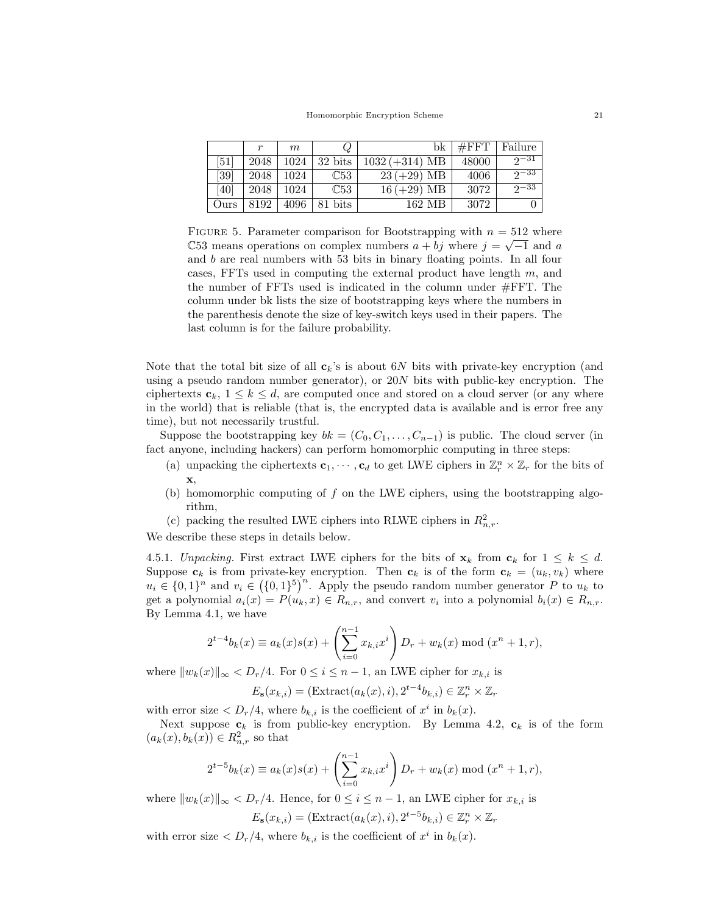|      | r    | m    | Q                |                          | $bk$ #FFT | Failure    |
|------|------|------|------------------|--------------------------|-----------|------------|
| [51] | 2048 |      | $1024$   32 bits | $1032 (+314) \text{ MB}$ | 48000     | $2^{\sim}$ |
| [39] | 2048 | 1024 | $\mathbb{C}53$   | $23 (+29) \text{ MB}$    | 4006      | $2^{\sim}$ |
| [40] | 2048 | 1024 | $\mathbb{C}53$   | $16 (+29) \text{ MB}$    | 3072      | $2^{\sim}$ |
| Ours | 8192 |      | $4096$   81 bits | 162 MB                   | 3072      |            |

FIGURE 5. Parameter comparison for Bootstrapping with  $n = 512$  where C53 means operations on complex numbers  $a + bj$  where  $j = √{-1}$  and a and b are real numbers with 53 bits in binary floating points. In all four cases, FFTs used in computing the external product have length  $m$ , and the number of FFTs used is indicated in the column under #FFT. The column under bk lists the size of bootstrapping keys where the numbers in the parenthesis denote the size of key-switch keys used in their papers. The last column is for the failure probability.

Note that the total bit size of all  $c_k$ 's is about 6N bits with private-key encryption (and using a pseudo random number generator), or 20N bits with public-key encryption. The ciphertexts  $c_k$ ,  $1 \leq k \leq d$ , are computed once and stored on a cloud server (or any where in the world) that is reliable (that is, the encrypted data is available and is error free any time), but not necessarily trustful.

Suppose the bootstrapping key  $bk = (C_0, C_1, \ldots, C_{n-1})$  is public. The cloud server (in fact anyone, including hackers) can perform homomorphic computing in three steps:

- (a) unpacking the ciphertexts  $\mathbf{c}_1, \dots, \mathbf{c}_d$  to get LWE ciphers in  $\mathbb{Z}_r^n \times \mathbb{Z}_r$  for the bits of x,
- (b) homomorphic computing of  $f$  on the LWE ciphers, using the bootstrapping algorithm,
- (c) packing the resulted LWE ciphers into RLWE ciphers in  $R_{n,r}^2$ .

We describe these steps in details below.

4.5.1. Unpacking. First extract LWE ciphers for the bits of  $\mathbf{x}_k$  from  $\mathbf{c}_k$  for  $1 \leq k \leq d$ . Suppose  $\mathbf{c}_k$  is from private-key encryption. Then  $\mathbf{c}_k$  is of the form  $\mathbf{c}_k = (u_k, v_k)$  where  $u_i \in \{0,1\}^n$  and  $v_i \in (\{0,1\}^5)^n$ . Apply the pseudo random number generator P to  $u_k$  to get a polynomial  $a_i(x) = P(u_k, x) \in R_{n,r}$ , and convert  $v_i$  into a polynomial  $b_i(x) \in R_{n,r}$ . By Lemma 4.1, we have

$$
2^{t-4}b_k(x) \equiv a_k(x)s(x) + \left(\sum_{i=0}^{n-1} x_{k,i}x^i\right)D_r + w_k(x) \bmod (x^n + 1, r),
$$

where  $||w_k(x)||_{\infty} < D_r/4$ . For  $0 \le i \le n-1$ , an LWE cipher for  $x_{k,i}$  is

$$
E_{\mathbf{s}}(x_{k,i}) = (\text{Extract}(a_k(x), i), 2^{t-4}b_{k,i}) \in \mathbb{Z}_r^n \times \mathbb{Z}_r
$$

with error size  $\langle D_r/4,$  where  $b_{k,i}$  is the coefficient of  $x^i$  in  $b_k(x)$ .

Next suppose  $c_k$  is from public-key encryption. By Lemma 4.2,  $c_k$  is of the form  $(a_k(x), b_k(x)) \in R^2_{n,r}$  so that

$$
2^{t-5}b_k(x) \equiv a_k(x)s(x) + \left(\sum_{i=0}^{n-1} x_{k,i}x^i\right)D_r + w_k(x) \bmod (x^n + 1, r),
$$

where  $||w_k(x)||_{\infty} < D_r/4$ . Hence, for  $0 \leq i \leq n-1$ , an LWE cipher for  $x_{k,i}$  is

$$
E_{\mathbf{s}}(x_{k,i}) = (\text{Extract}(a_k(x), i), 2^{t-5}b_{k,i}) \in \mathbb{Z}_r^n \times \mathbb{Z}_r
$$

with error size  $\langle D_r/4,$  where  $b_{k,i}$  is the coefficient of  $x^i$  in  $b_k(x)$ .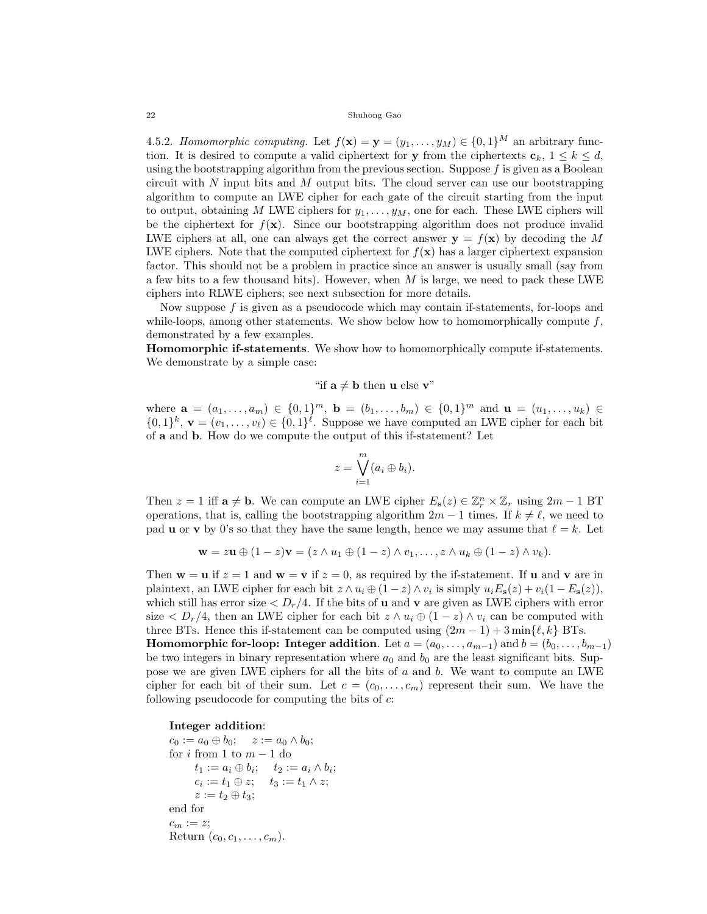4.5.2. Homomorphic computing. Let  $f(\mathbf{x}) = \mathbf{y} = (y_1, \dots, y_M) \in \{0, 1\}^M$  an arbitrary function. It is desired to compute a valid ciphertext for y from the ciphertexts  $\mathbf{c}_k$ ,  $1 \leq k \leq d$ , using the bootstrapping algorithm from the previous section. Suppose  $f$  is given as a Boolean circuit with  $N$  input bits and  $M$  output bits. The cloud server can use our bootstrapping algorithm to compute an LWE cipher for each gate of the circuit starting from the input to output, obtaining M LWE ciphers for  $y_1, \ldots, y_M$ , one for each. These LWE ciphers will be the ciphertext for  $f(\mathbf{x})$ . Since our bootstrapping algorithm does not produce invalid LWE ciphers at all, one can always get the correct answer  $y = f(x)$  by decoding the M LWE ciphers. Note that the computed ciphertext for  $f(\mathbf{x})$  has a larger ciphertext expansion factor. This should not be a problem in practice since an answer is usually small (say from a few bits to a few thousand bits). However, when  $M$  is large, we need to pack these LWE ciphers into RLWE ciphers; see next subsection for more details.

Now suppose f is given as a pseudocode which may contain if-statements, for-loops and while-loops, among other statements. We show below how to homomorphically compute  $f$ , demonstrated by a few examples.

Homomorphic if-statements. We show how to homomorphically compute if-statements. We demonstrate by a simple case:

# "if  $\mathbf{a} \neq \mathbf{b}$  then **u** else **v**"

where  $\mathbf{a} = (a_1, \ldots, a_m) \in \{0, 1\}^m$ ,  $\mathbf{b} = (b_1, \ldots, b_m) \in \{0, 1\}^m$  and  $\mathbf{u} = (u_1, \ldots, u_k) \in$  $\{0,1\}^k$ ,  $\mathbf{v} = (v_1,\ldots,v_\ell) \in \{0,1\}^\ell$ . Suppose we have computed an LWE cipher for each bit of a and b. How do we compute the output of this if-statement? Let

$$
z = \bigvee_{i=1}^{m} (a_i \oplus b_i).
$$

Then  $z = 1$  iff  $\mathbf{a} \neq \mathbf{b}$ . We can compute an LWE cipher  $E_{\mathbf{s}}(z) \in \mathbb{Z}_r^n \times \mathbb{Z}_r$  using  $2m - 1$  BT operations, that is, calling the bootstrapping algorithm  $2m - 1$  times. If  $k \neq \ell$ , we need to pad **u** or **v** by 0's so that they have the same length, hence we may assume that  $\ell = k$ . Let

$$
\mathbf{w} = z\mathbf{u} \oplus (1-z)\mathbf{v} = (z \wedge u_1 \oplus (1-z) \wedge v_1, \ldots, z \wedge u_k \oplus (1-z) \wedge v_k).
$$

Then  $w = u$  if  $z = 1$  and  $w = v$  if  $z = 0$ , as required by the if-statement. If u and v are in plaintext, an LWE cipher for each bit  $z \wedge u_i \oplus (1-z) \wedge v_i$  is simply  $u_i E_s(z) + v_i(1-E_s(z)),$ which still has error size  $\langle D_r/4$ . If the bits of **u** and **v** are given as LWE ciphers with error size  $\langle D_r/4$ , then an LWE cipher for each bit  $z \wedge u_i \oplus (1-z) \wedge v_i$  can be computed with three BTs. Hence this if-statement can be computed using  $(2m - 1) + 3 \min\{\ell, k\}$  BTs. **Homomorphic for-loop:** Integer addition. Let  $a = (a_0, \ldots, a_{m-1})$  and  $b = (b_0, \ldots, b_{m-1})$ be two integers in binary representation where  $a_0$  and  $b_0$  are the least significant bits. Suppose we are given LWE ciphers for all the bits of  $a$  and  $b$ . We want to compute an LWE cipher for each bit of their sum. Let  $c = (c_0, \ldots, c_m)$  represent their sum. We have the following pseudocode for computing the bits of  $c$ :

## Integer addition:

```
c_0 := a_0 \oplus b_0; \quad z := a_0 \wedge b_0;for i from 1 to m - 1 do
        t_1 := a_i \oplus b_i; \quad t_2 := a_i \wedge b_i;c_i := t_1 \oplus z; \quad t_3 := t_1 \wedge z;z := t_2 \oplus t_3;end for
c_m := z;Return (c_0, c_1, \ldots, c_m).
```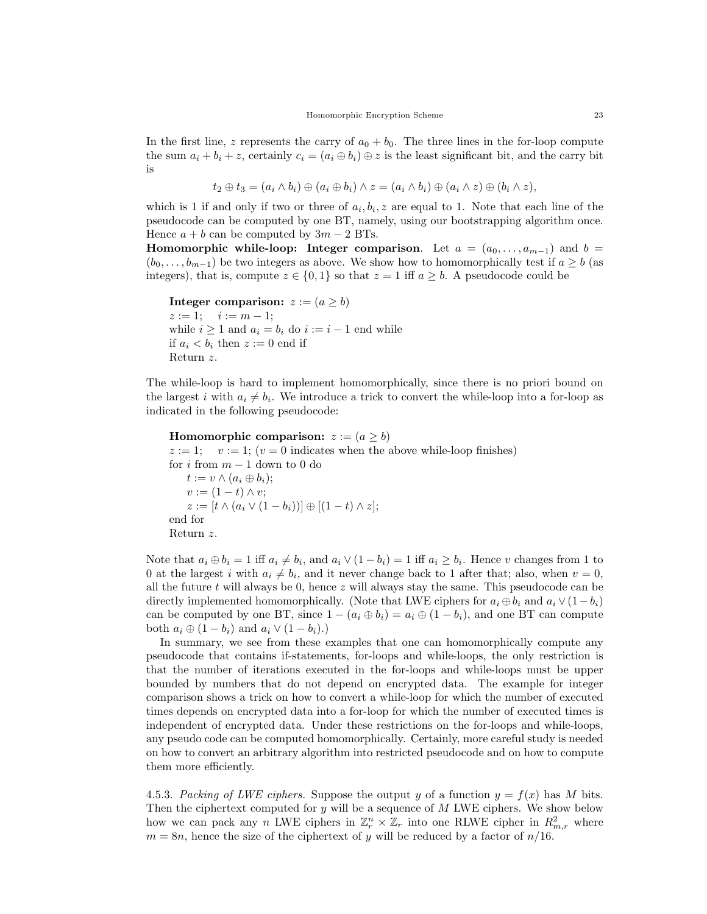In the first line, z represents the carry of  $a_0 + b_0$ . The three lines in the for-loop compute the sum  $a_i + b_i + z$ , certainly  $c_i = (a_i \oplus b_i) \oplus z$  is the least significant bit, and the carry bit is

$$
t_2 \oplus t_3 = (a_i \wedge b_i) \oplus (a_i \oplus b_i) \wedge z = (a_i \wedge b_i) \oplus (a_i \wedge z) \oplus (b_i \wedge z),
$$

which is 1 if and only if two or three of  $a_i, b_i, z$  are equal to 1. Note that each line of the pseudocode can be computed by one BT, namely, using our bootstrapping algorithm once. Hence  $a + b$  can be computed by  $3m - 2$  BTs.

Homomorphic while-loop: Integer comparison. Let  $a = (a_0, \ldots, a_{m-1})$  and  $b =$  $(b_0, \ldots, b_{m-1})$  be two integers as above. We show how to homomorphically test if  $a \ge b$  (as integers), that is, compute  $z \in \{0,1\}$  so that  $z = 1$  iff  $a \geq b$ . A pseudocode could be

```
Integer comparison: z := (a \ge b)z := 1; \quad i := m - 1;while i \geq 1 and a_i = b_i do i := i - 1 end while
if a_i < b_i then z := 0 end if
Return z.
```
The while-loop is hard to implement homomorphically, since there is no priori bound on the largest i with  $a_i \neq b_i$ . We introduce a trick to convert the while-loop into a for-loop as indicated in the following pseudocode:

```
Homomorphic comparison: z := (a \ge b)z := 1; v := 1; (v = 0 indicates when the above while-loop finishes)
for i from m-1 down to 0 do
   t := v \wedge (a_i \oplus b_i);v := (1-t) \wedge v;z := [t \wedge (a_i \vee (1 - b_i))] \oplus [(1 - t) \wedge z];
end for
Return z.
```
Note that  $a_i \oplus b_i = 1$  iff  $a_i \neq b_i$ , and  $a_i \vee (1 - b_i) = 1$  iff  $a_i \geq b_i$ . Hence v changes from 1 to 0 at the largest i with  $a_i \neq b_i$ , and it never change back to 1 after that; also, when  $v = 0$ , all the future t will always be 0, hence  $z$  will always stay the same. This pseudocode can be directly implemented homomorphically. (Note that LWE ciphers for  $a_i \oplus b_i$  and  $a_i \vee (1-b_i)$ ) can be computed by one BT, since  $1 - (a_i \oplus b_i) = a_i \oplus (1 - b_i)$ , and one BT can compute both  $a_i \oplus (1 - b_i)$  and  $a_i \vee (1 - b_i)$ .

In summary, we see from these examples that one can homomorphically compute any pseudocode that contains if-statements, for-loops and while-loops, the only restriction is that the number of iterations executed in the for-loops and while-loops must be upper bounded by numbers that do not depend on encrypted data. The example for integer comparison shows a trick on how to convert a while-loop for which the number of executed times depends on encrypted data into a for-loop for which the number of executed times is independent of encrypted data. Under these restrictions on the for-loops and while-loops, any pseudo code can be computed homomorphically. Certainly, more careful study is needed on how to convert an arbitrary algorithm into restricted pseudocode and on how to compute them more efficiently.

4.5.3. Packing of LWE ciphers. Suppose the output y of a function  $y = f(x)$  has M bits. Then the ciphertext computed for  $y$  will be a sequence of  $M$  LWE ciphers. We show below how we can pack any n LWE ciphers in  $\mathbb{Z}_r^n \times \mathbb{Z}_r$  into one RLWE cipher in  $R_{m,r}^2$  where  $m = 8n$ , hence the size of the ciphertext of y will be reduced by a factor of  $n/16$ .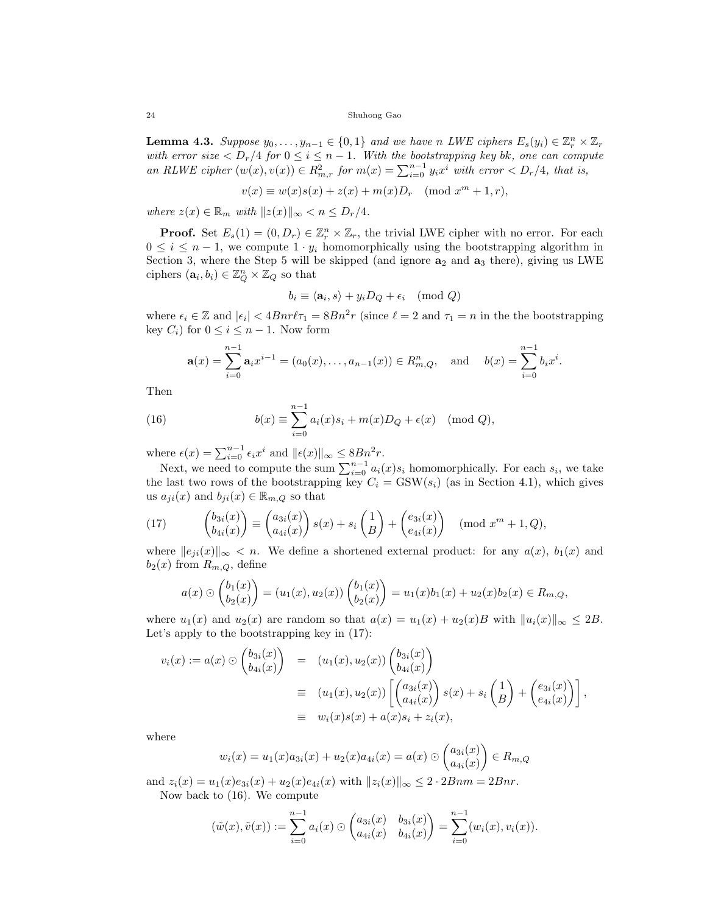**Lemma 4.3.** Suppose  $y_0, \ldots, y_{n-1} \in \{0, 1\}$  and we have n LWE ciphers  $E_s(y_i) \in \mathbb{Z}_r^n \times \mathbb{Z}_r$ with error size  $\langle D_r/4 \text{ for } 0 \le i \le n-1$ . With the bootstrapping key bk, one can compute an RLWE cipher  $(w(x), v(x)) \in R_m^2$ , for  $m(x) = \sum_{i=0}^{n-1} y_i x^i$  with error  $\langle D_r/4 \rangle$ , that is,

$$
v(x) \equiv w(x)s(x) + z(x) + m(x)Dr \pmod{x^m + 1, r},
$$

where  $z(x) \in \mathbb{R}_m$  with  $||z(x)||_{\infty} < n \leq D_r/4$ .

**Proof.** Set  $E_s(1) = (0, D_r) \in \mathbb{Z}_r^n \times \mathbb{Z}_r$ , the trivial LWE cipher with no error. For each  $0 \leq i \leq n-1$ , we compute  $1 \cdot y_i$  homomorphically using the bootstrapping algorithm in Section 3, where the Step 5 will be skipped (and ignore  $a_2$  and  $a_3$  there), giving us LWE ciphers  $(\mathbf{a}_i, b_i) \in \mathbb{Z}_Q^n \times \mathbb{Z}_Q$  so that

$$
b_i \equiv \langle \mathbf{a}_i, s \rangle + y_i D_Q + \epsilon_i \pmod{Q}
$$

where  $\epsilon_i \in \mathbb{Z}$  and  $|\epsilon_i| < 4Bnr\ell\tau_1 = 8Bn^2r$  (since  $\ell = 2$  and  $\tau_1 = n$  in the the bootstrapping key  $C_i$ ) for  $0 \leq i \leq n-1$ . Now form

$$
\mathbf{a}(x) = \sum_{i=0}^{n-1} \mathbf{a}_i x^{i-1} = (a_0(x), \dots, a_{n-1}(x)) \in R^n_{m,Q}, \text{ and } b(x) = \sum_{i=0}^{n-1} b_i x^i.
$$

Then

(16) 
$$
b(x) \equiv \sum_{i=0}^{n-1} a_i(x)s_i + m(x)D_Q + \epsilon(x) \pmod{Q},
$$

where  $\epsilon(x) = \sum_{i=0}^{n-1} \epsilon_i x^i$  and  $\|\epsilon(x)\|_{\infty} \leq 8Bn^2r$ .

Next, we need to compute the sum  $\sum_{i=0}^{n-1} a_i(x) s_i$  homomorphically. For each  $s_i$ , we take the last two rows of the bootstrapping key  $C_i = \text{GSW}(s_i)$  (as in Section 4.1), which gives us  $a_{ji}(x)$  and  $b_{ji}(x) \in \mathbb{R}_{m,Q}$  so that

(17) 
$$
\begin{pmatrix} b_{3i}(x) \\ b_{4i}(x) \end{pmatrix} \equiv \begin{pmatrix} a_{3i}(x) \\ a_{4i}(x) \end{pmatrix} s(x) + s_i \begin{pmatrix} 1 \\ B \end{pmatrix} + \begin{pmatrix} e_{3i}(x) \\ e_{4i}(x) \end{pmatrix} \pmod{x^m + 1, Q},
$$

where  $||e_{ji}(x)||_{\infty} < n$ . We define a shortened external product: for any  $a(x)$ ,  $b_1(x)$  and  $b_2(x)$  from  $R_{m,Q}$ , define

$$
a(x) \odot \begin{pmatrix} b_1(x) \\ b_2(x) \end{pmatrix} = (u_1(x), u_2(x)) \begin{pmatrix} b_1(x) \\ b_2(x) \end{pmatrix} = u_1(x)b_1(x) + u_2(x)b_2(x) \in R_{m,Q},
$$

where  $u_1(x)$  and  $u_2(x)$  are random so that  $a(x) = u_1(x) + u_2(x)B$  with  $||u_i(x)||_{\infty} \leq 2B$ . Let's apply to the bootstrapping key in (17):

$$
v_i(x) := a(x) \odot \begin{pmatrix} b_{3i}(x) \\ b_{4i}(x) \end{pmatrix} = (u_1(x), u_2(x)) \begin{pmatrix} b_{3i}(x) \\ b_{4i}(x) \end{pmatrix}
$$
  
\n
$$
\equiv (u_1(x), u_2(x)) \begin{bmatrix} a_{3i}(x) \\ a_{4i}(x) \end{bmatrix} s(x) + s_i \begin{pmatrix} 1 \\ B \end{pmatrix} + \begin{pmatrix} e_{3i}(x) \\ e_{4i}(x) \end{pmatrix},
$$
  
\n
$$
\equiv w_i(x)s(x) + a(x)s_i + z_i(x),
$$

where

$$
w_i(x) = u_1(x)a_{3i}(x) + u_2(x)a_{4i}(x) = a(x) \odot \begin{pmatrix} a_{3i}(x) \\ a_{4i}(x) \end{pmatrix} \in R_{m,Q}
$$

and  $z_i(x) = u_1(x)e_{3i}(x) + u_2(x)e_{4i}(x)$  with  $||z_i(x)||_{\infty} \leq 2 \cdot 2Bnm = 2Bnr$ . Now back to (16). We compute

$$
(\tilde{w}(x),\tilde{v}(x)) := \sum_{i=0}^{n-1} a_i(x) \odot \begin{pmatrix} a_{3i}(x) & b_{3i}(x) \\ a_{4i}(x) & b_{4i}(x) \end{pmatrix} = \sum_{i=0}^{n-1} (w_i(x), v_i(x)).
$$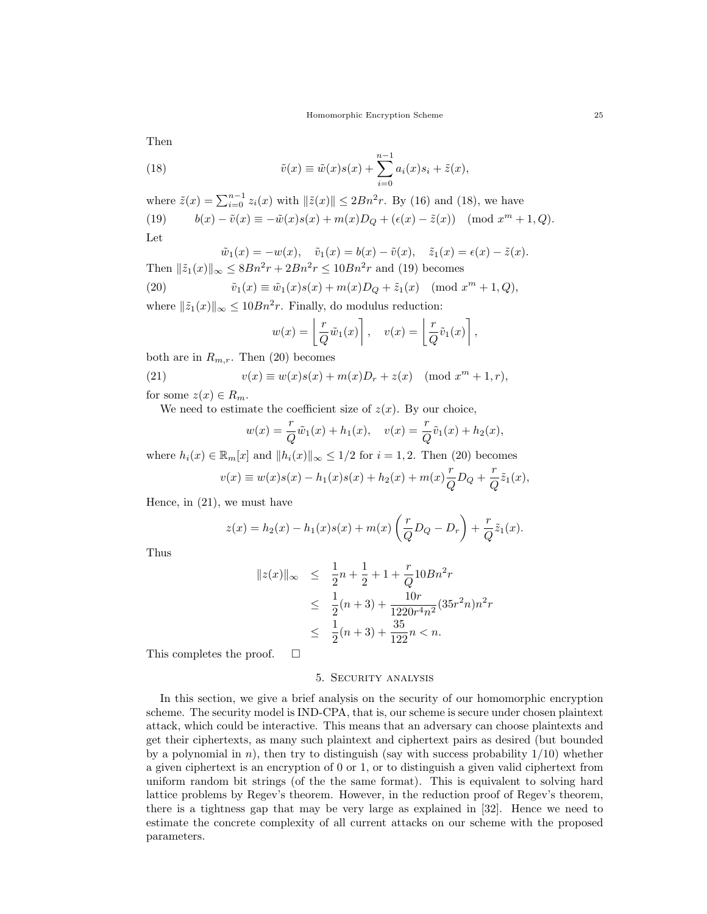Then

(18) 
$$
\tilde{v}(x) \equiv \tilde{w}(x)s(x) + \sum_{i=0}^{n-1} a_i(x)s_i + \tilde{z}(x),
$$

where  $\tilde{z}(x) = \sum_{i=0}^{n-1} z_i(x)$  with  $\|\tilde{z}(x)\| \le 2Bn^2r$ . By (16) and (18), we have (19)  $b(x) - \tilde{v}(x) \equiv -\tilde{w}(x)s(x) + m(x)D_Q + (\epsilon(x) - \tilde{z}(x)) \pmod{x^m + 1, Q}.$ Let

$$
\tilde{w}_1(x) = -w(x), \quad \tilde{v}_1(x) = b(x) - \tilde{v}(x), \quad \tilde{z}_1(x) = \epsilon(x) - \tilde{z}(x).
$$
\nThen  $\|\tilde{z}_1(x)\|_{\infty} \leq 8Bn^2r + 2Bn^2r \leq 10Bn^2r$  and (19) becomes

(20) 
$$
\tilde{v}_1(x) \equiv \tilde{w}_1(x)s(x) + m(x)D_Q + \tilde{z}_1(x) \pmod{x^m + 1, Q},
$$

where  $\|\tilde{z}_1(x)\|_{\infty} \leq 10Bn^2r$ . Finally, do modulus reduction:

$$
w(x) = \left\lfloor \frac{r}{Q} \tilde{w}_1(x) \right\rfloor, \quad v(x) = \left\lfloor \frac{r}{Q} \tilde{v}_1(x) \right\rfloor,
$$

both are in  $R_{m,r}$ . Then (20) becomes

(21) 
$$
v(x) \equiv w(x)s(x) + m(x)D_r + z(x) \pmod{x^m + 1, r},
$$

for some  $z(x) \in R_m$ .

We need to estimate the coefficient size of  $z(x)$ . By our choice,

$$
w(x) = \frac{r}{Q}\tilde{w}_1(x) + h_1(x), \quad v(x) = \frac{r}{Q}\tilde{v}_1(x) + h_2(x),
$$

where  $h_i(x) \in \mathbb{R}_m[x]$  and  $||h_i(x)||_{\infty} \leq 1/2$  for  $i = 1, 2$ . Then (20) becomes

$$
v(x) \equiv w(x)s(x) - h_1(x)s(x) + h_2(x) + m(x)\frac{r}{Q}D_Q + \frac{r}{Q}\tilde{z}_1(x),
$$

Hence, in (21), we must have

$$
z(x) = h_2(x) - h_1(x)s(x) + m(x)\left(\frac{r}{Q}D_Q - D_r\right) + \frac{r}{Q}\tilde{z}_1(x).
$$

Thus

$$
||z(x)||_{\infty} \leq \frac{1}{2}n + \frac{1}{2} + 1 + \frac{r}{Q}10Bn^2r
$$
  
\n
$$
\leq \frac{1}{2}(n+3) + \frac{10r}{1220r^4n^2}(35r^2n)n^2r
$$
  
\n
$$
\leq \frac{1}{2}(n+3) + \frac{35}{122}n < n.
$$

This completes the proof.  $\square$ 

# 5. Security analysis

In this section, we give a brief analysis on the security of our homomorphic encryption scheme. The security model is IND-CPA, that is, our scheme is secure under chosen plaintext attack, which could be interactive. This means that an adversary can choose plaintexts and get their ciphertexts, as many such plaintext and ciphertext pairs as desired (but bounded by a polynomial in n), then try to distinguish (say with success probability  $1/10$ ) whether a given ciphertext is an encryption of 0 or 1, or to distinguish a given valid ciphertext from uniform random bit strings (of the the same format). This is equivalent to solving hard lattice problems by Regev's theorem. However, in the reduction proof of Regev's theorem, there is a tightness gap that may be very large as explained in [32]. Hence we need to estimate the concrete complexity of all current attacks on our scheme with the proposed parameters.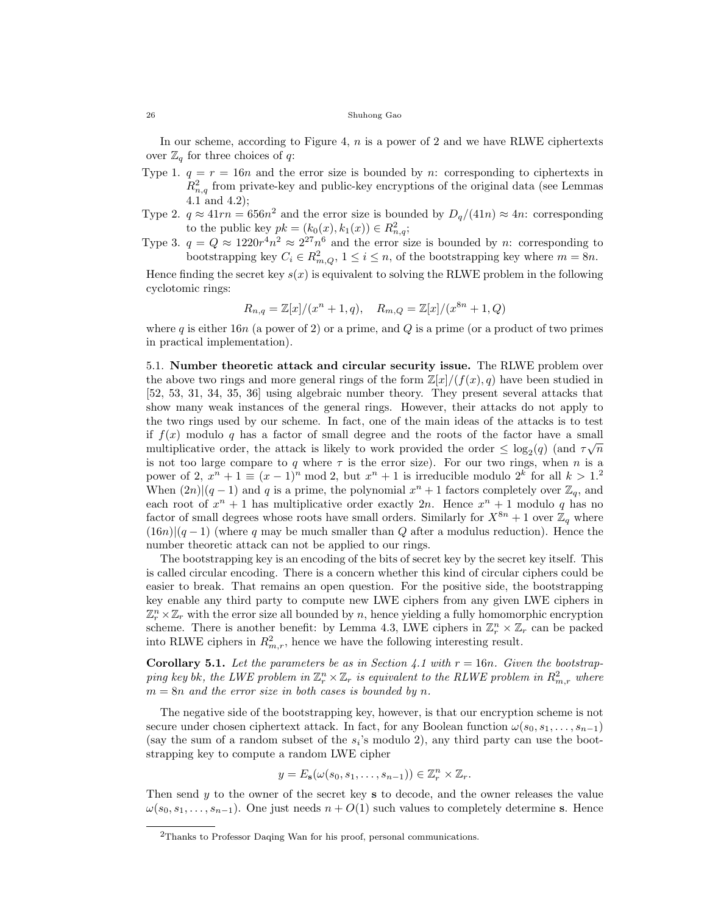In our scheme, according to Figure 4,  $n$  is a power of 2 and we have RLWE ciphertexts over  $\mathbb{Z}_q$  for three choices of q:

- Type 1.  $q = r = 16n$  and the error size is bounded by n: corresponding to ciphertexts in  $R_{n,q}^2$  from private-key and public-key encryptions of the original data (see Lemmas 4.1 and 4.2);
- Type 2.  $q \approx 41rn = 656n^2$  and the error size is bounded by  $D_q/(41n) \approx 4n$ : corresponding to the public key  $pk = (k_0(x), k_1(x)) \in R^2_{n,q};$
- Type 3.  $q = Q \approx 1220r^4n^2 \approx 2^{27}n^6$  and the error size is bounded by n: corresponding to bootstrapping key  $C_i \in \mathbb{R}^2_{m,Q}, 1 \leq i \leq n$ , of the bootstrapping key where  $m = 8n$ .

Hence finding the secret key  $s(x)$  is equivalent to solving the RLWE problem in the following cyclotomic rings:

$$
R_{n,q} = \mathbb{Z}[x]/(x^n + 1, q), \quad R_{m,Q} = \mathbb{Z}[x]/(x^{8n} + 1, Q)
$$

where q is either 16n (a power of 2) or a prime, and  $Q$  is a prime (or a product of two primes in practical implementation).

5.1. Number theoretic attack and circular security issue. The RLWE problem over the above two rings and more general rings of the form  $\mathbb{Z}[x]/(f(x), q)$  have been studied in [52, 53, 31, 34, 35, 36] using algebraic number theory. They present several attacks that show many weak instances of the general rings. However, their attacks do not apply to the two rings used by our scheme. In fact, one of the main ideas of the attacks is to test if  $f(x)$  modulo q has a factor of small degree and the roots of the factor have a small multiplicative order, the attack is likely to work provided the order  $\leq \log_2(q)$  (and  $\tau\sqrt{n}$ is not too large compare to q where  $\tau$  is the error size). For our two rings, when n is a power of 2,  $x^n + 1 \equiv (x - 1)^n \mod 2$ , but  $x^n + 1$  is irreducible modulo  $2^k$  for all  $k > 1$ . When  $(2n)|(q-1)$  and q is a prime, the polynomial  $x^{n}+1$  factors completely over  $\mathbb{Z}_{q}$ , and each root of  $x^n + 1$  has multiplicative order exactly  $2n$ . Hence  $x^n + 1$  modulo q has no factor of small degrees whose roots have small orders. Similarly for  $X^{8n} + 1$  over  $\mathbb{Z}_q$  where  $(16n)|(q-1)$  (where q may be much smaller than Q after a modulus reduction). Hence the number theoretic attack can not be applied to our rings.

The bootstrapping key is an encoding of the bits of secret key by the secret key itself. This is called circular encoding. There is a concern whether this kind of circular ciphers could be easier to break. That remains an open question. For the positive side, the bootstrapping key enable any third party to compute new LWE ciphers from any given LWE ciphers in  $\mathbb{Z}_r^n \times \mathbb{Z}_r$  with the error size all bounded by n, hence yielding a fully homomorphic encryption scheme. There is another benefit: by Lemma 4.3, LWE ciphers in  $\mathbb{Z}_r^n \times \mathbb{Z}_r$  can be packed into RLWE ciphers in  $R_{m,r}^2$ , hence we have the following interesting result.

**Corollary 5.1.** Let the parameters be as in Section 4.1 with  $r = 16n$ . Given the bootstrapping key bk, the LWE problem in  $\mathbb{Z}_r^n \times \mathbb{Z}_r$  is equivalent to the RLWE problem in  $R^2_{m,r}$  where  $m = 8n$  and the error size in both cases is bounded by n.

The negative side of the bootstrapping key, however, is that our encryption scheme is not secure under chosen ciphertext attack. In fact, for any Boolean function  $\omega(s_0, s_1, \ldots, s_{n-1})$ (say the sum of a random subset of the  $s_i$ 's modulo 2), any third party can use the bootstrapping key to compute a random LWE cipher

$$
y = E_{\mathbf{s}}(\omega(s_0, s_1, \dots, s_{n-1})) \in \mathbb{Z}_r^n \times \mathbb{Z}_r.
$$

Then send  $y$  to the owner of the secret key s to decode, and the owner releases the value  $\omega(s_0, s_1, \ldots, s_{n-1})$ . One just needs  $n + O(1)$  such values to completely determine s. Hence

<sup>2</sup>Thanks to Professor Daqing Wan for his proof, personal communications.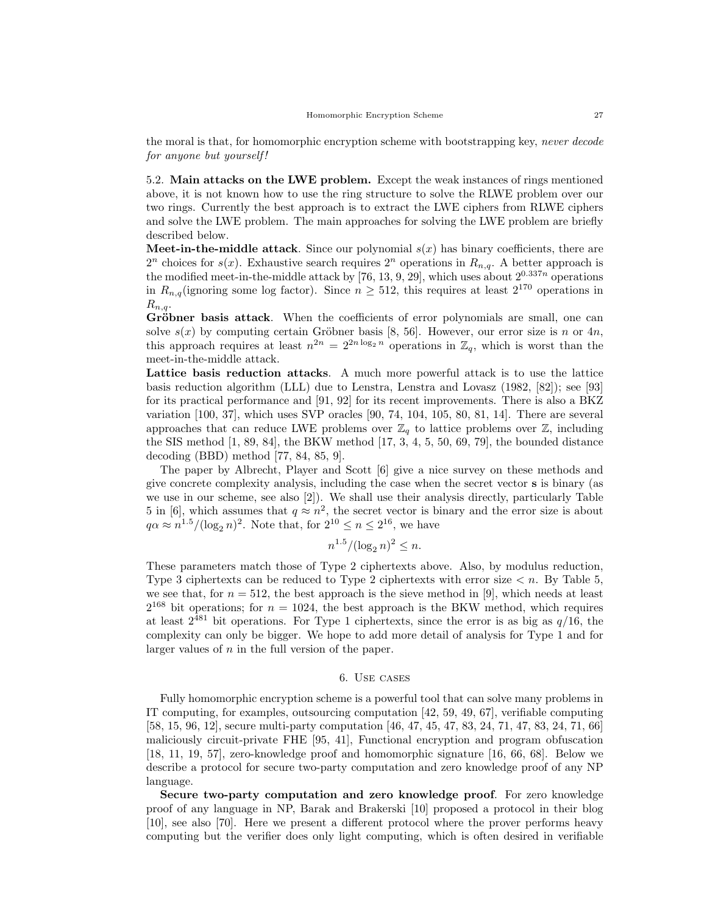the moral is that, for homomorphic encryption scheme with bootstrapping key, never decode for anyone but yourself!

5.2. Main attacks on the LWE problem. Except the weak instances of rings mentioned above, it is not known how to use the ring structure to solve the RLWE problem over our two rings. Currently the best approach is to extract the LWE ciphers from RLWE ciphers and solve the LWE problem. The main approaches for solving the LWE problem are briefly described below.

**Meet-in-the-middle attack**. Since our polynomial  $s(x)$  has binary coefficients, there are  $2^n$  choices for  $s(x)$ . Exhaustive search requires  $2^n$  operations in  $R_{n,q}$ . A better approach is the modified meet-in-the-middle attack by [76, 13, 9, 29], which uses about  $2^{0.337n}$  operations in  $R_{n,q}$  (ignoring some log factor). Since  $n \geq 512$ , this requires at least  $2^{170}$  operations in  $R_{n,q}$ .

Gröbner basis attack. When the coefficients of error polynomials are small, one can solve  $s(x)$  by computing certain Gröbner basis [8, 56]. However, our error size is n or 4n, this approach requires at least  $n^{2n} = 2^{2n \log_2 n}$  operations in  $\mathbb{Z}_q$ , which is worst than the meet-in-the-middle attack.

Lattice basis reduction attacks. A much more powerful attack is to use the lattice basis reduction algorithm (LLL) due to Lenstra, Lenstra and Lovasz (1982, [82]); see [93] for its practical performance and [91, 92] for its recent improvements. There is also a BKZ variation [100, 37], which uses SVP oracles [90, 74, 104, 105, 80, 81, 14]. There are several approaches that can reduce LWE problems over  $\mathbb{Z}_q$  to lattice problems over  $\mathbb{Z}$ , including the SIS method [1, 89, 84], the BKW method [17, 3, 4, 5, 50, 69, 79], the bounded distance decoding (BBD) method [77, 84, 85, 9].

The paper by Albrecht, Player and Scott [6] give a nice survey on these methods and give concrete complexity analysis, including the case when the secret vector s is binary (as we use in our scheme, see also [2]). We shall use their analysis directly, particularly Table 5 in [6], which assumes that  $q \approx n^2$ , the secret vector is binary and the error size is about  $q\alpha \approx n^{1.5} / (\log_2 n)^2$ . Note that, for  $2^{10} \le n \le 2^{16}$ , we have

$$
n^{1.5} / (\log_2 n)^2 \le n.
$$

These parameters match those of Type 2 ciphertexts above. Also, by modulus reduction, Type 3 ciphertexts can be reduced to Type 2 ciphertexts with error size  $\lt n$ . By Table 5, we see that, for  $n = 512$ , the best approach is the sieve method in [9], which needs at least  $2^{168}$  bit operations; for  $n = 1024$ , the best approach is the BKW method, which requires at least  $2^{481}$  bit operations. For Type 1 ciphertexts, since the error is as big as  $q/16$ , the complexity can only be bigger. We hope to add more detail of analysis for Type 1 and for larger values of  $n$  in the full version of the paper.

# 6. Use cases

Fully homomorphic encryption scheme is a powerful tool that can solve many problems in IT computing, for examples, outsourcing computation [42, 59, 49, 67], verifiable computing [58, 15, 96, 12], secure multi-party computation [46, 47, 45, 47, 83, 24, 71, 47, 83, 24, 71, 66] maliciously circuit-private FHE [95, 41], Functional encryption and program obfuscation [18, 11, 19, 57], zero-knowledge proof and homomorphic signature [16, 66, 68]. Below we describe a protocol for secure two-party computation and zero knowledge proof of any NP language.

Secure two-party computation and zero knowledge proof. For zero knowledge proof of any language in NP, Barak and Brakerski [10] proposed a protocol in their blog [10], see also [70]. Here we present a different protocol where the prover performs heavy computing but the verifier does only light computing, which is often desired in verifiable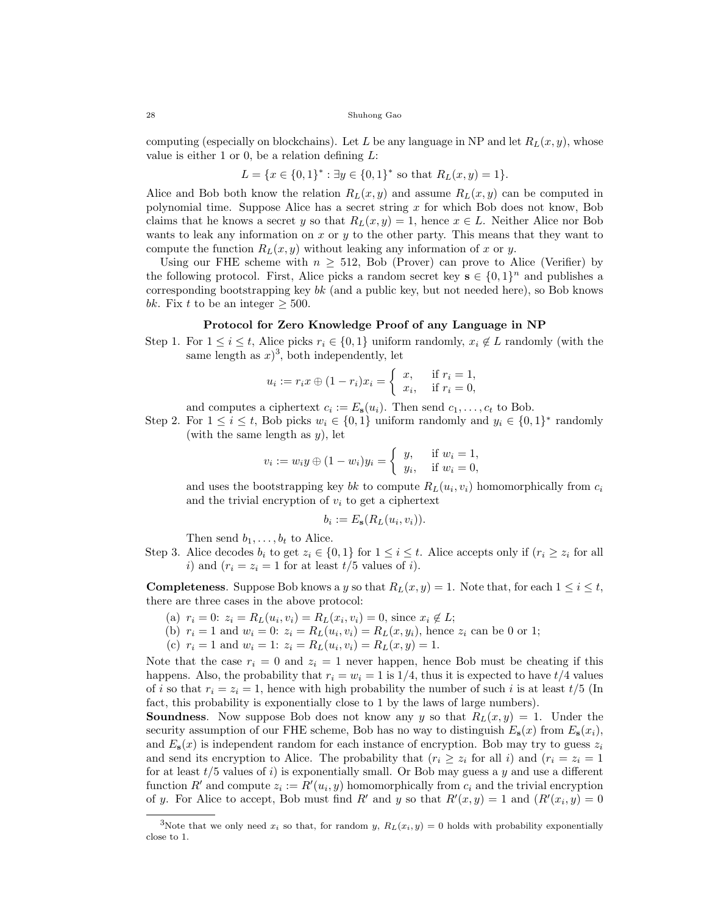computing (especially on blockchains). Let L be any language in NP and let  $R_L(x, y)$ , whose value is either 1 or 0, be a relation defining  $L$ :

$$
L = \{x \in \{0,1\}^* : \exists y \in \{0,1\}^* \text{ so that } R_L(x,y) = 1\}.
$$

Alice and Bob both know the relation  $R_L(x, y)$  and assume  $R_L(x, y)$  can be computed in polynomial time. Suppose Alice has a secret string x for which Bob does not know, Bob claims that he knows a secret y so that  $R_L(x, y) = 1$ , hence  $x \in L$ . Neither Alice nor Bob wants to leak any information on  $x$  or  $y$  to the other party. This means that they want to compute the function  $R_L(x, y)$  without leaking any information of x or y.

Using our FHE scheme with  $n \geq 512$ , Bob (Prover) can prove to Alice (Verifier) by the following protocol. First, Alice picks a random secret key  $s \in \{0,1\}^n$  and publishes a corresponding bootstrapping key  $bk$  (and a public key, but not needed here), so Bob knows bk. Fix t to be an integer  $\geq$  500.

# Protocol for Zero Knowledge Proof of any Language in NP

Step 1. For  $1 \leq i \leq t$ , Alice picks  $r_i \in \{0, 1\}$  uniform randomly,  $x_i \notin L$  randomly (with the same length as  $x$ <sup>3</sup>, both independently, let

$$
u_i := r_i x \oplus (1 - r_i) x_i = \begin{cases} x, & \text{if } r_i = 1, \\ x_i, & \text{if } r_i = 0, \end{cases}
$$

and computes a ciphertext  $c_i := E_s(u_i)$ . Then send  $c_1, \ldots, c_t$  to Bob.

Step 2. For  $1 \leq i \leq t$ , Bob picks  $w_i \in \{0, 1\}$  uniform randomly and  $y_i \in \{0, 1\}^*$  randomly (with the same length as  $y$ ), let

$$
v_i := w_i y \oplus (1 - w_i) y_i = \begin{cases} y, & \text{if } w_i = 1, \\ y_i, & \text{if } w_i = 0, \end{cases}
$$

and uses the bootstrapping key bk to compute  $R_L(u_i, v_i)$  homomorphically from  $c_i$ and the trivial encryption of  $v_i$  to get a ciphertext

$$
b_i := E_{\mathbf{s}}(R_L(u_i, v_i)).
$$

Then send  $b_1, \ldots, b_t$  to Alice.

Step 3. Alice decodes  $b_i$  to get  $z_i \in \{0,1\}$  for  $1 \leq i \leq t$ . Alice accepts only if  $(r_i \geq z_i$  for all i) and  $(r_i = z_i = 1$  for at least  $t/5$  values of i).

**Completeness.** Suppose Bob knows a y so that  $R_L(x, y) = 1$ . Note that, for each  $1 \leq i \leq t$ , there are three cases in the above protocol:

- (a)  $r_i = 0$ :  $z_i = R_L(u_i, v_i) = R_L(x_i, v_i) = 0$ , since  $x_i \notin L$ ;
- (b)  $r_i = 1$  and  $w_i = 0$ :  $z_i = R_L(u_i, v_i) = R_L(x, y_i)$ , hence  $z_i$  can be 0 or 1;
- (c)  $r_i = 1$  and  $w_i = 1$ :  $z_i = R_L(u_i, v_i) = R_L(x, y) = 1$ .

Note that the case  $r_i = 0$  and  $z_i = 1$  never happen, hence Bob must be cheating if this happens. Also, the probability that  $r_i = w_i = 1$  is  $1/4$ , thus it is expected to have  $t/4$  values of i so that  $r_i = z_i = 1$ , hence with high probability the number of such i is at least  $t/5$  (In fact, this probability is exponentially close to 1 by the laws of large numbers).

**Soundness.** Now suppose Bob does not know any y so that  $R_L(x, y) = 1$ . Under the security assumption of our FHE scheme, Bob has no way to distinguish  $E_s(x)$  from  $E_s(x_i)$ , and  $E_{s}(x)$  is independent random for each instance of encryption. Bob may try to guess  $z_{i}$ and send its encryption to Alice. The probability that  $(r_i \geq z_i$  for all i) and  $(r_i = z_i = 1$ for at least  $t/5$  values of i) is exponentially small. Or Bob may guess a y and use a different function R' and compute  $z_i := R'(u_i, y)$  homomorphically from  $c_i$  and the trivial encryption of y. For Alice to accept, Bob must find R' and y so that  $R'(x, y) = 1$  and  $(R'(x_i, y) = 0$ 

<sup>&</sup>lt;sup>3</sup>Note that we only need  $x_i$  so that, for random y,  $R_L(x_i, y) = 0$  holds with probability exponentially close to 1.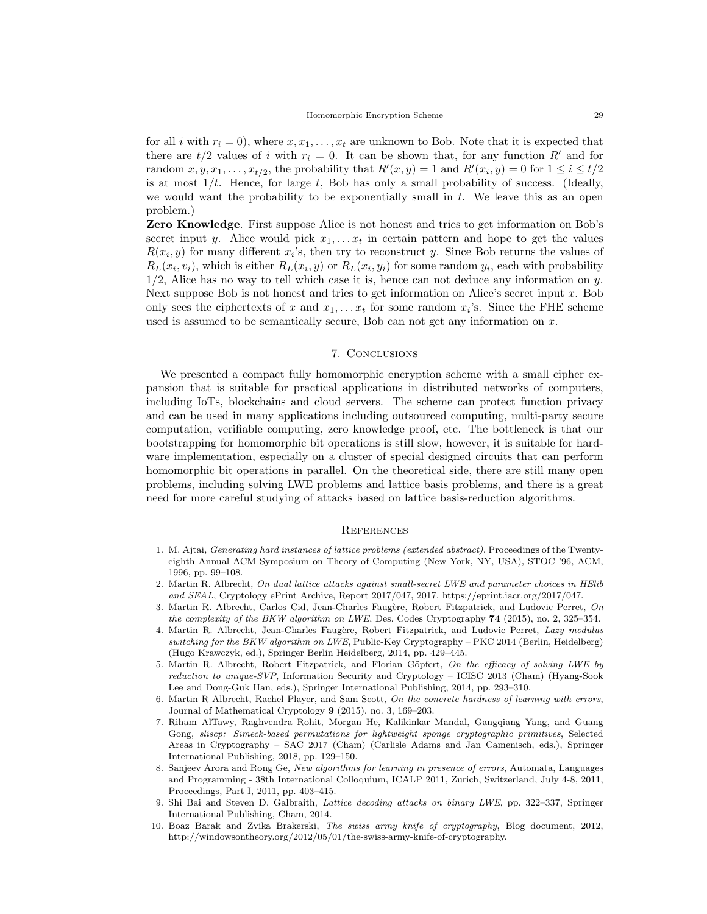for all i with  $r_i = 0$ , where  $x, x_1, \ldots, x_t$  are unknown to Bob. Note that it is expected that there are  $t/2$  values of i with  $r_i = 0$ . It can be shown that, for any function R' and for random  $x, y, x_1, \ldots, x_{t/2}$ , the probability that  $R'(x, y) = 1$  and  $R'(x_i, y) = 0$  for  $1 \le i \le t/2$ is at most  $1/t$ . Hence, for large  $t$ , Bob has only a small probability of success. (Ideally, we would want the probability to be exponentially small in  $t$ . We leave this as an open problem.)

Zero Knowledge. First suppose Alice is not honest and tries to get information on Bob's secret input y. Alice would pick  $x_1, \ldots x_t$  in certain pattern and hope to get the values  $R(x_i, y)$  for many different  $x_i$ 's, then try to reconstruct y. Since Bob returns the values of  $R_L(x_i, v_i)$ , which is either  $R_L(x_i, y)$  or  $R_L(x_i, y_i)$  for some random  $y_i$ , each with probability  $1/2$ , Alice has no way to tell which case it is, hence can not deduce any information on y. Next suppose Bob is not honest and tries to get information on Alice's secret input  $x$ . Bob only sees the ciphertexts of x and  $x_1, \ldots x_t$  for some random  $x_i$ 's. Since the FHE scheme used is assumed to be semantically secure, Bob can not get any information on  $x$ .

## 7. Conclusions

We presented a compact fully homomorphic encryption scheme with a small cipher expansion that is suitable for practical applications in distributed networks of computers, including IoTs, blockchains and cloud servers. The scheme can protect function privacy and can be used in many applications including outsourced computing, multi-party secure computation, verifiable computing, zero knowledge proof, etc. The bottleneck is that our bootstrapping for homomorphic bit operations is still slow, however, it is suitable for hardware implementation, especially on a cluster of special designed circuits that can perform homomorphic bit operations in parallel. On the theoretical side, there are still many open problems, including solving LWE problems and lattice basis problems, and there is a great need for more careful studying of attacks based on lattice basis-reduction algorithms.

## **REFERENCES**

- 1. M. Ajtai, Generating hard instances of lattice problems (extended abstract), Proceedings of the Twentyeighth Annual ACM Symposium on Theory of Computing (New York, NY, USA), STOC '96, ACM, 1996, pp. 99–108.
- 2. Martin R. Albrecht, On dual lattice attacks against small-secret LWE and parameter choices in HElib and SEAL, Cryptology ePrint Archive, Report 2017/047, 2017, https://eprint.iacr.org/2017/047.
- 3. Martin R. Albrecht, Carlos Cid, Jean-Charles Faugère, Robert Fitzpatrick, and Ludovic Perret, On the complexity of the BKW algorithm on LWE, Des. Codes Cryptography 74 (2015), no. 2, 325–354.
- 4. Martin R. Albrecht, Jean-Charles Faugère, Robert Fitzpatrick, and Ludovic Perret, Lazy modulus switching for the BKW algorithm on LWE, Public-Key Cryptography – PKC 2014 (Berlin, Heidelberg) (Hugo Krawczyk, ed.), Springer Berlin Heidelberg, 2014, pp. 429–445.
- 5. Martin R. Albrecht, Robert Fitzpatrick, and Florian Göpfert, On the efficacy of solving LWE by reduction to unique-SVP, Information Security and Cryptology – ICISC 2013 (Cham) (Hyang-Sook Lee and Dong-Guk Han, eds.), Springer International Publishing, 2014, pp. 293–310.
- 6. Martin R Albrecht, Rachel Player, and Sam Scott, On the concrete hardness of learning with errors, Journal of Mathematical Cryptology 9 (2015), no. 3, 169–203.
- 7. Riham AlTawy, Raghvendra Rohit, Morgan He, Kalikinkar Mandal, Gangqiang Yang, and Guang Gong, sliscp: Simeck-based permutations for lightweight sponge cryptographic primitives, Selected Areas in Cryptography – SAC 2017 (Cham) (Carlisle Adams and Jan Camenisch, eds.), Springer International Publishing, 2018, pp. 129–150.
- 8. Sanjeev Arora and Rong Ge, New algorithms for learning in presence of errors, Automata, Languages and Programming - 38th International Colloquium, ICALP 2011, Zurich, Switzerland, July 4-8, 2011, Proceedings, Part I, 2011, pp. 403–415.
- 9. Shi Bai and Steven D. Galbraith, Lattice decoding attacks on binary LWE, pp. 322–337, Springer International Publishing, Cham, 2014.
- 10. Boaz Barak and Zvika Brakerski, The swiss army knife of cryptography, Blog document, 2012, http://windowsontheory.org/2012/05/01/the-swiss-army-knife-of-cryptography.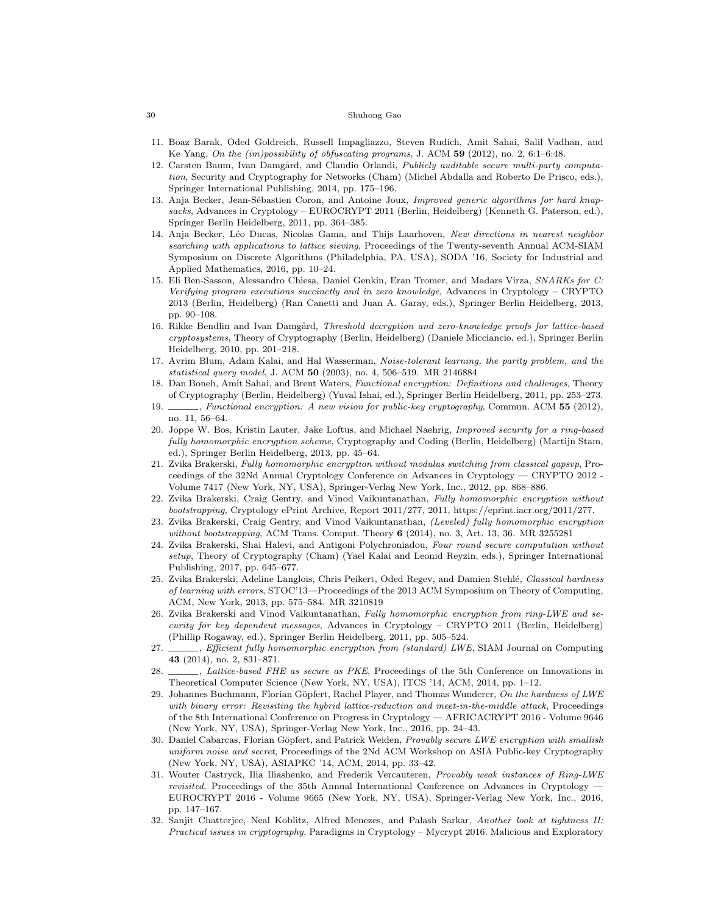- 11. Boaz Barak, Oded Goldreich, Russell Impagliazzo, Steven Rudich, Amit Sahai, Salil Vadhan, and Ke Yang, On the (im)possibility of obfuscating programs, J. ACM 59 (2012), no. 2, 6:1–6:48.
- 12. Carsten Baum, Ivan Damgård, and Claudio Orlandi, Publicly auditable secure multi-party computation, Security and Cryptography for Networks (Cham) (Michel Abdalla and Roberto De Prisco, eds.), Springer International Publishing, 2014, pp. 175–196.
- 13. Anja Becker, Jean-Sébastien Coron, and Antoine Joux, Improved generic algorithms for hard knapsacks, Advances in Cryptology – EUROCRYPT 2011 (Berlin, Heidelberg) (Kenneth G. Paterson, ed.), Springer Berlin Heidelberg, 2011, pp. 364–385.
- 14. Anja Becker, Léo Ducas, Nicolas Gama, and Thijs Laarhoven, New directions in nearest neighbor searching with applications to lattice sieving, Proceedings of the Twenty-seventh Annual ACM-SIAM Symposium on Discrete Algorithms (Philadelphia, PA, USA), SODA '16, Society for Industrial and Applied Mathematics, 2016, pp. 10–24.
- 15. Eli Ben-Sasson, Alessandro Chiesa, Daniel Genkin, Eran Tromer, and Madars Virza, SNARKs for C: Verifying program executions succinctly and in zero knowledge, Advances in Cryptology – CRYPTO 2013 (Berlin, Heidelberg) (Ran Canetti and Juan A. Garay, eds.), Springer Berlin Heidelberg, 2013, pp. 90–108.
- 16. Rikke Bendlin and Ivan Damgård, Threshold decryption and zero-knowledge proofs for lattice-based cryptosystems, Theory of Cryptography (Berlin, Heidelberg) (Daniele Micciancio, ed.), Springer Berlin Heidelberg, 2010, pp. 201–218.
- 17. Avrim Blum, Adam Kalai, and Hal Wasserman, Noise-tolerant learning, the parity problem, and the statistical query model, J. ACM 50 (2003), no. 4, 506–519. MR 2146884
- 18. Dan Boneh, Amit Sahai, and Brent Waters, Functional encryption: Definitions and challenges, Theory of Cryptography (Berlin, Heidelberg) (Yuval Ishai, ed.), Springer Berlin Heidelberg, 2011, pp. 253–273.
- 19. , Functional encryption: A new vision for public-key cryptography, Commun. ACM 55 (2012), no. 11, 56–64.
- 20. Joppe W. Bos, Kristin Lauter, Jake Loftus, and Michael Naehrig, Improved security for a ring-based fully homomorphic encryption scheme, Cryptography and Coding (Berlin, Heidelberg) (Martijn Stam, ed.), Springer Berlin Heidelberg, 2013, pp. 45–64.
- 21. Zvika Brakerski, Fully homomorphic encryption without modulus switching from classical gapsvp, Proceedings of the 32Nd Annual Cryptology Conference on Advances in Cryptology — CRYPTO 2012 - Volume 7417 (New York, NY, USA), Springer-Verlag New York, Inc., 2012, pp. 868–886.
- 22. Zvika Brakerski, Craig Gentry, and Vinod Vaikuntanathan, Fully homomorphic encryption without bootstrapping, Cryptology ePrint Archive, Report 2011/277, 2011, https://eprint.iacr.org/2011/277.
- 23. Zvika Brakerski, Craig Gentry, and Vinod Vaikuntanathan, (Leveled) fully homomorphic encryption without bootstrapping, ACM Trans. Comput. Theory  $6$  (2014), no. 3, Art. 13, 36. MR 3255281
- 24. Zvika Brakerski, Shai Halevi, and Antigoni Polychroniadou, Four round secure computation without setup, Theory of Cryptography (Cham) (Yael Kalai and Leonid Reyzin, eds.), Springer International Publishing, 2017, pp. 645–677.
- 25. Zvika Brakerski, Adeline Langlois, Chris Peikert, Oded Regev, and Damien Stehlé, Classical hardness of learning with errors, STOC'13—Proceedings of the 2013 ACM Symposium on Theory of Computing, ACM, New York, 2013, pp. 575–584. MR 3210819
- 26. Zvika Brakerski and Vinod Vaikuntanathan, Fully homomorphic encryption from ring-LWE and security for key dependent messages, Advances in Cryptology – CRYPTO 2011 (Berlin, Heidelberg) (Phillip Rogaway, ed.), Springer Berlin Heidelberg, 2011, pp. 505–524.
- 27.  $\_\_\_\$ , Efficient fully homomorphic encryption from (standard) LWE, SIAM Journal on Computing 43 (2014), no. 2, 831–871.
- 28. *Lattice-based FHE as secure as PKE*, Proceedings of the 5th Conference on Innovations in Theoretical Computer Science (New York, NY, USA), ITCS '14, ACM, 2014, pp. 1–12.
- 29. Johannes Buchmann, Florian Göpfert, Rachel Player, and Thomas Wunderer, On the hardness of LWE with binary error: Revisiting the hybrid lattice-reduction and meet-in-the-middle attack, Proceedings of the 8th International Conference on Progress in Cryptology — AFRICACRYPT 2016 - Volume 9646 (New York, NY, USA), Springer-Verlag New York, Inc., 2016, pp. 24–43.
- 30. Daniel Cabarcas, Florian Göpfert, and Patrick Weiden, Provably secure LWE encryption with smallish uniform noise and secret, Proceedings of the 2Nd ACM Workshop on ASIA Public-key Cryptography (New York, NY, USA), ASIAPKC '14, ACM, 2014, pp. 33–42.
- 31. Wouter Castryck, Ilia Iliashenko, and Frederik Vercauteren, Provably weak instances of Ring-LWE revisited, Proceedings of the 35th Annual International Conference on Advances in Cryptology — EUROCRYPT 2016 - Volume 9665 (New York, NY, USA), Springer-Verlag New York, Inc., 2016, pp. 147–167.
- 32. Sanjit Chatterjee, Neal Koblitz, Alfred Menezes, and Palash Sarkar, Another look at tightness II: Practical issues in cryptography, Paradigms in Cryptology – Mycrypt 2016. Malicious and Exploratory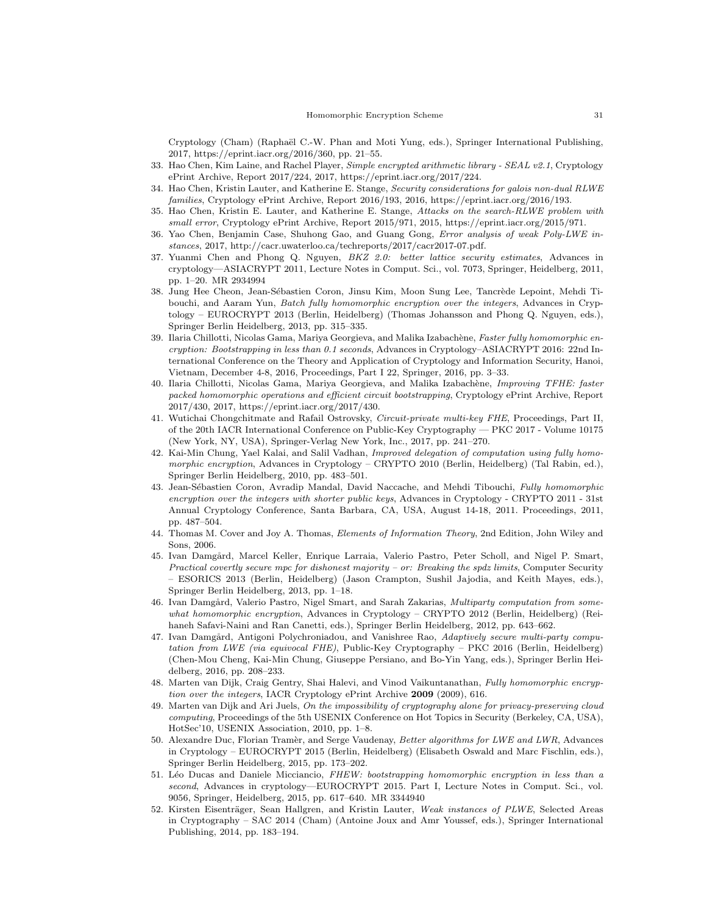Cryptology (Cham) (Raphaël C.-W. Phan and Moti Yung, eds.), Springer International Publishing, 2017, https://eprint.iacr.org/2016/360, pp. 21–55.

- 33. Hao Chen, Kim Laine, and Rachel Player, Simple encrypted arithmetic library SEAL v2.1, Cryptology ePrint Archive, Report 2017/224, 2017, https://eprint.iacr.org/2017/224.
- 34. Hao Chen, Kristin Lauter, and Katherine E. Stange, Security considerations for galois non-dual RLWE families, Cryptology ePrint Archive, Report 2016/193, 2016, https://eprint.iacr.org/2016/193.
- 35. Hao Chen, Kristin E. Lauter, and Katherine E. Stange, Attacks on the search-RLWE problem with small error, Cryptology ePrint Archive, Report 2015/971, 2015, https://eprint.iacr.org/2015/971.
- 36. Yao Chen, Benjamin Case, Shuhong Gao, and Guang Gong, Error analysis of weak Poly-LWE instances, 2017, http://cacr.uwaterloo.ca/techreports/2017/cacr2017-07.pdf.
- 37. Yuanmi Chen and Phong Q. Nguyen, BKZ 2.0: better lattice security estimates, Advances in cryptology—ASIACRYPT 2011, Lecture Notes in Comput. Sci., vol. 7073, Springer, Heidelberg, 2011, pp. 1–20. MR 2934994
- 38. Jung Hee Cheon, Jean-Sébastien Coron, Jinsu Kim, Moon Sung Lee, Tancrède Lepoint, Mehdi Tibouchi, and Aaram Yun, Batch fully homomorphic encryption over the integers, Advances in Cryptology – EUROCRYPT 2013 (Berlin, Heidelberg) (Thomas Johansson and Phong Q. Nguyen, eds.), Springer Berlin Heidelberg, 2013, pp. 315–335.
- 39. Ilaria Chillotti, Nicolas Gama, Mariya Georgieva, and Malika Izabachène, Faster fully homomorphic encryption: Bootstrapping in less than 0.1 seconds, Advances in Cryptology–ASIACRYPT 2016: 22nd International Conference on the Theory and Application of Cryptology and Information Security, Hanoi, Vietnam, December 4-8, 2016, Proceedings, Part I 22, Springer, 2016, pp. 3–33.
- 40. Ilaria Chillotti, Nicolas Gama, Mariya Georgieva, and Malika Izabachène, Improving TFHE: faster packed homomorphic operations and efficient circuit bootstrapping, Cryptology ePrint Archive, Report 2017/430, 2017, https://eprint.iacr.org/2017/430.
- 41. Wutichai Chongchitmate and Rafail Ostrovsky, Circuit-private multi-key FHE, Proceedings, Part II, of the 20th IACR International Conference on Public-Key Cryptography — PKC 2017 - Volume 10175 (New York, NY, USA), Springer-Verlag New York, Inc., 2017, pp. 241–270.
- 42. Kai-Min Chung, Yael Kalai, and Salil Vadhan, Improved delegation of computation using fully homomorphic encryption, Advances in Cryptology – CRYPTO 2010 (Berlin, Heidelberg) (Tal Rabin, ed.), Springer Berlin Heidelberg, 2010, pp. 483–501.
- 43. Jean-Sébastien Coron, Avradip Mandal, David Naccache, and Mehdi Tibouchi, Fully homomorphic encryption over the integers with shorter public keys, Advances in Cryptology - CRYPTO 2011 - 31st Annual Cryptology Conference, Santa Barbara, CA, USA, August 14-18, 2011. Proceedings, 2011, pp. 487–504.
- 44. Thomas M. Cover and Joy A. Thomas, Elements of Information Theory, 2nd Edition, John Wiley and Sons, 2006.
- 45. Ivan Damgård, Marcel Keller, Enrique Larraia, Valerio Pastro, Peter Scholl, and Nigel P. Smart, Practical covertly secure mpc for dishonest majority – or: Breaking the spdz limits, Computer Security – ESORICS 2013 (Berlin, Heidelberg) (Jason Crampton, Sushil Jajodia, and Keith Mayes, eds.), Springer Berlin Heidelberg, 2013, pp. 1–18.
- 46. Ivan Damgård, Valerio Pastro, Nigel Smart, and Sarah Zakarias, Multiparty computation from somewhat homomorphic encryption, Advances in Cryptology – CRYPTO 2012 (Berlin, Heidelberg) (Reihaneh Safavi-Naini and Ran Canetti, eds.), Springer Berlin Heidelberg, 2012, pp. 643–662.
- 47. Ivan Damgård, Antigoni Polychroniadou, and Vanishree Rao, Adaptively secure multi-party computation from LWE (via equivocal FHE), Public-Key Cryptography – PKC 2016 (Berlin, Heidelberg) (Chen-Mou Cheng, Kai-Min Chung, Giuseppe Persiano, and Bo-Yin Yang, eds.), Springer Berlin Heidelberg, 2016, pp. 208–233.
- 48. Marten van Dijk, Craig Gentry, Shai Halevi, and Vinod Vaikuntanathan, Fully homomorphic encryption over the integers, IACR Cryptology ePrint Archive 2009 (2009), 616.
- 49. Marten van Dijk and Ari Juels, On the impossibility of cryptography alone for privacy-preserving cloud computing, Proceedings of the 5th USENIX Conference on Hot Topics in Security (Berkeley, CA, USA), HotSec'10, USENIX Association, 2010, pp. 1–8.
- 50. Alexandre Duc, Florian Tramèr, and Serge Vaudenay, Better algorithms for LWE and LWR, Advances in Cryptology – EUROCRYPT 2015 (Berlin, Heidelberg) (Elisabeth Oswald and Marc Fischlin, eds.), Springer Berlin Heidelberg, 2015, pp. 173–202.
- 51. Léo Ducas and Daniele Micciancio, FHEW: bootstrapping homomorphic encryption in less than a second, Advances in cryptology—EUROCRYPT 2015. Part I, Lecture Notes in Comput. Sci., vol. 9056, Springer, Heidelberg, 2015, pp. 617–640. MR 3344940
- 52. Kirsten Eisenträger, Sean Hallgren, and Kristin Lauter, Weak instances of PLWE, Selected Areas in Cryptography – SAC 2014 (Cham) (Antoine Joux and Amr Youssef, eds.), Springer International Publishing, 2014, pp. 183–194.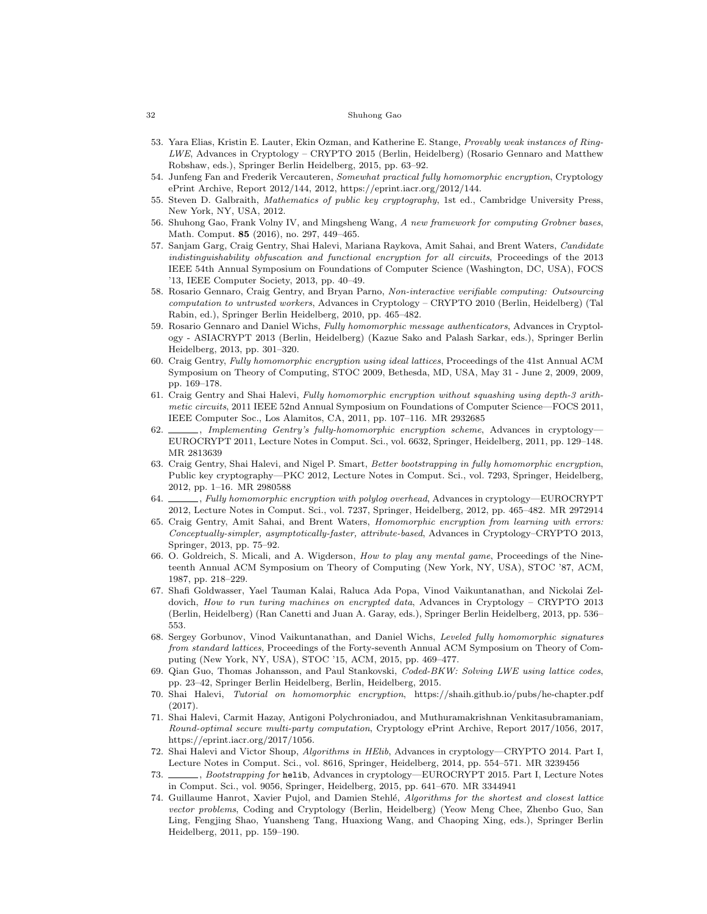- 53. Yara Elias, Kristin E. Lauter, Ekin Ozman, and Katherine E. Stange, Provably weak instances of Ring-LWE, Advances in Cryptology – CRYPTO 2015 (Berlin, Heidelberg) (Rosario Gennaro and Matthew Robshaw, eds.), Springer Berlin Heidelberg, 2015, pp. 63–92.
- 54. Junfeng Fan and Frederik Vercauteren, Somewhat practical fully homomorphic encryption, Cryptology ePrint Archive, Report 2012/144, 2012, https://eprint.iacr.org/2012/144.
- 55. Steven D. Galbraith, Mathematics of public key cryptography, 1st ed., Cambridge University Press, New York, NY, USA, 2012.
- 56. Shuhong Gao, Frank Volny IV, and Mingsheng Wang, A new framework for computing Grobner bases, Math. Comput. 85 (2016), no. 297, 449–465.
- 57. Sanjam Garg, Craig Gentry, Shai Halevi, Mariana Raykova, Amit Sahai, and Brent Waters, Candidate indistinguishability obfuscation and functional encryption for all circuits, Proceedings of the 2013 IEEE 54th Annual Symposium on Foundations of Computer Science (Washington, DC, USA), FOCS '13, IEEE Computer Society, 2013, pp. 40–49.
- 58. Rosario Gennaro, Craig Gentry, and Bryan Parno, Non-interactive verifiable computing: Outsourcing computation to untrusted workers, Advances in Cryptology – CRYPTO 2010 (Berlin, Heidelberg) (Tal Rabin, ed.), Springer Berlin Heidelberg, 2010, pp. 465–482.
- 59. Rosario Gennaro and Daniel Wichs, Fully homomorphic message authenticators, Advances in Cryptology - ASIACRYPT 2013 (Berlin, Heidelberg) (Kazue Sako and Palash Sarkar, eds.), Springer Berlin Heidelberg, 2013, pp. 301–320.
- 60. Craig Gentry, Fully homomorphic encryption using ideal lattices, Proceedings of the 41st Annual ACM Symposium on Theory of Computing, STOC 2009, Bethesda, MD, USA, May 31 - June 2, 2009, 2009, pp. 169–178.
- 61. Craig Gentry and Shai Halevi, Fully homomorphic encryption without squashing using depth-3 arithmetic circuits, 2011 IEEE 52nd Annual Symposium on Foundations of Computer Science—FOCS 2011, IEEE Computer Soc., Los Alamitos, CA, 2011, pp. 107–116. MR 2932685
- 62.  $\_\_\_\_\$  Implementing Gentry's fully-homomorphic encryption scheme, Advances in cryptology-EUROCRYPT 2011, Lecture Notes in Comput. Sci., vol. 6632, Springer, Heidelberg, 2011, pp. 129–148. MR 2813639
- 63. Craig Gentry, Shai Halevi, and Nigel P. Smart, Better bootstrapping in fully homomorphic encryption, Public key cryptography—PKC 2012, Lecture Notes in Comput. Sci., vol. 7293, Springer, Heidelberg, 2012, pp. 1–16. MR 2980588
- 64. , Fully homomorphic encryption with polylog overhead, Advances in cryptology—EUROCRYPT 2012, Lecture Notes in Comput. Sci., vol. 7237, Springer, Heidelberg, 2012, pp. 465–482. MR 2972914
- 65. Craig Gentry, Amit Sahai, and Brent Waters, Homomorphic encryption from learning with errors: Conceptually-simpler, asymptotically-faster, attribute-based, Advances in Cryptology–CRYPTO 2013, Springer, 2013, pp. 75–92.
- 66. O. Goldreich, S. Micali, and A. Wigderson, How to play any mental game, Proceedings of the Nineteenth Annual ACM Symposium on Theory of Computing (New York, NY, USA), STOC '87, ACM, 1987, pp. 218–229.
- 67. Shafi Goldwasser, Yael Tauman Kalai, Raluca Ada Popa, Vinod Vaikuntanathan, and Nickolai Zeldovich, How to run turing machines on encrypted data, Advances in Cryptology – CRYPTO 2013 (Berlin, Heidelberg) (Ran Canetti and Juan A. Garay, eds.), Springer Berlin Heidelberg, 2013, pp. 536– 553.
- 68. Sergey Gorbunov, Vinod Vaikuntanathan, and Daniel Wichs, Leveled fully homomorphic signatures from standard lattices, Proceedings of the Forty-seventh Annual ACM Symposium on Theory of Computing (New York, NY, USA), STOC '15, ACM, 2015, pp. 469–477.
- 69. Qian Guo, Thomas Johansson, and Paul Stankovski, Coded-BKW: Solving LWE using lattice codes, pp. 23–42, Springer Berlin Heidelberg, Berlin, Heidelberg, 2015.
- 70. Shai Halevi, Tutorial on homomorphic encryption, https://shaih.github.io/pubs/he-chapter.pdf (2017).
- 71. Shai Halevi, Carmit Hazay, Antigoni Polychroniadou, and Muthuramakrishnan Venkitasubramaniam, Round-optimal secure multi-party computation, Cryptology ePrint Archive, Report 2017/1056, 2017, https://eprint.iacr.org/2017/1056.
- 72. Shai Halevi and Victor Shoup, Algorithms in HElib, Advances in cryptology—CRYPTO 2014. Part I, Lecture Notes in Comput. Sci., vol. 8616, Springer, Heidelberg, 2014, pp. 554–571. MR 3239456
- 73. , Bootstrapping for helib, Advances in cryptology—EUROCRYPT 2015. Part I, Lecture Notes in Comput. Sci., vol. 9056, Springer, Heidelberg, 2015, pp. 641–670. MR 3344941
- 74. Guillaume Hanrot, Xavier Pujol, and Damien Stehlé, Algorithms for the shortest and closest lattice vector problems, Coding and Cryptology (Berlin, Heidelberg) (Yeow Meng Chee, Zhenbo Guo, San Ling, Fengjing Shao, Yuansheng Tang, Huaxiong Wang, and Chaoping Xing, eds.), Springer Berlin Heidelberg, 2011, pp. 159–190.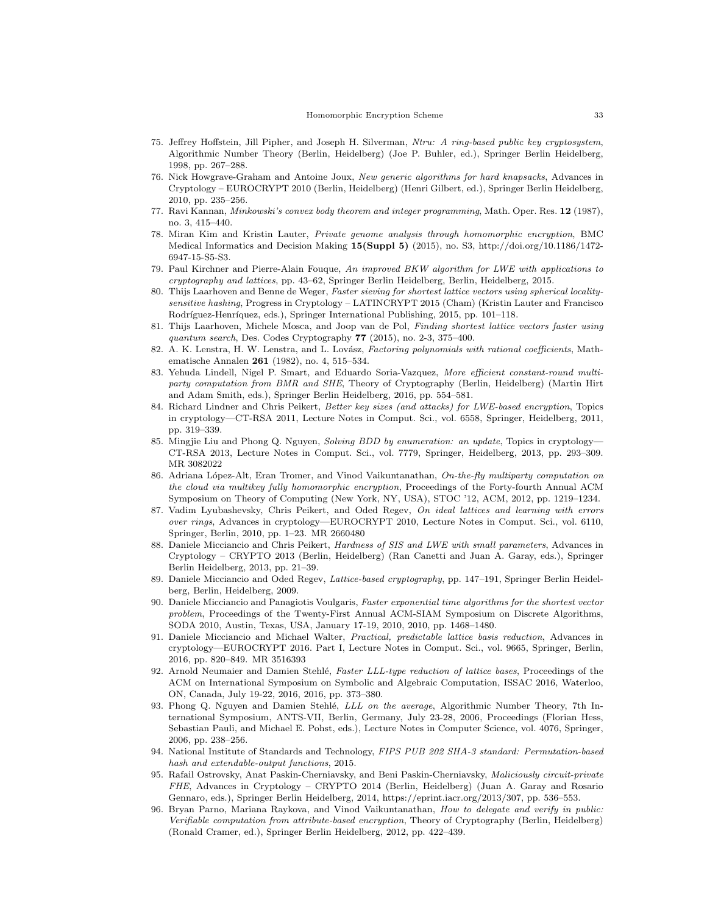#### Homomorphic Encryption Scheme 33

- 75. Jeffrey Hoffstein, Jill Pipher, and Joseph H. Silverman, Ntru: A ring-based public key cryptosystem, Algorithmic Number Theory (Berlin, Heidelberg) (Joe P. Buhler, ed.), Springer Berlin Heidelberg, 1998, pp. 267–288.
- 76. Nick Howgrave-Graham and Antoine Joux, New generic algorithms for hard knapsacks, Advances in Cryptology – EUROCRYPT 2010 (Berlin, Heidelberg) (Henri Gilbert, ed.), Springer Berlin Heidelberg, 2010, pp. 235–256.
- 77. Ravi Kannan, Minkowski's convex body theorem and integer programming, Math. Oper. Res. 12 (1987), no. 3, 415–440.
- 78. Miran Kim and Kristin Lauter, Private genome analysis through homomorphic encryption, BMC Medical Informatics and Decision Making 15(Suppl 5) (2015), no. S3, http://doi.org/10.1186/1472- 6947-15-S5-S3.
- 79. Paul Kirchner and Pierre-Alain Fouque, An improved BKW algorithm for LWE with applications to cryptography and lattices, pp. 43–62, Springer Berlin Heidelberg, Berlin, Heidelberg, 2015.
- 80. Thijs Laarhoven and Benne de Weger, Faster sieving for shortest lattice vectors using spherical localitysensitive hashing, Progress in Cryptology – LATINCRYPT 2015 (Cham) (Kristin Lauter and Francisco Rodríguez-Henríquez, eds.), Springer International Publishing, 2015, pp. 101–118.
- 81. Thijs Laarhoven, Michele Mosca, and Joop van de Pol, Finding shortest lattice vectors faster using quantum search, Des. Codes Cryptography 77 (2015), no. 2-3, 375–400.
- 82. A. K. Lenstra, H. W. Lenstra, and L. Lovász, Factoring polynomials with rational coefficients, Mathematische Annalen 261 (1982), no. 4, 515–534.
- 83. Yehuda Lindell, Nigel P. Smart, and Eduardo Soria-Vazquez, More efficient constant-round multiparty computation from BMR and SHE, Theory of Cryptography (Berlin, Heidelberg) (Martin Hirt and Adam Smith, eds.), Springer Berlin Heidelberg, 2016, pp. 554–581.
- 84. Richard Lindner and Chris Peikert, Better key sizes (and attacks) for LWE-based encryption, Topics in cryptology—CT-RSA 2011, Lecture Notes in Comput. Sci., vol. 6558, Springer, Heidelberg, 2011, pp. 319–339.
- 85. Mingjie Liu and Phong Q. Nguyen, Solving BDD by enumeration: an update, Topics in cryptology— CT-RSA 2013, Lecture Notes in Comput. Sci., vol. 7779, Springer, Heidelberg, 2013, pp. 293–309. MR 3082022
- 86. Adriana López-Alt, Eran Tromer, and Vinod Vaikuntanathan, On-the-fly multiparty computation on the cloud via multikey fully homomorphic encryption, Proceedings of the Forty-fourth Annual ACM Symposium on Theory of Computing (New York, NY, USA), STOC '12, ACM, 2012, pp. 1219–1234.
- 87. Vadim Lyubashevsky, Chris Peikert, and Oded Regev, On ideal lattices and learning with errors over rings, Advances in cryptology—EUROCRYPT 2010, Lecture Notes in Comput. Sci., vol. 6110, Springer, Berlin, 2010, pp. 1–23. MR 2660480
- 88. Daniele Micciancio and Chris Peikert, Hardness of SIS and LWE with small parameters, Advances in Cryptology – CRYPTO 2013 (Berlin, Heidelberg) (Ran Canetti and Juan A. Garay, eds.), Springer Berlin Heidelberg, 2013, pp. 21–39.
- 89. Daniele Micciancio and Oded Regev, Lattice-based cryptography, pp. 147–191, Springer Berlin Heidelberg, Berlin, Heidelberg, 2009.
- 90. Daniele Micciancio and Panagiotis Voulgaris, Faster exponential time algorithms for the shortest vector problem, Proceedings of the Twenty-First Annual ACM-SIAM Symposium on Discrete Algorithms, SODA 2010, Austin, Texas, USA, January 17-19, 2010, 2010, pp. 1468–1480.
- 91. Daniele Micciancio and Michael Walter, Practical, predictable lattice basis reduction, Advances in cryptology—EUROCRYPT 2016. Part I, Lecture Notes in Comput. Sci., vol. 9665, Springer, Berlin, 2016, pp. 820–849. MR 3516393
- 92. Arnold Neumaier and Damien Stehlé, Faster LLL-type reduction of lattice bases, Proceedings of the ACM on International Symposium on Symbolic and Algebraic Computation, ISSAC 2016, Waterloo, ON, Canada, July 19-22, 2016, 2016, pp. 373–380.
- 93. Phong Q. Nguyen and Damien Stehlé, LLL on the average, Algorithmic Number Theory, 7th International Symposium, ANTS-VII, Berlin, Germany, July 23-28, 2006, Proceedings (Florian Hess, Sebastian Pauli, and Michael E. Pohst, eds.), Lecture Notes in Computer Science, vol. 4076, Springer, 2006, pp. 238–256.
- 94. National Institute of Standards and Technology, FIPS PUB 202 SHA-3 standard: Permutation-based hash and extendable-output functions, 2015.
- 95. Rafail Ostrovsky, Anat Paskin-Cherniavsky, and Beni Paskin-Cherniavsky, Maliciously circuit-private FHE, Advances in Cryptology – CRYPTO 2014 (Berlin, Heidelberg) (Juan A. Garay and Rosario Gennaro, eds.), Springer Berlin Heidelberg, 2014, https://eprint.iacr.org/2013/307, pp. 536–553.
- 96. Bryan Parno, Mariana Raykova, and Vinod Vaikuntanathan, How to delegate and verify in public: Verifiable computation from attribute-based encryption, Theory of Cryptography (Berlin, Heidelberg) (Ronald Cramer, ed.), Springer Berlin Heidelberg, 2012, pp. 422–439.